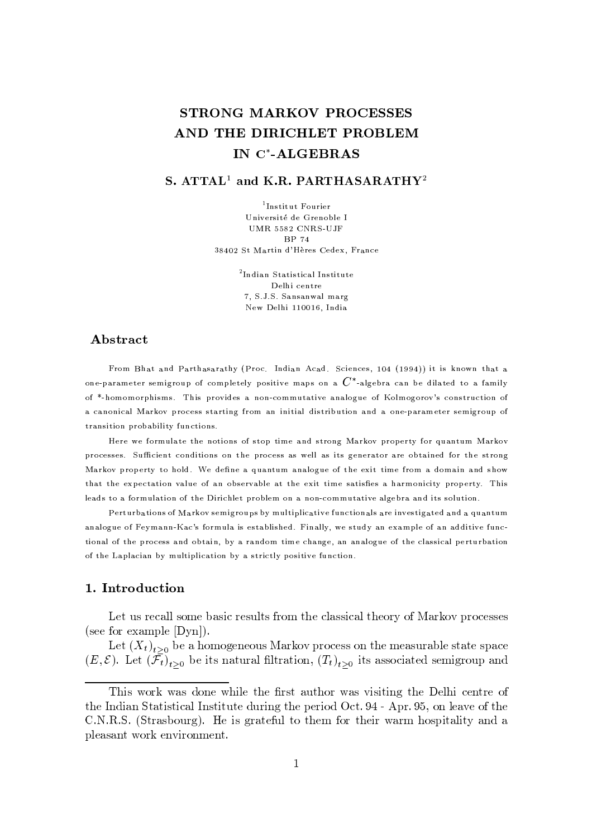## STRONG MARKOV PROCESSES AND THE DIRICHLET PROBLEM IN C\*-ALGEBRAS

## S.  $ATTAL<sup>1</sup>$  and K.R. PARTHASARATHY<sup>2</sup>

<sup>1</sup>Institut Fourier Université de Grenoble I UMR 5582 CNRS-UJF **BP 74** 38402 St Martin d'Hères Cedex, France

> <sup>2</sup>Indian Statistical Institute Delhi centre 7. S.J.S. Sansanwal marg New Delhi 110016, India

## Abstract

From Bhat and Parthasarathy (Proc. Indian Acad. Sciences, 104 (1994)) it is known that a one-parameter semigroup of completely positive maps on a  $C^*$ -algebra can be dilated to a family of \*-homomorphisms. This provides a non-commutative analogue of Kolmogorov's construction of a canonical Markov process starting from an initial distribution and a one-parameter semigroup of transition probability functions.

Here we formulate the notions of stop time and strong Markov property for quantum Markov processes. Sufficient conditions on the process as well as its generator are obtained for the strong Markov property to hold. We define a quantum analogue of the exit time from a domain and show that the expectation value of an observable at the exit time satisfies a harmonicity property. This leads to a formulation of the Dirichlet problem on a non-commutative algebra and its solution.

Perturbations of Markov semigroups by multiplicative functionals are investigated and a quantum analogue of Feymann-Kac's formula is established. Finally, we study an example of an additive functional of the process and obtain, by a random time change, an analogue of the classical perturbation of the Laplacian by multiplication by a strictly positive function.

## 1. Introduction

Let us recall some basic results from the classical theory of Markov processes (see for example  $[Dyn]$ ).

Let  $(X_t)_{t>0}$  be a homogeneous Markov process on the measurable state space  $(E,\mathcal{E})$ . Let  $(\mathcal{F}_t)_{t>0}$  be its natural filtration,  $(T_t)_{t>0}$  its associated semigroup and

This work was done while the first author was visiting the Delhi centre of the Indian Statistical Institute during the period Oct. 94 - Apr. 95, on leave of the C.N.R.S. (Strasbourg). He is grateful to them for their warm hospitality and a pleasant work environment.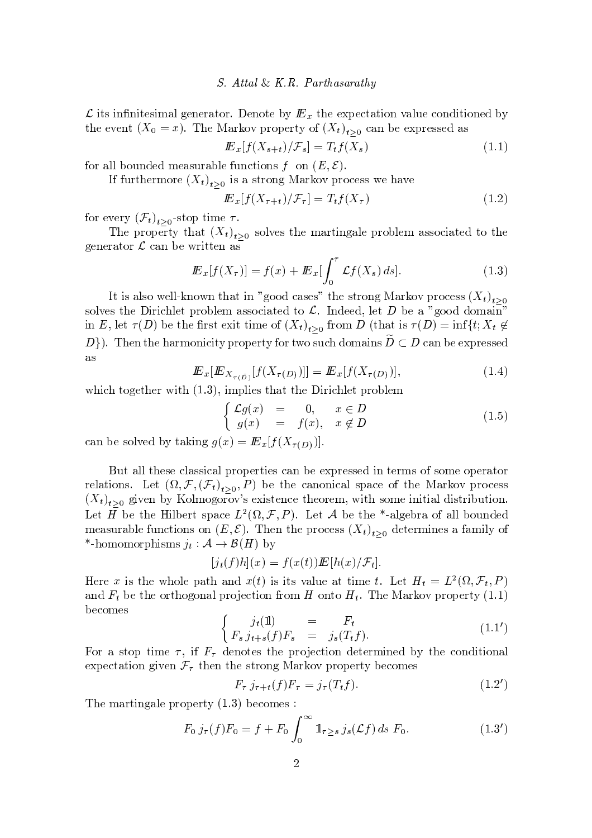~ tv <sup>~</sup> ~t <sup>s</sup> <sup>v</sup> <sup>~</sup> <sup>|</sup> <sup>y</sup> <sup>z</sup> <sup>s</sup> <sup>s</sup> <sup>w</sup> <sup>y</sup> t{ <sup>w</sup> <sup>s</sup> { ts } <sup>t</sup> <sup>s</sup> <sup>s</sup> <sup>s</sup> <sup>x</sup> <sup>t</sup> <sup>y</sup> t~ { <sup>y</sup> zu <sup>s</sup> <sup>x</sup> { ~t ~{ <sup>s</sup> } the event  $(X_0 = r)$  The Markov property of  $(X_t)$ , can be expressed as

$$
I\!\!E_x[f(X_{s+t})/\mathcal{F}_s] = T_t f(X_s) \tag{1.1}
$$

 $\alpha$  and  $\alpha$  in the set of  $\alpha$  is a set of  $\alpha$  where  $\alpha$ 

If furthermore  $(X_t)$ , is a strong Markov process we have

$$
\mathbf{E}_x[f(X_{\tau+t})/\mathcal{F}_\tau] = T_t f(X_\tau) \tag{1.2}
$$

for every  $(\mathcal{F}_{t})$  , . -stop time  $\tau$ 

The property that  $(X_t)$ , solves the martingale problem associated to the s w y tt s w y tt s w y v tt s w y v tt s w y v tt s w y v tt s w y v tt s w y v tt s w y v tt s w y v tt s w

$$
\mathbf{E}_x[f(X_\tau)] = f(x) + \mathbf{E}_x \left[ \int_0^\tau \mathcal{L}f(X_s) \, ds \right]. \tag{1.3}
$$

It is also well-known that in "good cases" the strong Markov process  $(X_t)$ . v { <sup>z</sup> <sup>s</sup> <sup>v</sup> <sup>t</sup> <sup>s</sup> <sup>~</sup> <sup>w</sup> <sup>~</sup> <sup>x</sup> <sup>z</sup> <sup>s</sup> <sup>t</sup> <sup>w</sup> { } <sup>z</sup> <sup>s</sup> <sup>|</sup> <sup>y</sup> <sup>v</sup> <sup>v</sup> { <sup>x</sup> ~y ts <sup>t</sup> { ss <sup>z</sup> <sup>s</sup> <sup>t</sup> ! } <sup>s</sup> y { { { <sup>|</sup> <sup>y</sup> <sup>~</sup> in E let  $\tau(D)$  be the first exit time of  $(X_t)$ , from D (that is  $\tau(D) = \inf\{t: X_t \notin$  $D$ ). Then the harmonicity property for two such domains  $D \subset D$  can be expressed

$$
\mathbf{E}_x[\mathbf{E}_{X_{\tau(\tilde{D})}}[f(X_{\tau(D)})]] = \mathbf{E}_x[f(X_{\tau(D)})],\tag{1.4}
$$

¨ ~ <sup>|</sup> <sup>z</sup> <sup>~</sup> <sup>s</sup> <sup>v</sup> <sup>t</sup> <sup>y</sup> tt <sup>s</sup> <sup>~</sup> <sup>w</sup> <sup>~</sup> <sup>x</sup> <sup>z</sup> <sup>s</sup> <sup>t</sup> <sup>w</sup> { } <sup>z</sup> <sup>s</sup> <sup>|</sup> <sup>~</sup> <sup>x</sup> <sup>t</sup> { <sup>s</sup> <sup>t</sup> <sup>s</sup> <sup>w</sup> <sup>~</sup> <sup>t</sup>

$$
\begin{cases}\n\mathcal{L}g(x) = 0, & x \in D \\
g(x) = f(x), & x \notin D\n\end{cases}
$$
\n(1.5)

can be solved by taking  $g(x) = E[f(Y, \tau)]$ 

But all these classical properties can be expressed in terms of some operator relations Let  $(Q, \mathcal{F}(\mathcal{F}_t), \ldots, \mathcal{P})$  be the canonical space of the Markov process  $(X_t)$ , given by Kolmogorov's existence theorem with some initial distribution r <sup>s</sup> <sup>t</sup> <sup>9</sup> } <sup>s</sup> <sup>t</sup> <sup>s</sup> § <sup>~</sup> <sup>z</sup> } <sup>s</sup> <sup>w</sup> <sup>t</sup> <sup>v</sup> <sup>y</sup> <sup>x</sup> <sup>s</sup> : # <sup>5</sup> <sup>6</sup> r <sup>s</sup> <sup>t</sup> ; } <sup>s</sup> <sup>t</sup> s< ¡ <sup>y</sup> <sup>z</sup> <sup>s</sup> } <sup>w</sup> <sup>y</sup> { <sup>y</sup> <sup>z</sup> <sup>z</sup> } { <sup>u</sup> s measurable functions on  $(E, \mathcal{E})$  . Then the process  $(X_t)$  determines a family of \*-homomorphisms  $j_t : A \to \mathcal{B}(H)$  by

$$
[j_t(f)h](x) = f(x(t)) \mathbf{E}[h(x)/\mathcal{F}_t].
$$

Here x is the whole path and  $x(t)$  is its value at time t. Let  $H = I^2(0, \mathcal{F}, D)$  $\bm{s}$  , the state  $\bm{s}$  is a second  $\bm{s}$  and  $\bm{s}$  and  $\bm{s}$  is the state  $\bm{s}$  $\blacksquare$  so  $\blacksquare$  so  $\blacksquare$  so  $\blacksquare$  so  $\blacksquare$  so  $\blacksquare$  so  $\blacksquare$  so  $\blacksquare$  so  $\blacksquare$ 1**1** 

$$
\begin{cases}\nj_t(1) &= F_t \\
F_s \, j_{t+s}(f)F_s &= j_s(T_t f).\n\end{cases} \tag{1.1'}
$$

For a stop time  $\tau$ , if  $F_{\tau}$  denotes the projection determined by the conditional s t y t y t y t y t y t y w {  $\sim$  s v t w {  $\sim$  s v t w {  $\sim$  s v t w {  $\sim$  s v t  $\sim$  s v t  $\sim$  s v t  $\sim$  s v t  $\sim$  s v t  $\sim$  s v t  $\sim$  s v t  $\sim$  s v t  $\sim$  s v t  $\sim$  s v t  $\sim$  s v t  $\sim$  s v t  $\sim$  s v t  $\sim$ 

$$
F_{\tau} j_{\tau+t}(f) F_{\tau} = j_{\tau}(T_t f). \tag{1.2'}
$$

 $\blacksquare$  y we will define the set of  $\blacksquare$  such that  $\blacksquare$ 

$$
F_0 j_\tau(f) F_0 = f + F_0 \int_0^\infty \mathbb{1}_{\tau \ge s} j_s(\mathcal{L}f) ds F_0.
$$
 (1.3')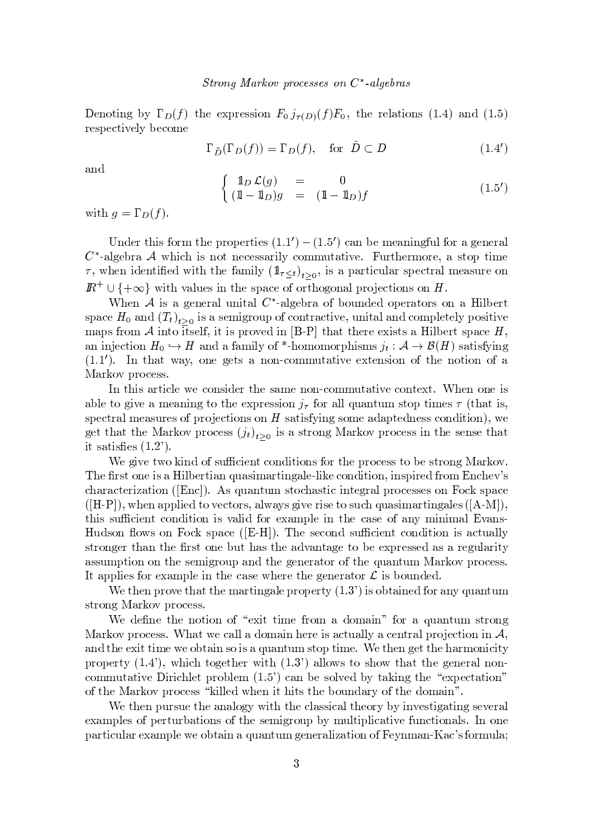Depating by  $\Gamma_{\mathcal{D}}(f)$  the expression  $F_{\alpha\beta}(\mathcal{D})F_{\alpha}$  the relations (1.4) and (1.5) where  $\mathbf{x} = \mathbf{x} + \mathbf{y} + \mathbf{z}$  is a set  $\mathbf{x} = \mathbf{x} + \mathbf{y} + \mathbf{z}$ 

$$
\Gamma_{\tilde{D}}(\Gamma_D(f)) = \Gamma_D(f), \quad \text{for } \tilde{D} \subset D \tag{1.4'}
$$

y and the state of the state of the state of the state of the state of the state of the state of the state of

$$
\begin{cases}\n\mathbb{1}_D \mathcal{L}(g) &= 0\\
(\mathbb{1} - \mathbb{1}_D)g &= (\mathbb{1} - \mathbb{1}_D)f\n\end{cases}
$$
\n(1.5')

with  $a = \Gamma_n(f)$ 

 <sup>s</sup> <sup>w</sup> <sup>t</sup> <sup>~</sup> <sup>v</sup> { w| <sup>t</sup> <sup>s</sup> <sup>w</sup> { <sup>s</sup> <sup>w</sup> <sup>t</sup> <sup>~</sup> <sup>s</sup> <sup>v</sup> ¨ ¨ <sup>D</sup> ¨ £ <sup>D</sup> <sup>x</sup> <sup>y</sup> } <sup>s</sup> <sup>|</sup> <sup>s</sup> <sup>y</sup> ~ u <sup>z</sup> { <sup>w</sup> <sup>y</sup> <sup>s</sup> <sup>s</sup> <sup>w</sup> <sup>y</sup> <sup>z</sup> b ¡ <sup>y</sup> <sup>z</sup> <sup>s</sup> } <sup>w</sup> <sup>y</sup> ; ~ <sup>x</sup> <sup>~</sup> <sup>v</sup> { t <sup>s</sup> <sup>x</sup> <sup>s</sup> <sup>v</sup> <sup>v</sup> <sup>y</sup> <sup>w</sup> ~z <sup>x</sup> { <sup>|</sup> <sup>|</sup> <sup>u</sup> <sup>t</sup> <sup>y</sup> <sup>t</sup> ~ <sup>s</sup> E <sup>u</sup> wt <sup>s</sup> <sup>w</sup> <sup>|</sup> { <sup>w</sup> <sup>s</sup> <sup>y</sup> <sup>v</sup> <sup>t</sup> { <sup>t</sup> <sup>~</sup> <sup>|</sup> <sup>s</sup>  $\tau$  when identified with the family  $(1-z)$ , is a particular spectral measure on  $I\!\!R^+ \cup \{ + \infty \}$  with values in the space of orthogonal projections on H.

 <sup>s</sup> ; <sup>~</sup> <sup>v</sup> <sup>y</sup> <sup>s</sup> <sup>s</sup> <sup>w</sup> <sup>y</sup> <sup>z</sup> <sup>u</sup> <sup>~</sup> <sup>t</sup> <sup>y</sup> <sup>z</sup> b ¡ <sup>y</sup> <sup>z</sup> <sup>s</sup> } <sup>w</sup> <sup>y</sup> { } { <sup>u</sup> s { <sup>s</sup> <sup>w</sup> <sup>y</sup> <sup>t</sup> { <sup>w</sup> <sup>v</sup> { <sup>y</sup> § <sup>~</sup> <sup>z</sup> } <sup>s</sup> <sup>w</sup> <sup>t</sup> space  $H_0$  and  $(T_t)$ , is a semigroup of contractive, unital and completely positive | <sup>y</sup> <sup>v</sup> <sup>w</sup> { <sup>|</sup> ; <sup>~</sup> <sup>t</sup> { <sup>~</sup> <sup>t</sup> <sup>v</sup> <sup>s</sup> <sup>z</sup> <sup>~</sup> <sup>t</sup> <sup>~</sup> <sup>v</sup> <sup>w</sup> { <sup>s</sup> <sup>~</sup> <sup>4</sup> ¡ t <sup>y</sup> tt <sup>s</sup> <sup>w</sup> <sup>s</sup> <sup>s</sup> <sup>~</sup> <sup>v</sup> <sup>t</sup> <sup>v</sup> <sup>y</sup> § <sup>~</sup> <sup>z</sup> } <sup>s</sup> <sup>w</sup> <sup>t</sup> <sup>v</sup> <sup>y</sup> <sup>x</sup> <sup>s</sup> <sup>9</sup> on injection  $H_{\alpha} \in H$  and a family of  $*$  homomorphisms  $\alpha \in A \setminus R(H)$  satisfying  $\{a \mid a \in \mathbb{N} \}$  is the set of the set values of  $\{a \mid a \in \mathbb{N} \}$  ,  $\{a \mid a \in \mathbb{N} \}$  ,  $\{a \mid a \in \mathbb{N} \}$  ,  $\{a \mid a \in \mathbb{N} \}$  ,  $\{a \mid a \in \mathbb{N} \}$  ,  $\{a \mid a \in \mathbb{N} \}$  ,  $\{a \mid a \in \mathbb{N} \}$  ,  $\{a \mid a \in \mathbb{N} \}$  ,  $\$ <sup>y</sup> <sup>w</sup> { <sup>w</sup> { <sup>x</sup> <sup>s</sup> <sup>v</sup> <sup>v</sup>

t and the v s  $\alpha$  s  $\alpha$  in the v s  $\alpha$  s  $\alpha$  in the v s  $\alpha$  s  $\alpha$  in the v s  $\alpha$  v  $\alpha$  in the v  $\alpha$  v  $\alpha$  v  $\alpha$  v  $\alpha$  v  $\alpha$  v  $\alpha$  v  $\alpha$  v  $\alpha$  v  $\alpha$  v  $\alpha$  v  $\alpha$  v  $\alpha$  v  $\alpha$  v  $\alpha$  v  $\alpha$  v  $\alpha$  v  $\alpha$   ${\bf x}$  s t  ${\bf y}$  is the state  ${\bf y}$  in the state  ${\bf y}$  is the state  ${\bf y}$  of  ${\bf y}$  is vertex to  ${\bf y}$  the state  ${\bf y}$ v s y vu w s y vu w s y vu w s y vu w s y vu w y vu w y vu w y vu w y vu w y vu w y vu w y vu w y vu w y vu w get that the Markoy process  $(i_1)$ , is a strong Markoy process in the sense that  $\cdot$  to be a set of the set of  $\cdot$ 

We give two kind of sufficient conditions for the process to be strong Markov. s <sup>w</sup> <sup>v</sup> <sup>t</sup> { <sup>s</sup> ~v <sup>y</sup> § <sup>~</sup> <sup>z</sup> } <sup>s</sup> <sup>w</sup> <sup>t</sup> <sup>~</sup> <sup>y</sup> <sup>u</sup> <sup>y</sup> <sup>v</sup> <sup>~</sup> <sup>|</sup> <sup>y</sup> <sup>w</sup> <sup>t</sup> <sup>~</sup> <sup>y</sup> <sup>z</sup> <sup>s</sup> ¡z <sup>~</sup> <sup>s</sup> <sup>x</sup> { <sup>~</sup> t~{ <sup>~</sup> <sup>v</sup> <sup>~</sup> <sup>w</sup> <sup>s</sup> <sup>w</sup> { <sup>|</sup> <sup>x</sup> <sup>s</sup> <sup>8</sup> <sup>v</sup>  $x$  y w  $y$  is a w  $y$  v t  $\cdots$  w  $y$  is a v  $y$  v t  $\cdots$  w  $x$  v  $\cdots$   $x$  v  $\cdots$   $x$   $\cdots$   $x$   $\cdots$   $x$   $\cdots$   $x$   $\cdots$   $x$   $\cdots$   $x$   $\cdots$   $x$   $\cdots$   $x$   $\cdots$   $x$   $\cdots$   $x$   $\cdots$   $x$   $\cdots$   $x$   $\cdots$   $x$   $\cdots$   $x$  § ¡ s <sup>y</sup> <sup>z</sup> <sup>~</sup> <sup>s</sup> t{ <sup>s</sup> <sup>x</sup> <sup>t</sup> { <sup>w</sup> <sup>v</sup> y <sup>z</sup> <sup>y</sup> v <sup>~</sup> <sup>s</sup> <sup>w</sup> <sup>~</sup> <sup>v</sup> <sup>s</sup> <sup>t</sup> { <sup>v</sup> <sup>u</sup> <sup>x</sup> <sup>u</sup> <sup>y</sup> <sup>v</sup> <sup>~</sup> <sup>|</sup> <sup>y</sup> <sup>w</sup> <sup>t</sup> ~ <sup>y</sup> <sup>z</sup> <sup>s</sup> <sup>v</sup> ¢ ¡ t v v v v v v v v v v v s startet v v v s s s s s s y v s y v s y v s y v s y v s y v s y v s y v s y v s y s § u <sup>v</sup> { { <sup>v</sup> { <sup>E</sup> { <sup>x</sup> <sup>v</sup> <sup>y</sup> <sup>x</sup> <sup>s</sup> ¡ § s <sup>v</sup> <sup>s</sup> <sup>x</sup> { <sup>v</sup> <sup>u</sup> <sup>x</sup> <sup>~</sup> <sup>s</sup> <sup>t</sup> <sup>x</sup> { ~t ~{ <sup>~</sup> <sup>v</sup> <sup>y</sup> <sup>x</sup> <sup>t</sup> <sup>u</sup> <sup>y</sup> <sup>z</sup> <sup>z</sup>  ${\bf u}$  which is a write  ${\bf v}$  that  ${\bf v}$  is substituting the set  ${\bf v}$  v  ${\bf v}$  which is set  ${\bf v}$  which is strong to  ${\bf v}$  ${\color{black} \alpha \in \mathbb{N}^d}$  , where  ${\color{black} \alpha \in \mathbb{N}^d}$  , we will will will be a set of unit  ${\color{black} \alpha \in \mathbb{N}^d}$  , we will be a set of unit  ${\color{black} \alpha \in \mathbb{N}^d}$  , we will be a set of unit  ${\color{black} \alpha \in \mathbb{N}^d}$  , we will be a se t y s v s v s v s  $x$  s  $x$  s  $x$  s  $x$  w  $x$  w  $x$  w  $x$  w  $x$  w  $x$  w  $x$  w  $x$  w  $x$  w  $x$  w  $x$  w  $x$  w  $x$  w  $x$  w  $x$  w  $x$  w  $x$  w  $x$  w  $x$  w  $x$  w  $x$  w  $x$  w  $x$  w  $x$  w  $x$  w  $x$  w  $x$  w  $x$  w  $x$  w  $x$  w  $x$  w

 <sup>s</sup> <sup>t</sup> s <sup>w</sup> { <sup>s</sup> <sup>t</sup> <sup>y</sup> <sup>t</sup> <sup>t</sup> s| <sup>y</sup> wt ~ <sup>y</sup> <sup>z</sup> <sup>s</sup> <sup>w</sup> { <sup>s</sup> <sup>w</sup> <sup>t</sup> ¨ <sup>8</sup> <sup>~</sup> <sup>v</sup> { } <sup>t</sup> <sup>y</sup> <sup>~</sup> s { <sup>w</sup> <sup>y</sup> <sup>u</sup> <sup>y</sup> <sup>t</sup> <sup>u</sup> <sup>|</sup> v t w  ${\bf w}$  w  ${\bf w}$  w  ${\bf w}$  where  ${\bf w}$  we will be a vertex vertex vertex vertex vertex vertex vertex vertex vertex vertex vertex vertex vertex vertex vertex vertex vertex vertex vertex vertex vertex vertex vertex ver

We define the notion of "exit time from a domain" for a quantum strong y w  ${ \bf w }$  we set to define the set of which is a set of which is a set of which is a set of which is a set of y the set of the set of the set of the set of the set of the set of the set of the set of the set of the set of where  ${x}$  is a state of the state  ${y}$  is a state of the state of the state  ${y}$  is a state of the state  ${y}$ x { <sup>|</sup> <sup>|</sup> <sup>u</sup> <sup>t</sup> <sup>y</sup> <sup>t</sup> ~ <sup>s</sup> <sup>~</sup> <sup>w</sup> <sup>~</sup> <sup>x</sup> <sup>z</sup> <sup>s</sup> <sup>t</sup> <sup>w</sup> { } <sup>z</sup> <sup>s</sup> <sup>|</sup> ¨ £ <sup>8</sup> <sup>x</sup> <sup>y</sup> } sv { <sup>z</sup> <sup>s</sup> } <sup>t</sup> <sup>y</sup> <sup>~</sup> <sup>t</sup> <sup>s</sup> <sup>s</sup> <sup>s</sup> <sup>x</sup> <sup>t</sup> <sup>y</sup> <sup>t</sup> ~{  ${\color{red}7}$  , the set of the set of the set of the set of the set of the set of the set of the set of the set of the set of the set of the set of the set of the set of the set of the set of the set of the set of the set of

We then pursue the analogy with the classical theory by investigating several s <sup>y</sup> <sup>|</sup> <sup>z</sup> <sup>s</sup> <sup>v</sup> { <sup>s</sup> <sup>w</sup> <sup>t</sup> <sup>u</sup> <sup>w</sup> } <sup>y</sup> <sup>t</sup> ~{ <sup>v</sup> { <sup>t</sup> <sup>s</sup> <sup>v</sup> <sup>s</sup> <sup>|</sup> <sup>~</sup> <sup>w</sup> { <sup>u</sup> } <sup>|</sup> <sup>u</sup> <sup>z</sup> <sup>t</sup> <sup>~</sup> <sup>z</sup> <sup>~</sup> <sup>x</sup> <sup>y</sup> <sup>t</sup> ~ <sup>s</sup> <sup>u</sup> <sup>x</sup> <sup>t</sup> <sup>~</sup> { <sup>y</sup> <sup>z</sup> <sup>v</sup> { <sup>s</sup>  $\boldsymbol{\gamma}$  , we set y as a set of the set of the set of the set of the set of the set of the set of the set of the set of the set of the set of the set of the set of the set of the set of the set of the set of the set of th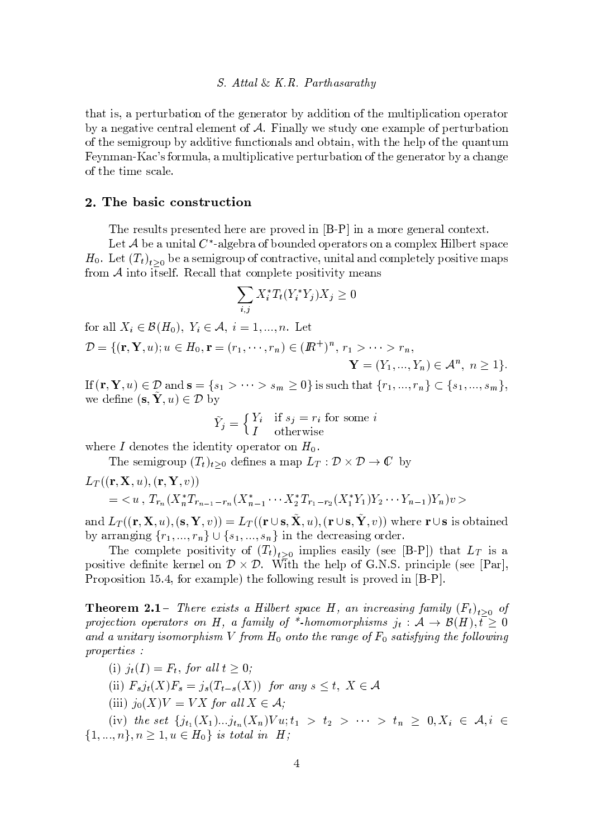that is, a perturbation of the generator by addition of the multiplication operator by a negative central element of  $A$ . Finally we study one example of perturbation of the semigroup by additive functionals and obtain, with the help of the quantum Feynman-Kac's formula, a multiplicative perturbation of the generator by a change of the time scale.

## 2. The basic construction

The results presented here are proved in [B-P] in a more general context.

Let  $A$  be a unital  $C^*$ -algebra of bounded operators on a complex Hilbert space  $H_0$ . Let  $(T_t)_{t>0}$  be a semigroup of contractive, unital and completely positive maps from  $A$  into itself. Recall that complete positivity means

$$
\sum_{i,j} X_i^* T_t(Y_i^* Y_j) X_j \ge 0
$$

for all  $X_i \in \mathcal{B}(H_0)$ ,  $Y_i \in \mathcal{A}, i = 1, ..., n$ . Let  $\mathcal{D} = \{(\mathbf{r}, \mathbf{Y}, u); u \in H_0, \mathbf{r} = (r_1, \dots, r_n) \in (\mathbb{R}^+)^n, r_1 > \dots > r_n,$  $\mathbf{Y} = (Y_1, ..., Y_n) \in \mathcal{A}^n, n \ge 1$ .

If  $(\mathbf{r}, \mathbf{Y}, u) \in \mathcal{D}$  and  $\mathbf{s} = \{s_1 > \cdots > s_m \geq 0\}$  is such that  $\{r_1, ..., r_n\} \subset \{s_1, ..., s_m\},$ we define  $(\mathbf{s}, \mathbf{Y}, u) \in \mathcal{D}$  by

$$
\tilde{Y}_j = \begin{cases} Y_i & \text{if } s_j = r_i \text{ for some } i\\ I & \text{otherwise} \end{cases}
$$

where I denotes the identity operator on  $H_0$ .

The semigroup  $(T_t)_{t>0}$  defines a map  $L_T : \mathcal{D} \times \mathcal{D} \to \mathbb{C}$  by

$$
L_T((\mathbf{r}, \mathbf{X}, u), (\mathbf{r}, \mathbf{Y}, v))
$$
  
=  $\langle u, T_{r_n}(X_n^*T_{r_{n-1}-r_n}(X_{n-1}^* \cdots X_2^*T_{r_1-r_2}(X_1^*Y_1)Y_2 \cdots Y_{n-1})Y_n)v \rangle$ 

and  $L_T((\mathbf{r}, \mathbf{X}, u), (\mathbf{s}, \mathbf{Y}, v)) = L_T((\mathbf{r} \cup \mathbf{s}, \tilde{\mathbf{X}}, u), (\mathbf{r} \cup \mathbf{s}, \tilde{\mathbf{Y}}, v))$  where  $\mathbf{r} \cup \mathbf{s}$  is obtained by arranging  $\{r_1, ..., r_n\} \cup \{s_1, ..., s_n\}$  in the decreasing order.

The complete positivity of  $(T_t)_{t>0}$  implies easily (see [B-P]) that  $L_T$  is a positive definite kernel on  $\mathcal{D} \times \mathcal{D}$ . With the help of G.N.S. principle (see [Par], Proposition 15.4, for example) the following result is proved in  $[B-P]$ .

**Theorem 2.1** – There exists a Hilbert space H, an increasing family  $(F_t)_{t>0}$  of projection operators on H, a family of \*-homomorphisms  $j_t : A \to B(H), t \geq 0$ and a unitary isomorphism V from  $H_0$  onto the range of  $F_0$  satisfying the following  $properties:$ 

- (i)  $j_t(I) = F_t$ , for all  $t \geq 0$ ;
- (ii)  $F_s j_t(X) F_s = j_s(T_{t-s}(X))$  for any  $s \le t$ ,  $X \in \mathcal{A}$
- (iii)  $j_0(X)V = VX$  for all  $X \in \mathcal{A}$ :

(iv) the set  $\{j_{t_1}(X_1)...j_{t_n}(X_n)Vu; t_1 > t_2 > ... > t_n \geq 0, X_i \in \mathcal{A}, i \in$  $\{1, ..., n\}, n \geq 1, u \in H_0\}$  is total in H;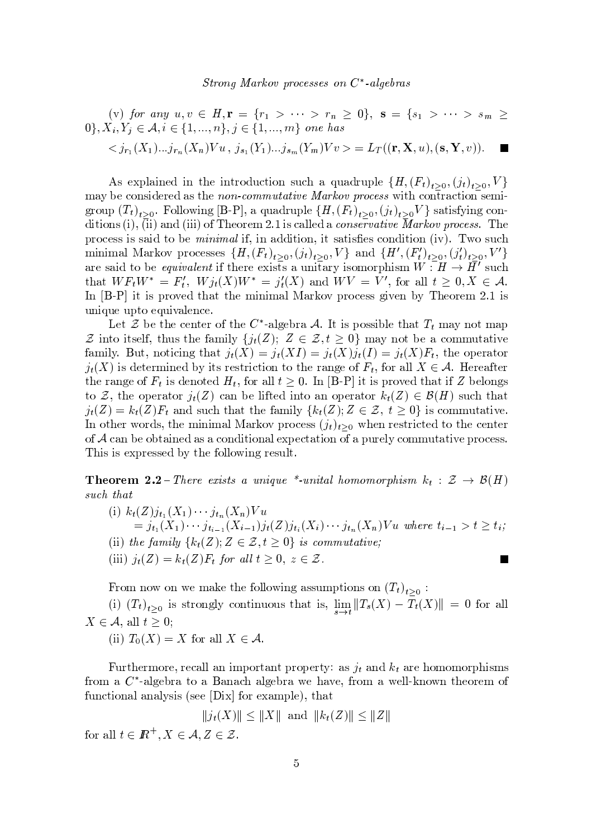(v) for any 
$$
u, v \in H
$$
,  $\mathbf{r} = \{r_1 > \cdots > r_n \ge 0\}$ ,  $\mathbf{s} = \{s_1 > \cdots > s_m \ge 0\}$ ,  $X_i, Y_j \in \mathcal{A}, i \in \{1, ..., n\}$ ,  $j \in \{1, ..., m\}$  one has  $\langle j_{r_1}(X_1)...j_{r_n}(X_n)Vu, j_{s_1}(Y_1)...j_{s_m}(Y_m)Vv \rangle = L_T((\mathbf{r}, \mathbf{X}, u), (\mathbf{s}, \mathbf{Y}, v))$ .

As explained in the introduction such a quadruple  $\{H,(F_t)_{t>0},(j_t)_{t>0},V\}$ may be considered as the non-commutative Markov process with contraction semigroup  $(T_t)_{t>0}$ . Following [B-P], a quadruple  $\{H,(F_t)_{t>0},(j_t)_{t>0}V\}$  satisfying conditions (i), (ii) and (iii) of Theorem 2.1 is called a *conservative Markov process*. The process is said to be *minimal* if, in addition, it satisfies condition (iv). Two such minimal Markov processes  $\{H,(F_t)_{t>0},(j_t)_{t>0},V\}$  and  $\{H',(F'_t)_{t>0},(j'_t)_{t>0},V'\}$ are said to be *equivalent* if there exists a unitary isomorphism  $W : H \to \overline{H}'$  such that  $WF_tW^* = F'_t$ ,  $Wj_t(X)W^* = j'_t(X)$  and  $WV = V'$ , for all  $t \geq 0, X \in \mathcal{A}$ . In [B-P] it is proved that the minimal Markov process given by Theorem 2.1 is unique upto equivalence.

Let Z be the center of the C<sup>\*</sup>-algebra A. It is possible that  $T_t$  may not map  $\mathcal Z$  into itself, thus the family  $\{j_t(Z); Z \in \mathcal Z, t \geq 0\}$  may not be a commutative family. But, noticing that  $j_t(X) = j_t(XI) = j_t(X)j_t(I) = j_t(X)F_t$ , the operator  $j_t(X)$  is determined by its restriction to the range of  $F_t$ , for all  $X \in \mathcal{A}$ . Hereafter the range of  $F_t$  is denoted  $H_t$ , for all  $t \geq 0$ . In [B-P] it is proved that if Z belongs to Z, the operator  $j_t(Z)$  can be lifted into an operator  $k_t(Z) \in \mathcal{B}(H)$  such that  $j_t(Z) = k_t(Z)F_t$  and such that the family  $\{k_t(Z); Z \in \mathcal{Z}, t \geq 0\}$  is commutative. In other words, the minimal Markov process  $(j_t)_{t>0}$  when restricted to the center of  $A$  can be obtained as a conditional expectation of a purely commutative process. This is expressed by the following result.

**Theorem 2.2** – There exists a unique \*-unital homomorphism  $k_t : \mathcal{Z} \to \mathcal{B}(H)$ such that

(i)  $k_t(Z)j_{t_1}(X_1)\cdots j_{t_n}(X_n)Vu$  $= j_{t_1}(X_1) \cdots j_{t_{i-1}}(X_{i-1}) j_t(Z) j_{t_i}(X_i) \cdots j_{t_n}(X_n) V u$  where  $t_{i-1} > t \geq t_i$ ; (ii) the family  $\{k_t(Z); Z \in \mathcal{Z}, t \geq 0\}$  is commutative; (iii)  $j_t(Z) = k_t(Z)F_t$  for all  $t \geq 0, z \in \mathcal{Z}$ .  $\overline{\phantom{a}}$ 

From now on we make the following assumptions on  $(T_t)_{t>0}$ :

(i)  $(T_t)_{t\geq 0}$  is strongly continuous that is,  $\lim_{s\to t}||T_s(X) - \overline{T}_t(X)|| = 0$  for all  $X \in \mathcal{A}$ , all  $t \geq 0$ ;

(ii)  $T_0(X) = X$  for all  $X \in \mathcal{A}$ .

Furthermore, recall an important property: as  $j_t$  and  $k_t$  are homomorphisms from a  $C^*$ -algebra to a Banach algebra we have, from a well-known theorem of functional analysis (see [Dix] for example), that

$$
||j_t(X)|| \le ||X||
$$
 and  $||k_t(Z)|| \le ||Z||$ 

for all  $t \in I\!\!R^+, X \in \mathcal{A}, Z \in \mathcal{Z}$ .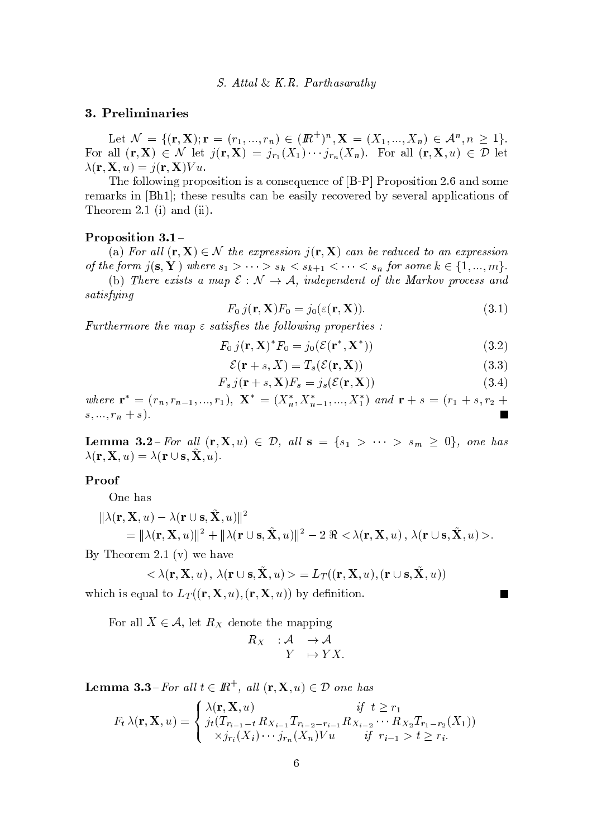## 3. Preliminaries

Let  $\mathcal{N} = \{(\mathbf{r}, \mathbf{X}); \mathbf{r} = (r_1, ..., r_n) \in (\mathbb{R}^+)^n, \mathbf{X} = (X_1, ..., X_n) \in \mathcal{A}^n, n \geq 1\}.$ For all  $(\mathbf{r}, \mathbf{X}) \in \mathcal{N}$  let  $j(\mathbf{r}, \mathbf{X}) = j_{r_1}(X_1) \cdots j_{r_n}(X_n)$ . For all  $(\mathbf{r}, \mathbf{X}, u) \in \mathcal{D}$  let  $\lambda(\mathbf{r}, \mathbf{X}, u) = j(\mathbf{r}, \mathbf{X}) V u.$ 

The following proposition is a consequence of [B-P] Proposition 2.6 and some remarks in [Bh1]; these results can be easily recovered by several applications of Theorem 2.1 (i) and (ii).

## Proposition  $3.1 -$

(a) For all  $(\mathbf{r}, \mathbf{X}) \in \mathcal{N}$  the expression  $j(\mathbf{r}, \mathbf{X})$  can be reduced to an expression of the form  $j(s, Y)$  where  $s_1 > \cdots > s_k < s_{k+1} < \cdots < s_n$  for some  $k \in \{1, ..., m\}$ . (b) There exists a map  $\mathcal{E}: \mathcal{N} \to \mathcal{A}$ , independent of the Markov process and

 $satisfying$ 

$$
F_0 j(\mathbf{r}, \mathbf{X}) F_0 = j_0(\varepsilon(\mathbf{r}, \mathbf{X})).
$$
\n(3.1)

Furthermore the map  $\varepsilon$  satisfies the following properties :

$$
F_0 j(\mathbf{r}, \mathbf{X})^* F_0 = j_0(\mathcal{E}(\mathbf{r}^*, \mathbf{X}^*))
$$
\n(3.2)

$$
\mathcal{E}(\mathbf{r} + s, X) = T_s(\mathcal{E}(\mathbf{r}, \mathbf{X}))
$$
\n(3.3)

$$
F_s j(\mathbf{r} + s, \mathbf{X}) F_s = j_s(\mathcal{E}(\mathbf{r}, \mathbf{X}))
$$
\n(3.4)

where  $\mathbf{r}^* = (r_n, r_{n-1},..., r_1), \mathbf{X}^* = (X_n^*, X_{n-1}^*,..., X_1^*)$  and  $\mathbf{r} + s = (r_1 + s, r_2 + s)$  $s, \ldots, r_n + s$ .

**Lemma 3.2**-For all  $(\mathbf{r}, \mathbf{X}, u) \in \mathcal{D}$ , all  $\mathbf{s} = \{s_1 > \cdots > s_m \geq 0\}$ , one has  $\lambda(\mathbf{r}, \mathbf{X}, u) = \lambda(\mathbf{r} \cup \mathbf{s}, \tilde{\mathbf{X}}, u).$ 

#### Proof

One has

$$
\|\lambda(\mathbf{r}, \mathbf{X}, u) - \lambda(\mathbf{r} \cup \mathbf{s}, \tilde{\mathbf{X}}, u)\|^2
$$
  
=  $\|\lambda(\mathbf{r}, \mathbf{X}, u)\|^2 + \|\lambda(\mathbf{r} \cup \mathbf{s}, \tilde{\mathbf{X}}, u)\|^2 - 2 \Re \langle \lambda(\mathbf{r}, \mathbf{X}, u), \lambda(\mathbf{r} \cup \mathbf{s}, \tilde{\mathbf{X}}, u) \rangle.$ 

By Theorem 2.1 (v) we have

$$
<\lambda({\bf r},{\bf X},u)\,,\,\lambda({\bf r}\cup{\bf s},{\bf X},u)> \; =L_{T}(({\bf r},{\bf X},u),({\bf r}\cup{\bf s},{\bf X},u))
$$

which is equal to  $L_T((\mathbf{r}, \mathbf{X}, u), (\mathbf{r}, \mathbf{X}, u))$  by definition.

For all  $X \in \mathcal{A}$ , let  $R_X$  denote the mapping

$$
\begin{array}{ccc} R_X & : \mathcal{A} & \to \mathcal{A} \\ & Y & \mapsto YX \end{array}
$$

**Lemma 3.3**-For all  $t \in \mathbb{R}^+$ , all  $(\mathbf{r}, \mathbf{X}, u) \in \mathcal{D}$  one has

$$
F_t \lambda(\mathbf{r}, \mathbf{X}, u) = \begin{cases} \lambda(\mathbf{r}, \mathbf{X}, u) & \text{if } t \geq r_1 \\ j_t(T_{r_{i-1}-t} R_{X_{i-1}} T_{r_{i-2}-r_{i-1}} R_{X_{i-2}} \cdots R_{X_2} T_{r_1-r_2}(X_1)) \\ \times j_{r_i}(X_i) \cdots j_{r_n}(X_n) V u & \text{if } r_{i-1} > t \geq r_i. \end{cases}
$$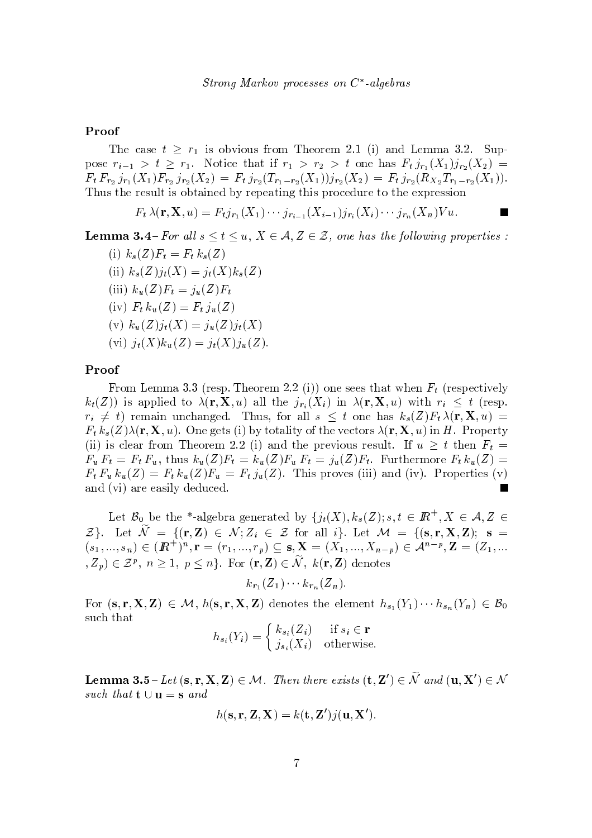## Proof

The case  $t \geq r_1$  is obvious from Theorem 2.1 (i) and Lemma 3.2. Suppose  $r_{i-1} > t \geq r_1$ . Notice that if  $r_1 > r_2 > t$  one has  $F_t j_{r_1}(X_1) j_{r_2}(X_2) =$  $F_t F_{r_2} j_{r_1}(X_1) F_{r_2} j_{r_2}(X_2) = F_t j_{r_2}(T_{r_1-r_2}(X_1)) j_{r_2}(X_2) = F_t j_{r_2}(R_{X_2} T_{r_1-r_2}(X_1)).$ Thus the result is obtained by repeating this procedure to the expression

$$
F_t\,\lambda({\bf r},{\bf X},u)=F_tj_{r_1}(X_1)\cdots j_{r_{i-1}}(X_{i-1})j_{r_i}(X_i)\cdots j_{r_n}(X_n)Vu.
$$

**Lemma 3.4**-For all  $s \le t \le u$ ,  $X \in \mathcal{A}, Z \in \mathcal{Z}$ , one has the following properties:

(i)  $k_s(Z)F_t = F_t k_s(Z)$ (ii)  $k_s(Z)j_t(X) = j_t(X)k_s(Z)$ (iii)  $k_u(Z)F_t = j_u(Z)F_t$ (iv)  $F_t k_u(Z) = F_t j_u(Z)$ (v)  $k_u(Z)j_t(X) = j_u(Z)j_t(X)$ (vi)  $j_t(X)k_u(Z) = j_t(X)j_u(Z)$ .

## Proof

From Lemma 3.3 (resp. Theorem 2.2 (i)) one sees that when  $F_t$  (respectively  $k_t(Z)$  is applied to  $\lambda(\mathbf{r}, \mathbf{X}, u)$  all the  $j_{r_i}(X_i)$  in  $\lambda(\mathbf{r}, \mathbf{X}, u)$  with  $r_i \leq t$  (resp.  $r_i \neq t$  remain unchanged. Thus, for all  $s \leq t$  one has  $k_s(Z)F_t \lambda(\mathbf{r}, \mathbf{X}, u)$  $F_t k_s(Z) \lambda(\mathbf{r}, \mathbf{X}, u)$ . One gets (i) by totality of the vectors  $\lambda(\mathbf{r}, \mathbf{X}, u)$  in H. Property (ii) is clear from Theorem 2.2 (i) and the previous result. If  $u \geq t$  then  $F_t =$  $F_u F_t = F_t F_u$ , thus  $k_u(Z) F_t = k_u(Z) F_u F_t = j_u(Z) F_t$ . Furthermore  $F_t k_u(Z) =$  $F_t F_u k_u(Z) = F_t k_u(Z) F_u = F_t j_u(Z)$ . This proves (iii) and (iv). Properties (v) and (vi) are easily deduced.

Let  $\mathcal{B}_0$  be the \*-algebra generated by  $\{j_t(X), k_s(Z); s, t \in \mathbb{R}^+, X \in \mathcal{A}, Z \in$  $\mathcal{Z}$ . Let  $\widetilde{\mathcal{N}} = \{(\mathbf{r}, \mathbf{Z}) \in \mathcal{N}; Z_i \in \mathcal{Z} \text{ for all } i\}.$  Let  $\mathcal{M} = \{(\mathbf{s}, \mathbf{r}, \mathbf{X}, \mathbf{Z}); \mathbf{s} = \mathcal{N}\}$  $(s_1, ..., s_n) \in (I\!\!R^+)^n$ ,  $\mathbf{r} = (r_1, ..., r_p) \subseteq \mathbf{s}, \mathbf{X} = (X_1, ..., X_{n-p}) \in \mathcal{A}^{n-p}, \mathbf{Z} = (Z_1, ...$  $(Z_p) \in \mathcal{Z}^p$ ,  $n \geq 1$ ,  $p \leq n$ . For  $(\mathbf{r}, \mathbf{Z}) \in \widetilde{\mathcal{N}}$ ,  $k(\mathbf{r}, \mathbf{Z})$  denotes

$$
k_{r_1}(Z_1)\cdots k_{r_n}(Z_n).
$$

For  $(s, r, X, Z) \in \mathcal{M}$ ,  $h(s, r, X, Z)$  denotes the element  $h_{s_1}(Y_1) \cdots h_{s_n}(Y_n) \in \mathcal{B}_0$ such that

$$
h_{s_i}(Y_i) = \begin{cases} k_{s_i}(Z_i) & \text{if } s_i \in \mathbf{r} \\ j_{s_i}(X_i) & \text{otherwise} \end{cases}
$$

**Lemma 3.5** - Let  $(s, r, X, Z) \in \mathcal{M}$ . Then there exists  $(t, Z') \in \widetilde{\mathcal{N}}$  and  $(u, X') \in \mathcal{N}$ such that  $\mathbf{t} \cup \mathbf{u} = \mathbf{s}$  and

$$
h(\mathbf{s}, \mathbf{r}, \mathbf{Z}, \mathbf{X}) = k(\mathbf{t}, \mathbf{Z}')j(\mathbf{u}, \mathbf{X}').
$$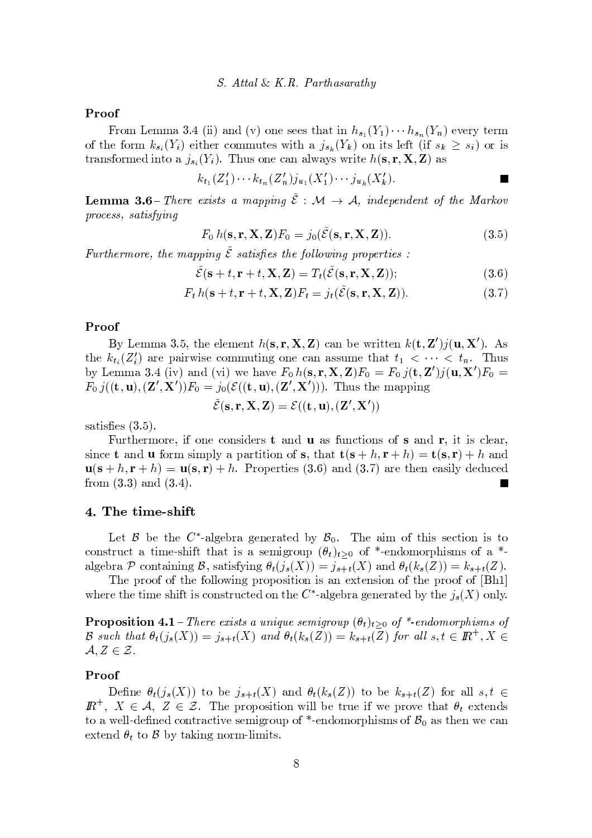#### Proof

From Lemma 3.4 (ii) and (v) one sees that in  $h_{s_1}(Y_1) \cdots h_{s_n}(Y_n)$  every term of the form  $k_{s_i}(Y_i)$  either commutes with a  $j_{s_k}(Y_k)$  on its left (if  $s_k \geq s_i$ ) or is transformed into a  $j_{s_i}(Y_i)$ . Thus one can always write  $h(\mathbf{s}, \mathbf{r}, \mathbf{X}, \mathbf{Z})$  as

$$
k_{t_1}(Z'_1)\cdots k_{t_n}(Z'_n)j_{u_1}(X'_1)\cdots j_{u_k}(X'_k).
$$

**Lemma 3.6** – There exists a mapping  $\tilde{\mathcal{E}}$  :  $\mathcal{M} \to \mathcal{A}$ , independent of the Markov process, satisfying

$$
F_0 h(\mathbf{s}, \mathbf{r}, \mathbf{X}, \mathbf{Z}) F_0 = j_0(\tilde{\mathcal{E}}(\mathbf{s}, \mathbf{r}, \mathbf{X}, \mathbf{Z})).
$$
\n(3.5)

 $\blacksquare$ 

Furthermore, the mapping  $\tilde{\mathcal{E}}$  satisfies the following properties :

$$
\tilde{\mathcal{E}}(\mathbf{s} + t, \mathbf{r} + t, \mathbf{X}, \mathbf{Z}) = T_t(\tilde{\mathcal{E}}(\mathbf{s}, \mathbf{r}, \mathbf{X}, \mathbf{Z}));
$$
\n(3.6)

$$
F_t h(\mathbf{s} + t, \mathbf{r} + t, \mathbf{X}, \mathbf{Z}) F_t = j_t(\tilde{\mathcal{E}}(\mathbf{s}, \mathbf{r}, \mathbf{X}, \mathbf{Z})).
$$
\n(3.7)

## Proof

By Lemma 3.5, the element  $h(s, r, X, Z)$  can be written  $k(t, Z')j(u, X')$ . As the  $k_{t_i}(Z_i')$  are pairwise commuting one can assume that  $t_1 < \cdots < t_n$ . Thus by Lemma 3.4 (iv) and (vi) we have  $F_0 h(\mathbf{s}, \mathbf{r}, \mathbf{X}, \mathbf{Z}) F_0 = F_0 j(\mathbf{t}, \mathbf{Z}') j(\mathbf{u}, \mathbf{X}') F_0 =$  $F_0 j((\mathbf{t}, \mathbf{u}), (\mathbf{Z}', \mathbf{X}'))F_0 = j_0(\mathcal{E}((\mathbf{t}, \mathbf{u}), (\mathbf{Z}', \mathbf{X}')))$ . Thus the mapping

$$
\tilde{\mathcal{E}}(\mathbf{s}, \mathbf{r}, \mathbf{X}, \mathbf{Z}) = \mathcal{E}((\mathbf{t}, \mathbf{u}), (\mathbf{Z}', \mathbf{X}'))
$$

satisfies  $(3.5)$ .

Furthermore, if one considers  $t$  and  $u$  as functions of  $s$  and  $r$ , it is clear, since **t** and **u** form simply a partition of **s**, that  $\mathbf{t}(\mathbf{s} + h, \mathbf{r} + h) = \mathbf{t}(\mathbf{s}, \mathbf{r}) + h$  and  $\mathbf{u}(\mathbf{s}+h,\mathbf{r}+h) = \mathbf{u}(\mathbf{s},\mathbf{r}) + h$ . Properties (3.6) and (3.7) are then easily deduced from  $(3.3)$  and  $(3.4)$ .

#### 4. The time-shift

Let B be the C<sup>\*</sup>-algebra generated by  $\mathcal{B}_0$ . The aim of this section is to construct a time-shift that is a semigroup  $(\theta_t)_{t>0}$  of \*-endomorphisms of a \*algebra  $P$  containing  $B$ , satisfying  $\theta_t(j_s(X)) = j_{s+t}(X)$  and  $\theta_t(k_s(Z)) = k_{s+t}(Z)$ .

The proof of the following proposition is an extension of the proof of [Bh1] where the time shift is constructed on the  $C^*$ -algebra generated by the  $j_s(X)$  only.

**Proposition 4.1** – There exists a unique semigroup  $(\theta_t)_{t>0}$  of \*-endomorphisms of  $\mathcal B$  such that  $\theta_t(j_s(X)) = j_{s+t}(X)$  and  $\theta_t(k_s(Z)) = k_{s+t}(Z)$  for all  $s, t \in \mathbb{R}^+, X \in$  $A, Z \in \mathcal{Z}$ .

#### Proof

Define  $\theta_t(j_s(X))$  to be  $j_{s+t}(X)$  and  $\theta_t(k_s(Z))$  to be  $k_{s+t}(Z)$  for all  $s,t \in$  $\mathbb{R}^+$ ,  $X \in \mathcal{A}, Z \in \mathcal{Z}$ . The proposition will be true if we prove that  $\theta_t$  extends to a well-defined contractive semigroup of \*-endomorphisms of  $\mathcal{B}_0$  as then we can extend  $\theta_t$  to  $\beta$  by taking norm-limits.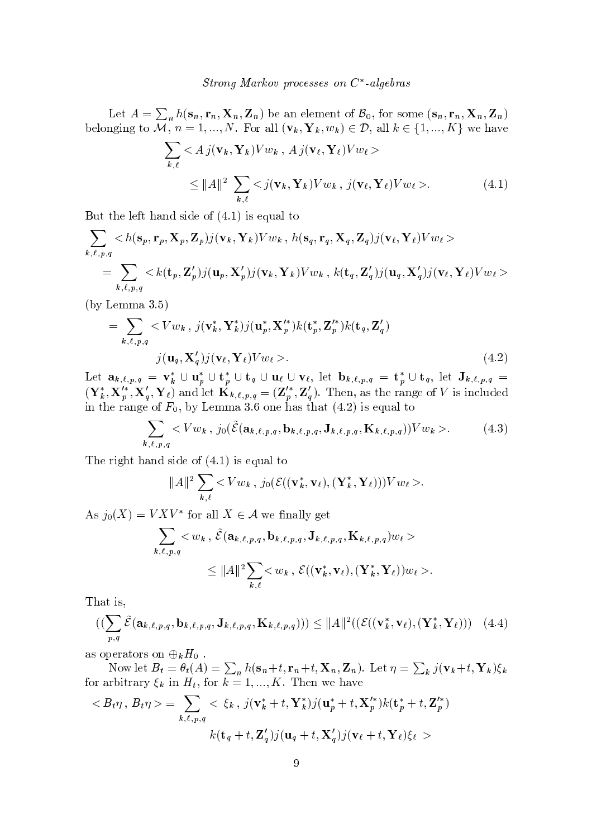Let  $A = \sum_{n} h(\mathbf{s}_n, \mathbf{r}_n, \mathbf{X}_n, \mathbf{Z}_n)$  be an element of  $B_0$ , for some  $(\mathbf{s}_n, \mathbf{r}_n, \mathbf{X}_n, \mathbf{Z}_n)$ belonging to  $\overline{\mathcal{M}}$ ,  $n = 1, ..., N$ . For all  $(\mathbf{v}_k, \mathbf{Y}_k, w_k) \in \mathcal{D}$ , all  $k \in \{1, ..., K\}$  we have

$$
\sum_{k,\ell} < A j(\mathbf{v}_k, \mathbf{Y}_k) V w_k, A j(\mathbf{v}_\ell, \mathbf{Y}_\ell) V w_\ell >
$$
  
\n
$$
\leq \|A\|^2 \sum_{k,\ell} < j(\mathbf{v}_k, \mathbf{Y}_k) V w_k, j(\mathbf{v}_\ell, \mathbf{Y}_\ell) V w_\ell >.
$$
 (4.1)

But the left hand side of  $(4.1)$  is equal to

 $\overline{a}$ 

$$
\sum_{k,\ell,p,q} < h(\mathbf{s}_p, \mathbf{r}_p, \mathbf{X}_p, \mathbf{Z}_p)j(\mathbf{v}_k, \mathbf{Y}_k)Vw_k, \ h(\mathbf{s}_q, \mathbf{r}_q, \mathbf{X}_q, \mathbf{Z}_q)j(\mathbf{v}_\ell, \mathbf{Y}_\ell)Vw_\ell \rangle
$$
\n
$$
= \sum_{k,\ell,p,q} < k(\mathbf{t}_p, \mathbf{Z}_p')j(\mathbf{u}_p, \mathbf{X}_p')j(\mathbf{v}_k, \mathbf{Y}_k)Vw_k, \ k(\mathbf{t}_q, \mathbf{Z}_q')j(\mathbf{u}_q, \mathbf{X}_q')j(\mathbf{v}_\ell, \mathbf{Y}_\ell)Vw_\ell \rangle
$$

 $(by Lemma 3.5)$ 

$$
= \sum_{k,\ell,p,q} \langle Vw_k, j(\mathbf{v}_k^*, \mathbf{Y}_k^*)j(\mathbf{u}_p^*, \mathbf{X}_p'^*)k(\mathbf{t}_p^*, \mathbf{Z}_p'^*)k(\mathbf{t}_q, \mathbf{Z}_q') \rangle
$$
  
 
$$
j(\mathbf{u}_q, \mathbf{X}_q')j(\mathbf{v}_\ell, \mathbf{Y}_\ell)Vw_\ell >.
$$
 (4.2)

Let  $\mathbf{a}_{k,\ell,p,q} = \mathbf{v}_k^* \cup \mathbf{u}_p^* \cup \mathbf{t}_p^* \cup \mathbf{t}_q \cup \mathbf{u}_\ell \cup \mathbf{v}_\ell$ , let  $\mathbf{b}_{k,\ell,p,q} = \mathbf{t}_p^* \cup \mathbf{t}_q$ , let  $\mathbf{J}_{k,\ell,p,q} =$  $(\mathbf{Y}_{k}^{*}, \mathbf{X}_{p}^{'*}, \mathbf{X}_{q}^{'}, \mathbf{Y}_{\ell})$  and let  $\mathbf{K}_{k,\ell,p,q} = (\mathbf{Z}_{p}^{'*}, \mathbf{Z}_{q}^{'})$ . Then, as the range of V is included in the range of  $F_0$ , by Lemma 3.6 one has that (4.2) is equal to

$$
\sum_{k,\ell,p,q} \langle Vw_k, j_0(\tilde{\mathcal{E}}(\mathbf{a}_{k,\ell,p,q}, \mathbf{b}_{k,\ell,p,q}, \mathbf{J}_{k,\ell,p,q}, \mathbf{K}_{k,\ell,p,q}))Vw_k \rangle. \tag{4.3}
$$

The right hand side of  $(4.1)$  is equal to

$$
||A||^2 \sum_{k,\ell} \langle V w_k, j_0(\mathcal{E}((\mathbf{v}_k^*, \mathbf{v}_\ell), (\mathbf{Y}_k^*, \mathbf{Y}_\ell))) V w_\ell \rangle.
$$

As  $j_0(X) = V X V^*$  for all  $X \in \mathcal{A}$  we finally get

$$
\sum_{k,\ell,p,q} \langle w_k, \tilde{\mathcal{E}}(\mathbf{a}_{k,\ell,p,q}, \mathbf{b}_{k,\ell,p,q}, \mathbf{J}_{k,\ell,p,q}, \mathbf{K}_{k,\ell,p,q}) w_{\ell} \rangle
$$
  

$$
\leq ||A||^2 \sum_{k,\ell} \langle w_k, \mathcal{E}((\mathbf{v}_k^*, \mathbf{v}_\ell), (\mathbf{Y}_k^*, \mathbf{Y}_\ell)) w_{\ell} \rangle.
$$

That is,

$$
((\sum_{p,q}\tilde{\mathcal{E}}(\mathbf{a}_{k,\ell,p,q},\mathbf{b}_{k,\ell,p,q},\mathbf{J}_{k,\ell,p,q},\mathbf{K}_{k,\ell,p,q}))) \leq \|A\|^2((\mathcal{E}((\mathbf{v}_k^*,\mathbf{v}_\ell),(\mathbf{Y}_k^*,\mathbf{Y}_\ell)))\tag{4.4})
$$

as operators on  $\bigoplus_k H_0$ .

Now let  $B_t = \theta_t(A) = \sum_n h(\mathbf{s}_n + t, \mathbf{r}_n + t, \mathbf{X}_n, \mathbf{Z}_n)$ . Let  $\eta = \sum_k j(\mathbf{v}_k + t, \mathbf{Y}_k)\xi_k$ for arbitrary  $\xi_k$  in  $H_t$ , for  $k = 1, ..., K$ . Then we have

$$
\langle B_t \eta, B_t \eta \rangle = \sum_{k,\ell,p,q} \langle \xi_k, j(\mathbf{v}_k^* + t, \mathbf{Y}_k^*) j(\mathbf{u}_p^* + t, \mathbf{X}_p'^*) k(\mathbf{t}_p^* + t, \mathbf{Z}_p'^*)
$$

$$
k(\mathbf{t}_q + t, \mathbf{Z}_q') j(\mathbf{u}_q + t, \mathbf{X}_q') j(\mathbf{v}_\ell + t, \mathbf{Y}_\ell) \xi_\ell >
$$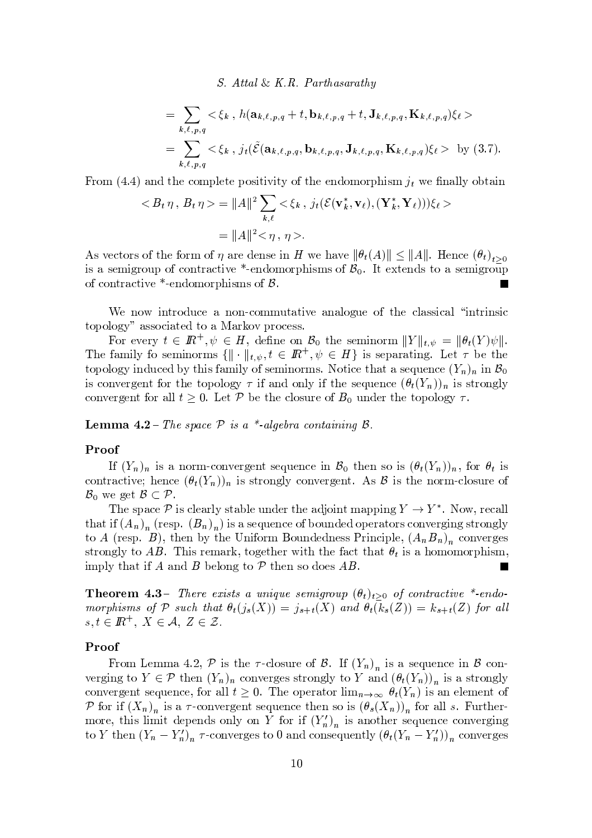S. Attal & K.R. Parthasarathy

$$
= \sum_{k,\ell,p,q} \langle \xi_k, h(\mathbf{a}_{k,\ell,p,q} + t, \mathbf{b}_{k,\ell,p,q} + t, \mathbf{J}_{k,\ell,p,q}, \mathbf{K}_{k,\ell,p,q}) \xi_\ell \rangle
$$
  
= 
$$
\sum_{k,\ell,p,q} \langle \xi_k, j_t(\tilde{\mathcal{E}}(\mathbf{a}_{k,\ell,p,q}, \mathbf{b}_{k,\ell,p,q}, \mathbf{J}_{k,\ell,p,q}, \mathbf{K}_{k,\ell,p,q}) \xi_\ell \rangle \text{ by (3.7)}
$$

From (4.4) and the complete positivity of the endomorphism  $j_t$  we finally obtain

$$
\langle B_t \eta, B_t \eta \rangle = ||A||^2 \sum_{k,\ell} \langle \xi_k, j_t(\mathcal{E}(\mathbf{v}_k^*, \mathbf{v}_\ell), (\mathbf{Y}_k^*, \mathbf{Y}_\ell)) \rangle \xi_\ell \rangle
$$
  
=  $||A||^2 \langle \eta, \eta \rangle$ .

As vectors of the form of  $\eta$  are dense in H we have  $\|\theta_t(A)\| \leq \|A\|$ . Hence  $(\theta_t)_{t>0}$ is a semigroup of contractive \*-endomorphisms of  $\mathcal{B}_0$ . It extends to a semigroup of contractive \*-endomorphisms of  $\beta$ .

We now introduce a non-commutative analogue of the classical "intrinsic topology" associated to a Markov process.

For every  $t \in I\!\!R^+, \psi \in H$ , define on  $\mathcal{B}_0$  the seminorm  $||Y||_{t,\psi} = ||\theta_t(Y)\psi||$ . The family fo seminorms  $\{\|\cdot\|_{t,\psi}, t \in \mathbb{R}^+, \psi \in H\}$  is separating. Let  $\tau$  be the topology induced by this family of seminorms. Notice that a sequence  $(Y_n)_n$  in  $\mathcal{B}_0$ is convergent for the topology  $\tau$  if and only if the sequence  $(\theta_t(Y_n))_n$  is strongly convergent for all  $t \geq 0$ . Let P be the closure of  $B_0$  under the topology  $\tau$ .

**Lemma 4.2** – The space  $P$  is a \*-algebra containing  $\beta$ .

#### Proof

If  $(Y_n)_n$  is a norm-convergent sequence in  $\mathcal{B}_0$  then so is  $(\theta_t(Y_n))_n$ , for  $\theta_t$  is contractive; hence  $(\theta_t(Y_n))_n$  is strongly convergent. As  $\beta$  is the norm-closure of  $\mathcal{B}_0$  we get  $\mathcal{B} \subset \mathcal{P}$ .

The space  $\mathcal P$  is clearly stable under the adjoint mapping  $Y \to Y^*$ . Now, recall that if  $(A_n)_n$  (resp.  $(B_n)_n$ ) is a sequence of bounded operators converging strongly to A (resp. B), then by the Uniform Boundedness Principle,  $(A_nB_n)_n$  converges strongly to AB. This remark, together with the fact that  $\theta_t$  is a homomorphism, imply that if A and B belong to  $P$  then so does AB.

**Theorem 4.3**- There exists a unique semigroup  $(\theta_t)_{t>0}$  of contractive \*-endomorphisms of P such that  $\theta_t(j_s(X)) = j_{s+t}(X)$  and  $\theta_t(k_s(Z)) = k_{s+t}(Z)$  for all  $s,t \in \mathbb{R}^+, X \in \mathcal{A}, Z \in \mathcal{Z}.$ 

## Proof

From Lemma 4.2, P is the  $\tau$ -closure of B. If  $(Y_n)_n$  is a sequence in B converging to  $Y \in \mathcal{P}$  then  $(Y_n)_n$  converges strongly to Y and  $(\theta_t(Y_n))_n$  is a strongly convergent sequence, for all  $t \geq 0$ . The operator  $\lim_{n\to\infty} \theta_t(Y_n)$  is an element of P for if  $(X_n)_n$  is a  $\tau$ -convergent sequence then so is  $(\theta_s(X_n))_n$  for all s. Furthermore, this limit depends only on Y for if  $(Y_n)_n$  is another sequence converging to Y then  $(Y_n - Y'_n)_n$   $\tau$ -converges to 0 and consequently  $(\theta_t(Y_n - Y'_n))_n$  converges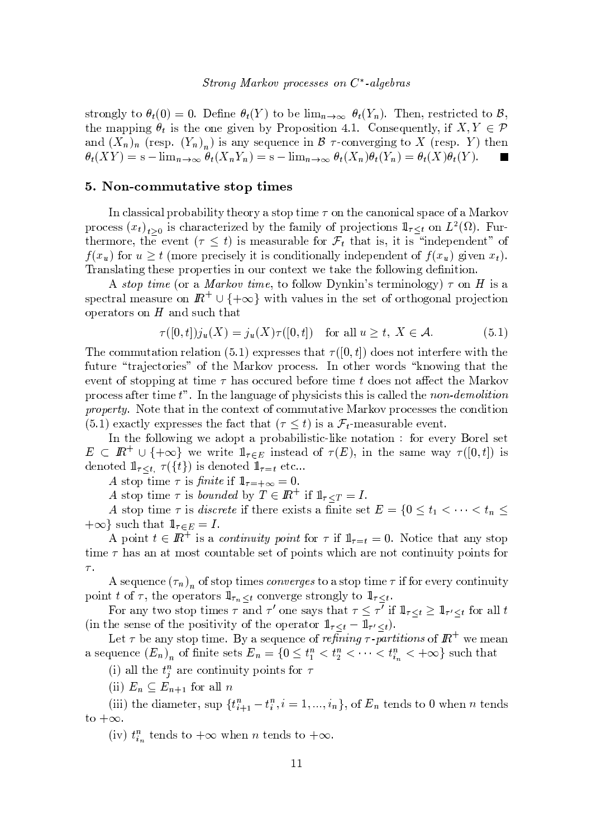strongly to  $\theta$  (0) = 0. Define  $\theta$  (V) to be lime  $\theta$  (V). Then restricted to  $\beta$  $\mathbf{r}$  ,  $\mathbf{r}$  ,  $\mathbf{r}$  ,  $\mathbf{r}$  ,  $\mathbf{r}$  ,  $\mathbf{r}$  ,  $\mathbf{r}$  ,  $\mathbf{r}$  ,  $\mathbf{r}$  ,  $\mathbf{r}$  ,  $\mathbf{r}$  ,  $\mathbf{r}$ y s v  $\alpha$  , we see that we show that we have a set of  $\alpha$  is a set of  $\alpha$  is a weak of  $\alpha$  is a set of  $\alpha$  $A(YV) = g$   $\lim_{x \to a} A(YV) = g$   $\lim_{x \to a} A(Y)A(V) = A(Y)A(V)$ 

#### l and  $\mathbf{A}$  and  $\mathbf{A}$  and  $\mathbf{A}$  and  $\mathbf{A}$  and  $\mathbf{A}$  and  $\mathbf{A}$  and  $\mathbf{A}$  and  $\mathbf{A}$  and  $\mathbf{A}$  and  $\mathbf{A}$  and  $\mathbf{A}$  and  $\mathbf{A}$  and  $\mathbf{A}$  and  $\mathbf{A}$  and  $\mathbf{A}$  and  $\mathbf{A}$  and  $\mathbf{A}$

 $\bm{x}$  ,  $\bm{y}$  ,  $\bm{y}$  ,  $\bm{y}$  ,  $\bm{y}$  ,  $\bm{y}$  ,  $\bm{y}$  ,  $\bm{y}$  ,  $\bm{y}$  ,  $\bm{y}$  ,  $\bm{y}$  ,  $\bm{y}$  ,  $\bm{y}$  ,  $\bm{y}$  ,  $\bm{y}$  ,  $\bm{y}$  ,  $\bm{y}$  ,  $\bm{y}$  ,  $\bm{y}$  ,  $\bm{y}$  ,  $\bm{y}$  ,  $\bm{y}$  ,  $\$ process  $(x_i)$ , is characterized by the family of projections  $\mathbb{1}_{\leq i}$  on  $L^2(\Omega)$ . Furt w s w  $\mathbf{z} = \left\{ \begin{array}{ccc} 0 & \text{if} & \text{if} & \text{if} & \text{if} & \text{if} & \text{if} & \text{if} & \text{if} & \text{if} & \text{if} & \text{if} & \text{if} & \text{if} & \text{if} & \text{if} & \text{if} & \text{if} & \text{if} & \text{if} & \text{if} & \text{if} & \text{if} & \text{if} & \text{if} & \text{if} & \text{if} & \text{if} & \text{if} & \text{if} & \text{if} & \text{if} & \text{if}$  $f(x)$  for  $y > t$  (more precisely it is conditionally independent of  $f(x)$  given x) where  $\alpha$  is the swatch state  $\alpha$  is the state  $\alpha$  such as the state  $\alpha$  such that  $\alpha$ 

A stop time (or a *Markov time* to follow Dynkin's terminology)  $\tau$  on H is a  ${\rm spectral\ measure\ on}\ \,I\!\!R^+\cup\{+\infty\}$  with values in the set of orthogonal projection  ${\bf w}$  where  ${\bf w}$  is the set of the set of the set of the set of the set of the set of the set of the set of the set of the set of the set of the set of the set of the set of the set of the set of the set of the set of

$$
\tau([0,t])j_u(X) = j_u(X)\tau([0,t]) \quad \text{for all } u \ge t, \ X \in \mathcal{A}.
$$
 (5.1)

The commutation relation  $(5, 1)$  expresses that  $\tau([0, 1])$  does not interfere with the  $\alpha$  which we will define the set of the set of the set of the set of the set of the set of the set of the set of the set of the set of the set of the set of the set of the set of the set of the set of the set of the set s to a set  ${\bf x}$  , we set  ${\bf x}$  and  ${\bf x}$  if  ${\bf x}$  is a set of  ${\bf x}$  is two set  ${\bf x}$  ${\bf x}$  , we then  ${\bf x}$  and  ${\bf x}$  and  ${\bf x}$  in the state  ${\bf x}$  ¥ { ts <sup>t</sup> <sup>y</sup> t~ <sup>t</sup> <sup>s</sup> <sup>x</sup> { <sup>t</sup> <sup>s</sup> <sup>t</sup> { <sup>x</sup> { <sup>|</sup> <sup>|</sup> <sup>u</sup> <sup>t</sup> <sup>y</sup> t~ <sup>s</sup> <sup>y</sup> <sup>w</sup> { <sup>w</sup> { <sup>x</sup> <sup>s</sup> <sup>v</sup> <sup>v</sup> <sup>s</sup> <sup>v</sup> <sup>t</sup> <sup>s</sup> <sup>x</sup> { <sup>~</sup> <sup>t</sup> ~{  $\mathcal{L} \subset \mathbb{R}^n$  is a set of the set of the set of  $\mathcal{L} \subset \mathbb{R}^n$  is the set of the set of the set of the set of the set of the set of the set of the set of the set of the set of the set of the set of the set of the

In the following we adopt a probabilistic-like notation : for every Borel set  $E \subset \mathbb{R}^+ \cup \{+\infty\}$  we write  $\mathbb{1}_{\tau \in E}$  instead of  $\tau(E)$ , in the same way  $\tau([0,t])$  is denoted  $\mathbb{1}_{\tau \leq t, \tau(\lbrace t \rbrace)}$  is denoted  $\mathbb{1}_{\tau=t}$  etc...

A stop time  $\tau$  is finite if  $\mathbb{1}_{\tau=+\infty}=0$ .

A stop time  $\tau$  is hounded by  $T \subset \mathbb{R}^+$  if  $\mathbb{1}_{\geq m} = I$ 

A stop time  $\tau$  is discrete if there exists a finite set  $E = \{0 \le t_1 < \cdots < t_n \le$  $+\infty$  such that  $1\!\!1_{\tau\in E} = I$ .

 $\Lambda$  point  $f \subset \mathbb{R}^+$  is a continuate point for  $\pi$  if  $1 \equiv 0$ . Notice that any step t  $\blacksquare$  s v  $\blacksquare$  to the set  $\blacksquare$  to the set  $\blacksquare$  to the set of  $\blacksquare$  to the set of  $\blacksquare$ 

 $\bullet$  . The set of the set of the set of the set of the set of the set of the set of the set of the set of the set of the set of the set of the set of the set of the set of the set of the set of the set of the set of the s { <sup>~</sup> <sup>t</sup> # { <sup>t</sup> <sup>s</sup> { sw <sup>y</sup> t{ <sup>w</sup> <sup>v</sup> ¨z <sup>x</sup> { <sup>s</sup> <sup>w</sup> <sup>s</sup> <sup>v</sup> <sup>t</sup> <sup>w</sup> { <sup>z</sup> <sup>t</sup> { ¨z

For any two stap times  $\tau$  and  $\tau'$  and seve that  $\tau \leq \tau'$  if  $1 \to \infty$  1  $\ldots$  for all  $t$ ~ <sup>t</sup> <sup>s</sup> <sup>v</sup> <sup>s</sup> <sup>v</sup> <sup>s</sup> { <sup>t</sup> <sup>s</sup> { <sup>v</sup> ~t ~ <sup>~</sup> <sup>t</sup> { <sup>t</sup> <sup>s</sup> { <sup>s</sup> <sup>w</sup> <sup>y</sup> <sup>t</sup> { <sup>w</sup> ¨z ¨z

Let  $\tau$  be any stop time. By a sequence of refining  $\tau$ -partitions of  $I\!\!R^+$  we mean a sequence  $(E_n)_n$  of finite sets  $E_n = \{0 \le t_1^n < t_2^n < \cdots < t_{i_n}^n < +\infty\}$  such that

(i) all the  $t^n$  are continuity points for  $\tau$ 

(ii)  $E_r \subset E_{r+1}$  for all n

 $~(\mathrm{iii})~\mathrm{the~diameter},~\mathrm{sup}~\{t^n_{t+1}-t^n_t\}$  $-t_i^n$ ,  $i = 1, ..., i_n$ , of  $E_n$  tends to 0 when *n* tends

 $(\mathrm{i} v)$  the top state  $\pm \infty$  when n top state  $\pm \infty$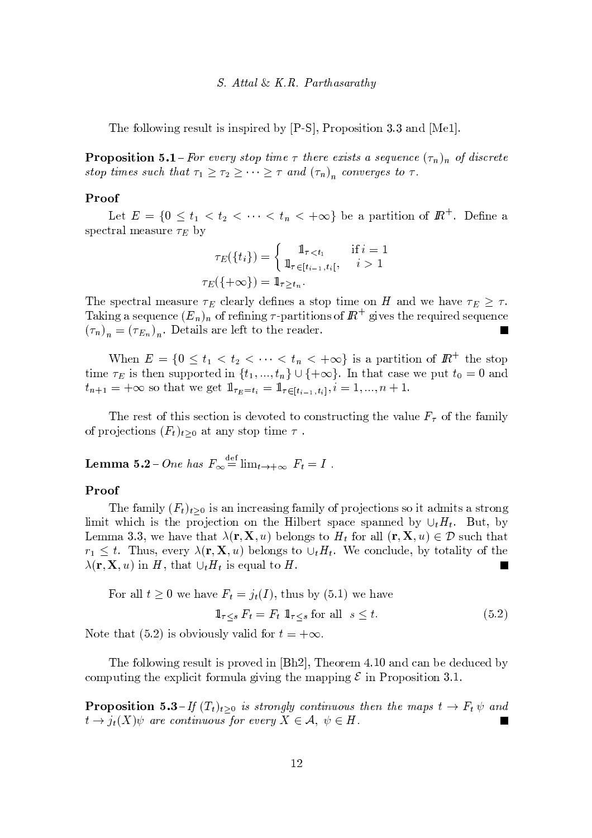#### S. Attal & K.R. Parthasarathy

The following result is inspired by  $[P-S]$ , Proposition 3.3 and  $[Me1]$ .

**Proposition 5.1** – For every stop time  $\tau$  there exists a sequence  $(\tau_n)_n$  of discrete stop times such that  $\tau_1 \geq \tau_2 \geq \cdots \geq \tau$  and  $(\tau_n)_n$  converges to  $\tau$ .

#### Proof

Let  $E = \{0 \le t_1 < t_2 < \cdots < t_n < +\infty\}$  be a partition of  $\mathbb{R}^+$ . Define a spectral measure  $\tau_E$  by

$$
\tau_E(\{t_i\}) = \begin{cases}\n1_{\tau < t_1 \quad \text{if } i = 1 \\
1_{\tau \in [t_{i-1}, t_i]}, \quad i > 1\n\end{cases}
$$
\n
$$
\tau_E(\{\pm \infty\}) = 1_{\tau \ge t_n}.
$$

The spectral measure  $\tau_E$  clearly defines a stop time on H and we have  $\tau_E \geq \tau$ . Taking a sequence  $(E_n)_n$  of refining  $\tau$ -partitions of  $\mathbb{R}^+$  gives the required sequence  $(\tau_n)_n = (\tau_{E_n})_n$ . Details are left to the reader. **The Second Service** 

When  $E = \{0 \le t_1 < t_2 < \cdots < t_n < +\infty\}$  is a partition of  $\mathbb{R}^+$  the stop time  $\tau_E$  is then supported in  $\{t_1, ..., t_n\} \cup \{+\infty\}$ . In that case we put  $t_0 = 0$  and  $t_{n+1} = +\infty$  so that we get  $1\!\!1_{\tau_E = t_i} = 1\!\!1_{\tau \in [t_{i-1}, t_i]}, i = 1, ..., n+1.$ 

The rest of this section is devoted to constructing the value  $F_{\tau}$  of the family of projections  $(F_t)_{t>0}$  at any stop time  $\tau$ .

**Lemma 5.2**-One has  $F_{\infty} \stackrel{\text{def}}{=} \lim_{t \to +\infty} F_t = I$ .

#### Proof

The family  $(F_t)_{t>0}$  is an increasing family of projections so it admits a strong limit which is the projection on the Hilbert space spanned by  $\cup_t H_t$ . But, by Lemma 3.3, we have that  $\lambda(\mathbf{r}, \mathbf{X}, u)$  belongs to  $H_t$  for all  $(\mathbf{r}, \mathbf{X}, u) \in \mathcal{D}$  such that  $r_1 \leq t$ . Thus, every  $\lambda(\mathbf{r}, \mathbf{X}, u)$  belongs to  $\cup_t H_t$ . We conclude, by totality of the  $\lambda(\mathbf{r}, \mathbf{X}, u)$  in H, that  $\cup_t H_t$  is equal to H.

For all 
$$
t \ge 0
$$
 we have  $F_t = j_t(I)$ , thus by (5.1) we have  
\n
$$
\mathbb{1}_{\tau \le s} F_t = F_t \mathbb{1}_{\tau \le s} \text{ for all } s \le t.
$$
\n(5.2)

Note that (5.2) is obviously valid for  $t = +\infty$ .

The following result is proved in  $[Bh2]$ , Theorem 4.10 and can be deduced by computing the explicit formula giving the mapping  $\mathcal E$  in Proposition 3.1.

**Proposition 5.3**-If  $(T_t)_{t>0}$  is strongly continuous then the maps  $t \to F_t \psi$  and  $t\to j_t(X)\psi$  are continuous for every  $X\in\mathcal{A},\ \psi\in H$ .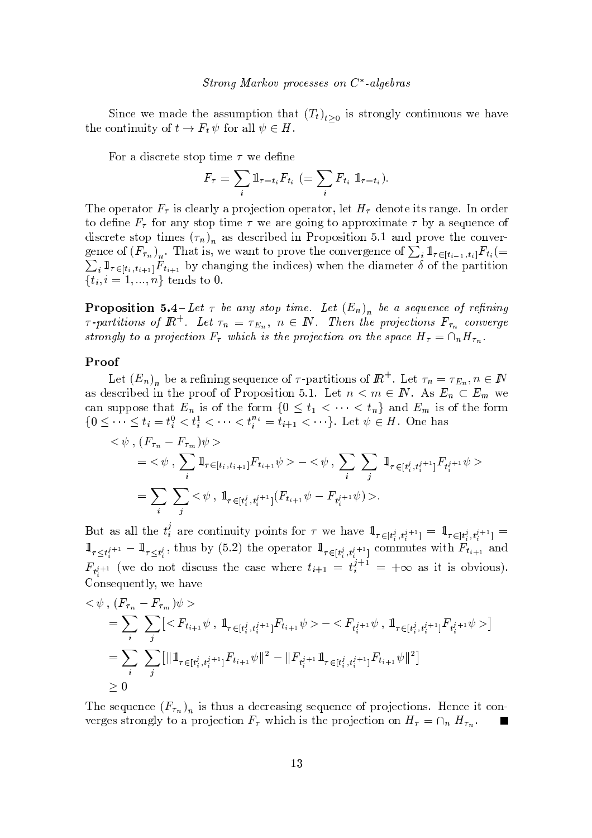Since we made the assumption that  $(T_t)_{t>0}$  is strongly continuous we have the continuity of  $t \to F_t \psi$  for all  $\psi \in H$ .

For a discrete stop time  $\tau$  we define

$$
F_{\tau} = \sum_{i} \mathbb{1}_{\tau = t_i} F_{t_i} \ \left( = \sum_{i} F_{t_i} \ \mathbb{1}_{\tau = t_i} \right).
$$

The operator  $F_{\tau}$  is clearly a projection operator, let  $H_{\tau}$  denote its range. In order to define  $F_{\tau}$  for any stop time  $\tau$  we are going to approximate  $\tau$  by a sequence of discrete stop times  $(\tau_n)$  as described in Proposition 5.1 and prove the convergence of  $(F_{\tau_n})_n$ . That is, we want to prove the convergence of  $\sum_i \mathbb{1}_{\tau \in [t_{i-1}, t_i]} F_{t_i}$  $\sum_i \mathbb{1}_{\tau \in [t_i, t_{i+1}]} F_{t_{i+1}}$  by changing the indices) when the diameter  $\delta$  of the partition  $\{t_i, i = 1, ..., n\}$  tends to 0.

**Proposition 5.4**-Let  $\tau$  be any stop time. Let  $(E_n)$  be a sequence of refining  $\tau$ -partitions of  $\mathbb{R}^+$ . Let  $\tau_n = \tau_{E_n}$ ,  $n \in \mathbb{N}$ . Then the projections  $F_{\tau_n}$  converge strongly to a projection  $F_{\tau}$  which is the projection on the space  $H_{\tau} = \cap_n H_{\tau_n}$ .

#### Proof

Let  $(E_n)_n$  be a refining sequence of  $\tau$ -partitions of  $\mathbb{R}^+$ . Let  $\tau_n = \tau_{E_n}, n \in \mathbb{N}$ as described in the proof of Proposition 5.1. Let  $n < m \in \mathbb{N}$ . As  $E_n \subset E_m$  we can suppose that  $E_n$  is of the form  $\{0 \le t_1 < \cdots < t_n\}$  and  $E_m$  is of the form  $\{0 \leq \cdots \leq t_i = t_i^0 < t_i^1 < \cdots < t_i^{n_i} = t_{i+1} < \cdots \}.$  Let  $\psi \in H$ . One has

$$
\langle \psi, (F_{\tau_n} - F_{\tau_m}) \psi \rangle
$$
  
=  $\langle \psi, \sum_i 1 \rangle_{\tau \in [t_i, t_{i+1}]} F_{t_{i+1}} \psi \rangle - \langle \psi, \sum_i \sum_j 1 \rangle_{\tau \in [t_i^j, t_i^{j+1}]} F_{t_i^{j+1}} \psi \rangle$   
=  $\sum_i \sum_j \langle \psi, 1 \rangle_{\tau \in [t_i^j, t_i^{j+1}]} (F_{t_{i+1}} \psi - F_{t_i^{j+1}} \psi) \rangle.$ 

But as all the  $t_i^j$  are continuity points for  $\tau$  we have  $\mathbb{1}_{\tau \in [t_i^j, t_i^{j+1}]} = \mathbb{1}_{\tau \in [t_i^j, t_i^{j+1}]}$  $1\!\!1_{\tau\leq t_i^{j+1}}-1\!\!1_{\tau\leq t_i^j}$ , thus by (5.2) the operator  $1\!\!1_{\tau\in [t_i^j,t_i^{j+1}]}$  commutes with  $F_{t_{i+1}}$  and  $F_{t^{j+1}}$  (we do not discuss the case where  $t_{i+1} = t_i^{j+1} = +\infty$  as it is obvious). Consequently, we have

$$
\langle \psi, (F_{\tau_n} - F_{\tau_m}) \psi \rangle
$$
  
= 
$$
\sum_i \sum_j [ \langle F_{t_{i+1}} \psi, 1_{\tau \in [t_i^j, t_i^{j+1}]} F_{t_{i+1}} \psi \rangle - \langle F_{t_i^j+1} \psi, 1_{\tau \in [t_i^j, t_i^{j+1}]} F_{t_i^{j+1}} \psi \rangle ]
$$
  
= 
$$
\sum_i \sum_j [ \|1_{\tau \in [t_i^j, t_i^{j+1}]} F_{t_{i+1}} \psi \|^2 - \|F_{t_i^{j+1}} 1_{\tau \in [t_i^j, t_i^{j+1}]} F_{t_{i+1}} \psi \|^2 ]
$$
  

$$
\geq 0
$$

The sequence  $(F_{\tau_n})_n$  is thus a decreasing sequence of projections. Hence it converges strongly to a projection  $F_{\tau}$  which is the projection on  $H_{\tau} = \cap_n H_{\tau_n}$ .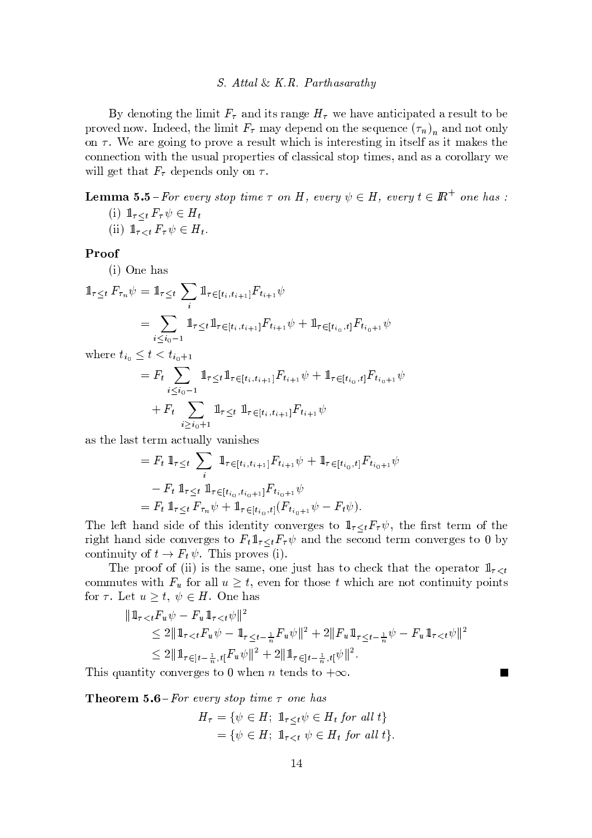#### S. Attal & K.R. Parthasarathy

By denoting the limit  $F_{\tau}$  and its range  $H_{\tau}$  we have anticipated a result to be proved now. Indeed, the limit  $F_{\tau}$  may depend on the sequence  $(\tau_n)_n$  and not only on  $\tau$ . We are going to prove a result which is interesting in itself as it makes the connection with the usual properties of classical stop times, and as a corollary we will get that  $F_{\tau}$  depends only on  $\tau$ .

# **Lemma 5.5**-For every stop time  $\tau$  on H, every  $\psi \in H$ , every  $t \in \mathbb{R}^+$  one has :

(i)  $1\!\!1_{\tau\leq t} F_\tau \psi \in H_t$ (ii)  $1\!\!1_{\tau\lt t} F_\tau \psi \in H_t$ .

## Proof

 $(i)$  One has

$$
\begin{aligned} \mathbb{1}_{\tau \leq t} \, F_{\tau_n} \psi &= \mathbb{1}_{\tau \leq t} \, \sum_i \, \mathbb{1}_{\tau \in [t_i, t_{i+1}]} F_{t_{i+1}} \psi \\ &= \sum_{i \leq i_0 - 1} \mathbb{1}_{\tau \leq t} \, \mathbb{1}_{\tau \in [t_i, t_{i+1}]} F_{t_{i+1}} \psi + \mathbb{1}_{\tau \in [t_{i_0}, t]} F_{t_{i_0+1}} \psi \end{aligned}
$$

where  $t_{i_0} \leq t < t_{i_0+1}$ 

$$
= F_t \sum_{i \leq i_0 - 1} 1_{\tau \leq t} 1_{\tau \in [t_i, t_{i+1}]} F_{t_{i+1}} \psi + 1_{\tau \in [t_{i_0}, t]} F_{t_{i_0+1}} \psi
$$
  
+ 
$$
F_t \sum_{i \geq i_0 + 1} 1_{\tau \leq t} 1_{\tau \in [t_i, t_{i+1}]} F_{t_{i+1}} \psi
$$

as the last term actually vanishes

$$
= F_t \, 1\!\!1_{\tau \leq t} \sum_i 1\!\!1_{\tau \in [t_i, t_{i+1}]} F_{t_{i+1}} \psi + 1\!\!1_{\tau \in [t_{i_0}, t]} F_{t_{i_0+1}} \psi
$$
  

$$
- F_t \, 1\!\!1_{\tau \leq t} \, 1\!\!1_{\tau \in [t_{i_0}, t_{i_0+1}]} F_{t_{i_0+1}} \psi
$$
  

$$
= F_t \, 1\!\!1_{\tau \leq t} \, F_{\tau_n} \psi + 1\!\!1_{\tau \in [t_{i_0}, t]} (F_{t_{i_0+1}} \psi - F_t \psi).
$$

The left hand side of this identity converges to  $1\!\!1_{\tau\leq t}F_{\tau}\psi$ , the first term of the right hand side converges to  $F_t \mathbb{1}_{\tau \leq t} F_\tau \psi$  and the second term converges to 0 by continuity of  $t \to F_t \psi$ . This proves (i).

The proof of (ii) is the same, one just has to check that the operator  $1_{\tau \leq t}$ commutes with  $F_u$  for all  $u \geq t$ , even for those t which are not continuity points for  $\tau$ . Let  $u \geq t$ ,  $\psi \in H$ . One has

$$
\begin{split} |\mathbb{1}_{\tau < t} F_u \psi - F_u \, \mathbb{1}_{\tau < t} \psi \, \| ^2 \\ &\leq 2 \| \, \mathbb{1}_{\tau < t} F_u \psi - \mathbb{1}_{\tau \leq t - \frac{1}{n}} F_u \psi \, \| ^2 + 2 \| F_u \, \mathbb{1}_{\tau \leq t - \frac{1}{n}} \psi - F_u \, \mathbb{1}_{\tau < t} \psi \|^2 \\ &\leq 2 \| \, \mathbb{1}_{\tau \in ]t - \frac{1}{n}, t[} F_u \, \psi \|^2 + 2 \| \, \mathbb{1}_{\tau \in ]t - \frac{1}{n}, t[} \psi \|^2 . \end{split}
$$

This quantity converges to 0 when *n* tends to  $+\infty$ .

**Theorem 5.6** – For every stop time  $\tau$  one has

$$
H_{\tau} = \{ \psi \in H; \ 1_{\tau \leq t} \psi \in H_t \text{ for all } t \}
$$

$$
= \{ \psi \in H; \ 1_{\tau < t} \psi \in H_t \text{ for all } t \}
$$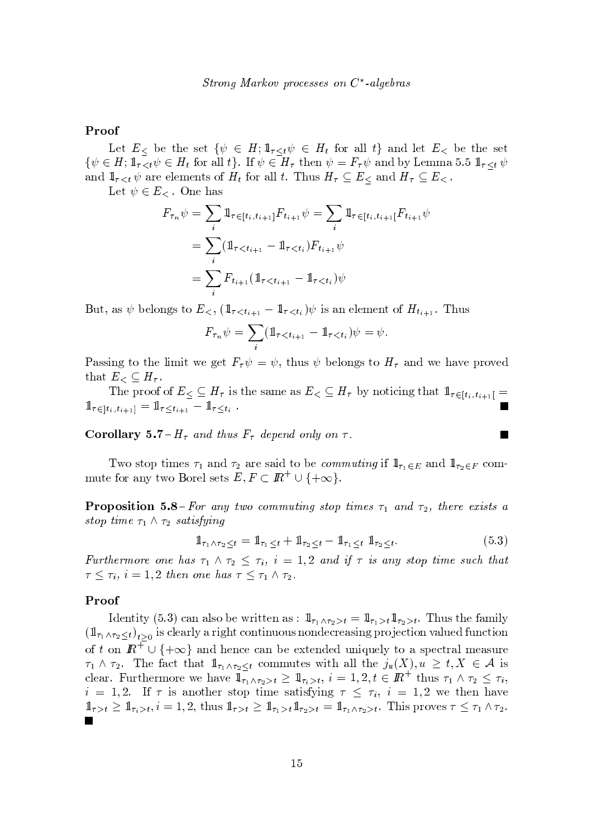## Proof

Let  $E_<$  be the set  $\{\psi \in H : \mathbb{1}_{\tau \leq t} \psi \in H_t \text{ for all } t\}$  and let  $E_<$  be the set  $\{\psi \in H; \mathbb{1}_{\tau \leq t} \psi \in H_t \text{ for all } t\}.$  If  $\psi \in H_{\tau}$  then  $\psi = F_{\tau} \psi$  and by Lemma 5.5  $\mathbb{1}_{\tau \leq t} \psi$ and  $1_{\tau < t} \psi$  are elements of  $H_t$  for all t. Thus  $H_{\tau} \subseteq E_{\le}$  and  $H_{\tau} \subseteq E_{\le}$ .

Let  $\psi \in E_<$ . One has

$$
F_{\tau_n} \psi = \sum_i \mathbb{1}_{\tau \in [t_i, t_{i+1}]} F_{t_{i+1}} \psi = \sum_i \mathbb{1}_{\tau \in [t_i, t_{i+1}]} F_{t_{i+1}} \psi
$$
  
= 
$$
\sum_i (\mathbb{1}_{\tau < t_{i+1}} - \mathbb{1}_{\tau < t_i}) F_{t_{i+1}} \psi
$$
  
= 
$$
\sum_i F_{t_{i+1}} (\mathbb{1}_{\tau < t_{i+1}} - \mathbb{1}_{\tau < t_i}) \psi
$$

But, as  $\psi$  belongs to  $E_{\leq}$ ,  $(\mathbb{1}_{\tau \leq t_{i+1}} - \mathbb{1}_{\tau \leq t_i})\psi$  is an element of  $H_{t_{i+1}}$ . Thus

$$
F_{\tau_n} \psi = \sum_i (\mathbb{1}_{\tau < t_{i+1}} - \mathbb{1}_{\tau < t_i}) \psi = \psi.
$$

Passing to the limit we get  $F_{\tau}\psi = \psi$ , thus  $\psi$  belongs to  $H_{\tau}$  and we have proved that  $E_< \subseteq H_\tau$ .

The proof of  $E \subseteq H_{\tau}$  is the same as  $E \subseteq H_{\tau}$  by noticing that  $1\!\!1_{\tau \in [t_i, t_{i+1}]}$  $1\!\!1_{\tau\in[t_i,t_{i+1}]} = 1\!\!1_{\tau\leq t_{i+1}} - 1\!\!1_{\tau\leq t_i}$ .

**Corollary 5.7**-H<sub> $\tau$ </sub> and thus  $F_{\tau}$  depend only on  $\tau$ .

Two stop times  $\tau_1$  and  $\tau_2$  are said to be *commuting* if  $1_{\tau_1 \in E}$  and  $1_{\tau_2 \in F}$  commute for any two Borel sets  $E, F \subset \mathbb{R}^+ \cup \{+\infty\}.$ 

**Proposition 5.8**-For any two commuting stop times  $\tau_1$  and  $\tau_2$ , there exists a stop time  $\tau_1 \wedge \tau_2$  satisfying

$$
\mathbb{1}_{\tau_1 \wedge \tau_2 \leq t} = \mathbb{1}_{\tau_1 \leq t} + \mathbb{1}_{\tau_2 \leq t} - \mathbb{1}_{\tau_1 \leq t} \mathbb{1}_{\tau_2 \leq t}.
$$
\n(5.3)

 $\blacksquare$ 

Furthermore one has  $\tau_1 \wedge \tau_2 \leq \tau_i$ ,  $i = 1,2$  and if  $\tau$  is any stop time such that  $\tau \leq \tau_i$ ,  $i = 1, 2$  then one has  $\tau \leq \tau_1 \wedge \tau_2$ .

#### Proof

Identity (5.3) can also be written as :  $1\!\!1_{\tau_1\wedge\tau_2>t} = 1\!\!1_{\tau_1>t}1\!\!1_{\tau_2>t}$ . Thus the family  $(\mathbb{1}_{\tau_1 \wedge \tau_2 \leq t})_{t>0}$  is clearly a right continuous nondecreasing projection valued function of t on  $\mathbb{R}^+ \cup \{+\infty\}$  and hence can be extended uniquely to a spectral measure  $\tau_1 \wedge \tau_2$ . The fact that  $1\!\!1_{\tau_1 \wedge \tau_2 \leq t}$  commutes with all the  $j_u(X), u \geq t, X \in \mathcal{A}$  is clear. Furthermore we have  $\mathbb{1}_{\tau_1 \wedge \tau_2 > t} \geq \mathbb{1}_{\tau_i > t}$ ,  $i = 1, 2, t \in \mathbb{R}^+$  thus  $\tau_1 \wedge \tau_2 \leq \tau_i$ ,  $i = 1, 2$ . If  $\tau$  is another stop time satisfying  $\tau \leq \tau_i$ ,  $i = 1, 2$  we then have  $\mathbb{1}_{\tau>t}\geq \mathbb{1}_{\tau_i>t}, i=1,2$ , thus  $\mathbb{1}_{\tau>t}\geq \mathbb{1}_{\tau_1>t}\mathbb{1}_{\tau_2>t}=\mathbb{1}_{\tau_1\wedge\tau_2>t}$ . This proves  $\tau\leq \tau_1\wedge\tau_2$ .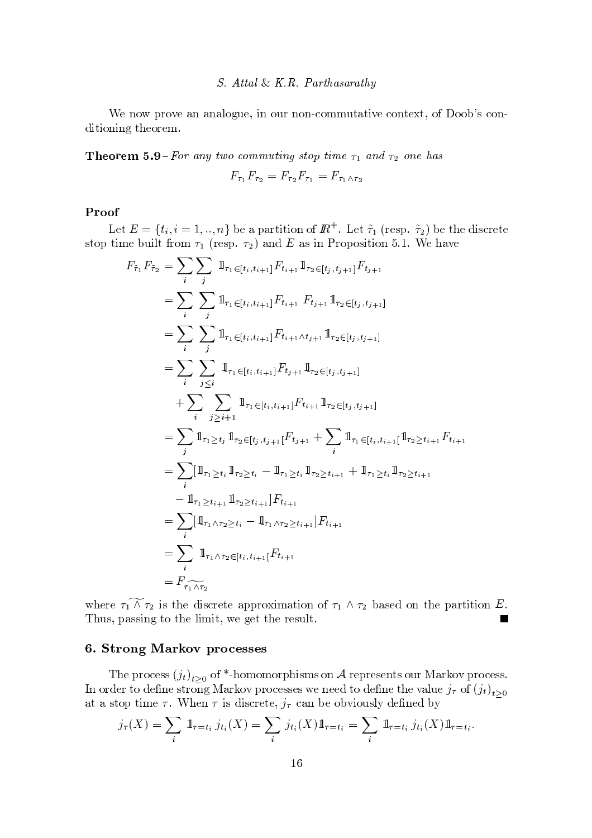#### S. Attal & K.R. Parthasarathy

We now prove an analogue, in our non-commutative context, of Doob's conditioning theorem.

**Theorem 5.9**-For any two commuting stop time  $\tau_1$  and  $\tau_2$  one has

$$
F_{\tau_1}F_{\tau_2}=F_{\tau_2}F_{\tau_1}=F_{\tau_1\wedge\tau_2}
$$

## Proof

Let  $E = \{t_i, i = 1, ..., n\}$  be a partition of  $\mathbb{R}^+$ . Let  $\tilde{\tau}_1$  (resp.  $\tilde{\tau}_2$ ) be the discrete stop time built from  $\tau_1$  (resp.  $\tau_2$ ) and E as in Proposition 5.1. We have

$$
F_{\tilde{\tau}_1} F_{\tilde{\tau}_2} = \sum_{i} \sum_{j} \mathbb{1}_{\tau_1 \in [t_i, t_{i+1}]} F_{t_{i+1}} \mathbb{1}_{\tau_2 \in [t_j, t_{j+1}]} F_{t_{j+1}}
$$
  
\n
$$
= \sum_{i} \sum_{j} \mathbb{1}_{\tau_1 \in [t_i, t_{i+1}]} F_{t_{i+1}} F_{t_{j+1}} \mathbb{1}_{\tau_2 \in [t_j, t_{j+1}]} \n= \sum_{i} \sum_{j \leq i} \mathbb{1}_{\tau_1 \in [t_i, t_{i+1}]} F_{t_{i+1} \wedge t_{j+1}} \mathbb{1}_{\tau_2 \in [t_j, t_{j+1}]} \n= \sum_{i} \sum_{j \leq i} \mathbb{1}_{\tau_1 \in [t_i, t_{i+1}]} F_{t_{j+1}} \mathbb{1}_{\tau_2 \in [t_j, t_{j+1}]} \n+ \sum_{i} \sum_{j \geq i+1} \mathbb{1}_{\tau_1 \in [t_i, t_{i+1}]} F_{t_{i+1}} \mathbb{1}_{\tau_2 \in [t_j, t_{j+1}]} \n= \sum_{j} \mathbb{1}_{\tau_1 \geq t_j} \mathbb{1}_{\tau_2 \in [t_j, t_{j+1}]} F_{t_{j+1}} + \sum_{i} \mathbb{1}_{\tau_1 \in [t_i, t_{i+1}]} \mathbb{1}_{\tau_2 \geq t_{i+1}} F_{t_{i+1}} \n= \sum_{i} [\mathbb{1}_{\tau_1 \geq t_i} \mathbb{1}_{\tau_2 \geq t_i} - \mathbb{1}_{\tau_1 \geq t_i} \mathbb{1}_{\tau_2 \geq t_{i+1}} + \mathbb{1}_{\tau_1 \geq t_i} \mathbb{1}_{\tau_2 \geq t_{i+1}} \n- \mathbb{1}_{\tau_1 \geq t_{i+1}} \mathbb{1}_{\tau_2 \geq t_{i+1}}] F_{t_{i+1}} \n= \sum_{i} [\mathbb{1}_{\tau_1 \wedge \tau_2 \geq t_i} - \mathbb{1}_{\tau_1 \wedge \tau_2 \geq t_{i+1}}] F_{t_{i+1}}
$$

where  $\tau_1 \wedge \tau_2$  is the discrete approximation of  $\tau_1 \wedge \tau_2$  based on the partition E. Thus, passing to the limit, we get the result.  $\mathbf{r}$ 

## 6. Strong Markov processes

The process  $(j_t)_{t>0}$  of \*-homomorphisms on A represents our Markov process. In order to define strong Markov processes we need to define the value  $j_{\tau}$  of  $(j_t)_{t\geq 0}$ at a stop time  $\tau$ . When  $\tau$  is discrete,  $j_{\tau}$  can be obviously defined by

$$
j_{\tau}(X) = \sum_{i} \, 1_{\tau=t_i} \, j_{t_i}(X) = \sum_{i} \, j_{t_i}(X) \, 1_{\tau=t_i} = \sum_{i} \, 1_{\tau=t_i} \, j_{t_i}(X) \, 1_{\tau=t_i}.
$$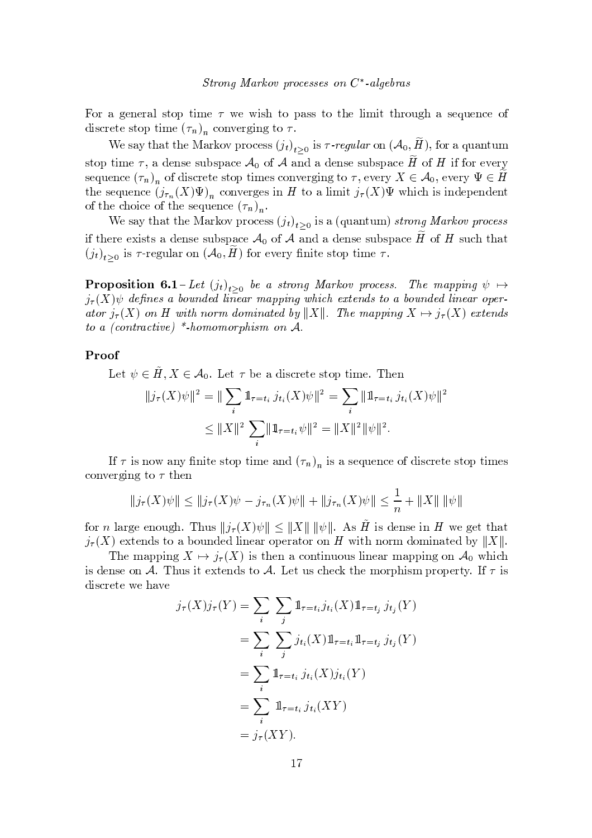For a general stop time  $\tau$  we wish to pass to the limit through a sequence of discrete stop time  $(\tau_n)_n$  converging to  $\tau$ .

We say that the Markov process  $(j_t)_{t>0}$  is  $\tau$ -regular on  $(\mathcal{A}_0, \widetilde{H})$ , for a quantum stop time  $\tau$ , a dense subspace  $\mathcal{A}_0$  of  $\mathcal A$  and a dense subspace  $\tilde H$  of  $H$  if for every sequence  $(\tau_n)_n$  of discrete stop times converging to  $\tau$ , every  $X \in \mathcal{A}_0$ , every  $\Psi \in \tilde{H}$ the sequence  $(j_{\tau_n}(X)\Psi)_n$  converges in H to a limit  $j_{\tau}(X)\Psi$  which is independent of the choice of the sequence  $(\tau_n)_n$ .

We say that the Markov process  $(j_t)_{t>0}$  is a (quantum) strong Markov process if there exists a dense subspace  $\mathcal{A}_0$  of  $\mathcal A$  and a dense subspace  $H$  of  $H$  such that  $(j_t)_{t>0}$  is  $\tau$ -regular on  $(\mathcal{A}_0, H)$  for every finite stop time  $\tau$ .

**Proposition 6.1**-Let  $(j_t)_{t>0}$  be a strong Markov process. The mapping  $\psi \mapsto$  $j_{\tau}(X)\psi$  defines a bounded linear mapping which extends to a bounded linear operator  $j_{\tau}(X)$  on H with norm dominated by ||X||. The mapping  $X \mapsto j_{\tau}(X)$  extends to a (contractive) \*-homomorphism on  $A$ .

## Proof

Let  $\psi \in \tilde{H}, X \in \mathcal{A}_0$ . Let  $\tau$  be a discrete stop time. Then

$$
||j_{\tau}(X)\psi||^{2} = ||\sum_{i} \mathbb{1}_{\tau=t_{i}} j_{t_{i}}(X)\psi||^{2} = \sum_{i} ||\mathbb{1}_{\tau=t_{i}} j_{t_{i}}(X)\psi||^{2}
$$
  

$$
\leq ||X||^{2} \sum_{i} ||\mathbb{1}_{\tau=t_{i}} \psi||^{2} = ||X||^{2} ||\psi||^{2}.
$$

If  $\tau$  is now any finite stop time and  $(\tau_n)_n$  is a sequence of discrete stop times converging to  $\tau$  then

$$
||j_{\tau}(X)\psi|| \le ||j_{\tau}(X)\psi - j_{\tau_n}(X)\psi|| + ||j_{\tau_n}(X)\psi|| \le \frac{1}{n} + ||X|| ||\psi||
$$

for *n* large enough. Thus  $||j_{\tau}(X)\psi|| \le ||X|| \, ||\psi||$ . As  $\tilde{H}$  is dense in *H* we get that  $j_{\tau}(X)$  extends to a bounded linear operator on H with norm dominated by ||X||.

The mapping  $X \mapsto j_{\tau}(X)$  is then a continuous linear mapping on  $\mathcal{A}_0$  which is dense on A. Thus it extends to A. Let us check the morphism property. If  $\tau$  is discrete we have

$$
\begin{aligned}\nj_{\tau}(X)j_{\tau}(Y) &= \sum_{i} \sum_{j} \mathbb{1}_{\tau=t_{i}} j_{t_{i}}(X) \mathbb{1}_{\tau=t_{j}} j_{t_{j}}(Y) \\
&= \sum_{i} \sum_{j} j_{t_{i}}(X) \mathbb{1}_{\tau=t_{i}} \mathbb{1}_{\tau=t_{j}} j_{t_{j}}(Y) \\
&= \sum_{i} \mathbb{1}_{\tau=t_{i}} j_{t_{i}}(X) j_{t_{i}}(Y) \\
&= \sum_{i} \mathbb{1}_{\tau=t_{i}} j_{t_{i}}(XY) \\
&= j_{\tau}(XY).\n\end{aligned}
$$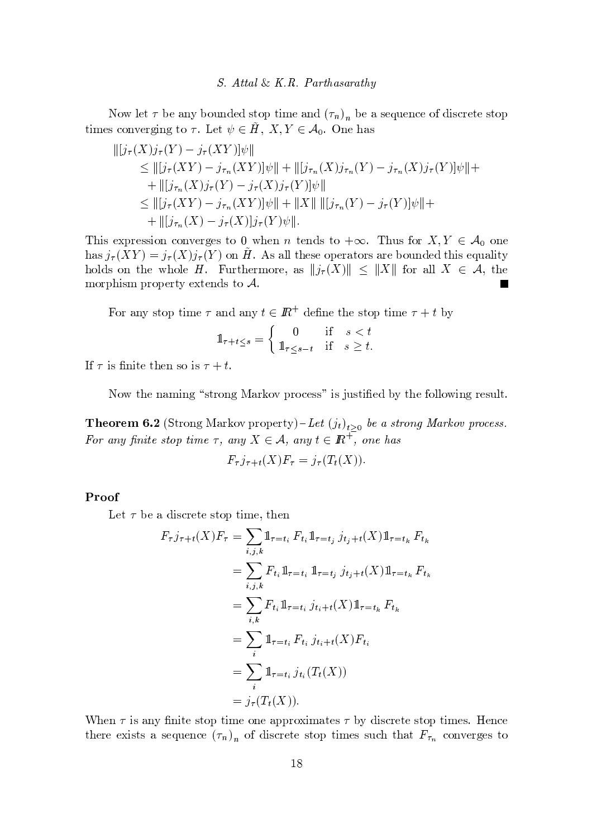Now let  $\tau$  be any bounded stop time and  $(\tau_n)_n$  be a sequence of discrete stop times converging to  $\tau$ . Let  $\psi \in \tilde{H}$ ,  $X, Y \in \mathcal{A}_0$ . One has

$$
\begin{aligned} |[j_{\tau}(X)j_{\tau}(Y) - j_{\tau}(XY)]\psi| &= \\ &\leq ||[j_{\tau}(XY) - j_{\tau_n}(XY)]\psi|| + ||[j_{\tau_n}(X)j_{\tau_n}(Y) - j_{\tau_n}(X)j_{\tau}(Y)]\psi|| + \\ &+ ||[j_{\tau_n}(X)j_{\tau}(Y) - j_{\tau}(X)j_{\tau}(Y)]\psi|| \\ &\leq ||[j_{\tau}(XY) - j_{\tau_n}(XY)]\psi|| + ||X|| ||[j_{\tau_n}(Y) - j_{\tau}(Y)]\psi|| + \\ &+ ||[j_{\tau_n}(X) - j_{\tau}(X)]j_{\tau}(Y)\psi||. \end{aligned}
$$

This expression converges to 0 when *n* tends to  $+\infty$ . Thus for  $X, Y \in \mathcal{A}_0$  one has  $j_{\tau}(XY) = j_{\tau}(X)j_{\tau}(Y)$  on H. As all these operators are bounded this equality holds on the whole H. Furthermore, as  $||j_{\tau}(X)|| \leq ||X||$  for all  $X \in \mathcal{A}$ , the morphism property extends to  $A$ .

For any stop time  $\tau$  and any  $t \in \mathbb{R}^+$  define the stop time  $\tau + t$  by

$$
1\!\!1_{\tau+t\leq s} = \begin{cases} 0 & \text{if } s < t \\ 1\!\!1_{\tau\leq s-t} & \text{if } s \geq t. \end{cases}
$$

If  $\tau$  is finite then so is  $\tau + t$ .

Now the naming "strong Markov process" is justified by the following result.

**Theorem 6.2** (Strong Markov property) – Let  $(j_t)_{t>0}$  be a strong Markov process. For any finite stop time  $\tau$ , any  $X \in \mathcal{A}$ , any  $t \in \mathbb{R}^+$ , one has

$$
F_{\tau}j_{\tau+t}(X)F_{\tau}=j_{\tau}(T_t(X)).
$$

## Proof

Let  $\tau$  be a discrete stop time, then

$$
F_{\tau}j_{\tau+t}(X)F_{\tau} = \sum_{i,j,k} \mathbb{1}_{\tau=t_i} F_{t_i} \mathbb{1}_{\tau=t_j} j_{t_j+t}(X) \mathbb{1}_{\tau=t_k} F_{t_k}
$$
  
\n
$$
= \sum_{i,j,k} F_{t_i} \mathbb{1}_{\tau=t_i} \mathbb{1}_{\tau=t_j} j_{t_j+t}(X) \mathbb{1}_{\tau=t_k} F_{t_k}
$$
  
\n
$$
= \sum_{i,k} F_{t_i} \mathbb{1}_{\tau=t_i} j_{t_i+t}(X) \mathbb{1}_{\tau=t_k} F_{t_k}
$$
  
\n
$$
= \sum_{i} \mathbb{1}_{\tau=t_i} F_{t_i} j_{t_i+t}(X) F_{t_i}
$$
  
\n
$$
= \sum_{i} \mathbb{1}_{\tau=t_i} j_{t_i}(T_t(X))
$$
  
\n
$$
= j_{\tau}(T_t(X)).
$$

When  $\tau$  is any finite stop time one approximates  $\tau$  by discrete stop times. Hence there exists a sequence  $(\tau_n)_n$  of discrete stop times such that  $F_{\tau_n}$  converges to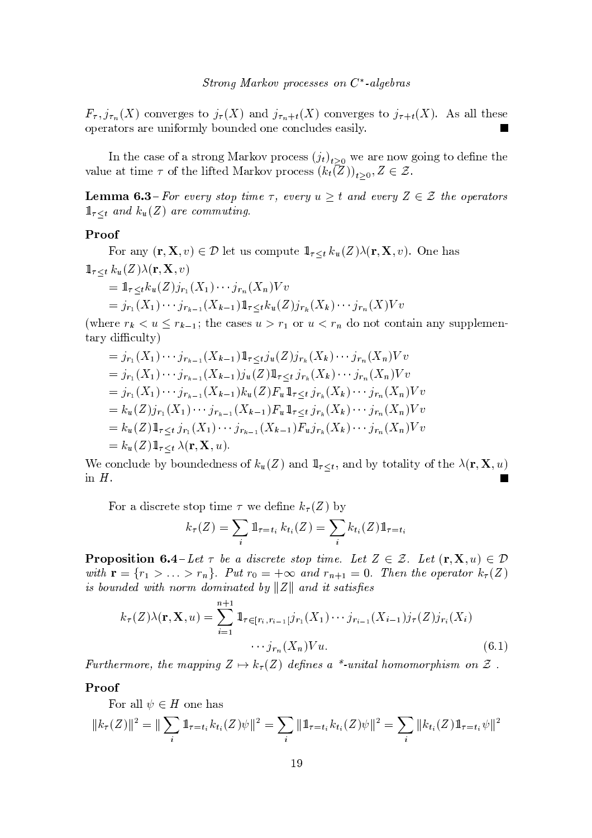$F_{\tau}$ ,  $j_{\tau_n}(X)$  converges to  $j_{\tau}(X)$  and  $j_{\tau_n+t}(X)$  converges to  $j_{\tau+t}(X)$ . As all these operators are uniformly bounded one concludes easily.

In the case of a strong Markov process  $(j_t)_{t>0}$  we are now going to define the value at time  $\tau$  of the lifted Markov process  $(k_t(Z))_{t>0}, Z \in \mathcal{Z}$ .

**Lemma 6.3**-For every stop time  $\tau$ , every  $u \geq t$  and every  $Z \in \mathcal{Z}$  the operators  $1\!\!1_{\tau\leq t}$  and  $k_u(Z)$  are commuting.

## Proof

For any  $(\mathbf{r}, \mathbf{X}, v) \in \mathcal{D}$  let us compute  $\mathbb{1}_{\tau \leq t} k_u(Z) \lambda(\mathbf{r}, \mathbf{X}, v)$ . One has  $1\!\!1_{\tau\leq t} k_u(Z)\lambda(\mathbf{r}, \mathbf{X}, v)$ =  $1\!\!1_{\tau\leq t}k_u(Z)j_{r_1}(X_1)\cdots j_{r_n}(X_n)Vv$  $= j_{r_1}(X_1) \cdots j_{r_{k-1}}(X_{k-1}) \mathbb{1}_{\tau \leq t} k_u(Z) j_{r_k}(X_k) \cdots j_{r_n}(X) V v$ 

(where  $r_k < u \leq r_{k-1}$ ; the cases  $u > r_1$  or  $u < r_n$  do not contain any supplementary difficulty)

$$
= j_{r_1}(X_1) \cdots j_{r_{k-1}}(X_{k-1}) \mathbb{1}_{\tau \leq t} j_u(Z) j_{r_k}(X_k) \cdots j_{r_n}(X_n) Vv
$$
  
\n
$$
= j_{r_1}(X_1) \cdots j_{r_{k-1}}(X_{k-1}) j_u(Z) \mathbb{1}_{\tau \leq t} j_{r_k}(X_k) \cdots j_{r_n}(X_n) Vv
$$
  
\n
$$
= j_{r_1}(X_1) \cdots j_{r_{k-1}}(X_{k-1}) k_u(Z) F_u \mathbb{1}_{\tau \leq t} j_{r_k}(X_k) \cdots j_{r_n}(X_n) Vv
$$
  
\n
$$
= k_u(Z) j_{r_1}(X_1) \cdots j_{r_{k-1}}(X_{k-1}) F_u \mathbb{1}_{\tau \leq t} j_{r_k}(X_k) \cdots j_{r_n}(X_n) Vv
$$
  
\n
$$
= k_u(Z) \mathbb{1}_{\tau \leq t} j_{r_1}(X_1) \cdots j_{r_{k-1}}(X_{k-1}) F_u j_{r_k}(X_k) \cdots j_{r_n}(X_n) Vv
$$
  
\n
$$
= k_u(Z) \mathbb{1}_{\tau \leq t} \lambda(\mathbf{r}, \mathbf{X}, u).
$$

We conclude by boundedness of  $k_u(Z)$  and  $\mathbb{1}_{\tau \leq t}$ , and by totality of the  $\lambda(\mathbf{r}, \mathbf{X}, u)$ in  $H$ .

For a discrete stop time  $\tau$  we define  $k_{\tau}(Z)$  by

$$
k_{\tau}(Z) = \sum_{i} 1\!\!1_{\tau=t_i} k_{t_i}(Z) = \sum_{i} k_{t_i}(Z) 1\!\!1_{\tau=t_i}
$$

**Proposition 6.4**-Let  $\tau$  be a discrete stop time. Let  $Z \in \mathcal{Z}$ . Let  $(\mathbf{r}, \mathbf{X}, u) \in \mathcal{D}$ with  $\mathbf{r} = \{r_1 > \ldots > r_n\}$ . Put  $r_0 = +\infty$  and  $r_{n+1} = 0$ . Then the operator  $k_\tau(Z)$ is bounded with norm dominated by  $||Z||$  and it satisfies

$$
k_{\tau}(Z)\lambda(\mathbf{r}, \mathbf{X}, u) = \sum_{i=1}^{n+1} \mathbb{1}_{\tau \in [r_i, r_{i-1}]} j_{r_1}(X_1) \cdots j_{r_{i-1}}(X_{i-1}) j_{\tau}(Z) j_{r_i}(X_i)
$$

$$
\cdots j_{r_n}(X_n) V u.
$$
(6.1)

Furthermore, the mapping  $Z \mapsto k_\tau(Z)$  defines a \*-unital homomorphism on  $\mathcal Z$ .

#### Proof

For all  $\psi \in H$  one has

$$
||k_{\tau}(Z)||^2 = ||\sum_{i} 1_{\tau=t_i} k_{t_i}(Z)\psi||^2 = \sum_{i} ||1_{\tau=t_i} k_{t_i}(Z)\psi||^2 = \sum_{i} ||k_{t_i}(Z)1_{\tau=t_i}\psi||^2
$$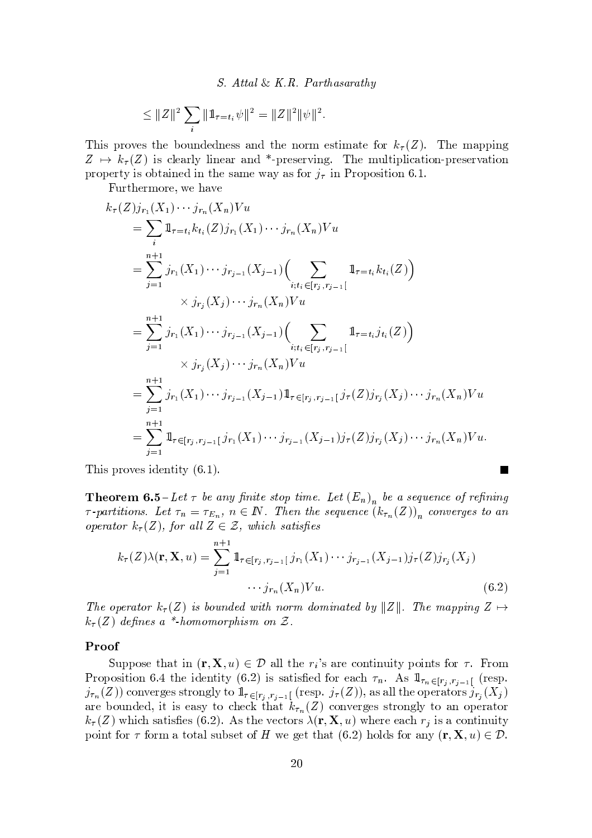S. Attal & K.R. Parthasarathy

$$
\leq ||Z||^2 \sum_i ||1\!\!1_{\tau=t_i} \psi||^2 = ||Z||^2 ||\psi||^2.
$$

This proves the boundedness and the norm estimate for  $k_{\tau}(Z)$ . The mapping  $Z \mapsto k_{\tau}(Z)$  is clearly linear and \*-preserving. The multiplication-preservation property is obtained in the same way as for  $j_{\tau}$  in Proposition 6.1.

Furthermore, we have

$$
k_{\tau}(Z)j_{r_{1}}(X_{1})\cdots j_{r_{n}}(X_{n})Vu
$$
  
\n
$$
= \sum_{i} \mathbb{1}_{\tau=t_{i}}k_{t_{i}}(Z)j_{r_{1}}(X_{1})\cdots j_{r_{n}}(X_{n})Vu
$$
  
\n
$$
= \sum_{j=1}^{n+1}j_{r_{1}}(X_{1})\cdots j_{r_{j-1}}(X_{j-1})\Big(\sum_{i;t_{i}\in[r_{j},r_{j-1}[}\mathbb{1}_{\tau=t_{i}}k_{t_{i}}(Z)\Big)
$$
  
\n
$$
\times j_{r_{j}}(X_{j})\cdots j_{r_{n}}(X_{n})Vu
$$
  
\n
$$
= \sum_{j=1}^{n+1}j_{r_{1}}(X_{1})\cdots j_{r_{j-1}}(X_{j-1})\Big(\sum_{i;t_{i}\in[r_{j},r_{j-1}[}\mathbb{1}_{\tau=t_{i}}j_{t_{i}}(Z)\Big)
$$
  
\n
$$
\times j_{r_{j}}(X_{j})\cdots j_{r_{n}}(X_{n})Vu
$$
  
\n
$$
= \sum_{j=1}^{n+1}j_{r_{1}}(X_{1})\cdots j_{r_{j-1}}(X_{j-1})\mathbb{1}_{\tau\in[r_{j},r_{j-1}[}j_{\tau}(Z)j_{r_{j}}(X_{j})\cdots j_{r_{n}}(X_{n})Vu
$$
  
\n
$$
= \sum_{j=1}^{n+1}\mathbb{1}_{\tau\in[r_{j},r_{j-1}[}j_{r_{1}}(X_{1})\cdots j_{r_{j-1}}(X_{j-1})j_{\tau}(Z)j_{r_{j}}(X_{j})\cdots j_{r_{n}}(X_{n})Vu.
$$

This proves identity  $(6.1)$ .

**Theorem 6.5**-Let  $\tau$  be any finite stop time. Let  $(E_n)$  be a sequence of refining  $\tau$ -partitions. Let  $\tau_n = \tau_{E_n}$ ,  $n \in \mathbb{N}$ . Then the sequence  $(k_{\tau_n}(Z))_n$  converges to an operator  $k_{\tau}(Z)$ , for all  $Z \in \mathcal{Z}$ , which satisfies

$$
k_{\tau}(Z)\lambda(\mathbf{r}, \mathbf{X}, u) = \sum_{j=1}^{n+1} \mathbb{1}_{\tau \in [r_j, r_{j-1}[j_{r_1}(X_1) \cdots j_{r_{j-1}}(X_{j-1})j_{\tau}(Z)j_{r_j}(X_j) \cdots j_{r_n}(X_n)V u. \tag{6.2}
$$

**The Second Service** 

The operator  $k_{\tau}(Z)$  is bounded with norm dominated by  $||Z||$ . The mapping  $Z \mapsto$  $k_{\tau}(Z)$  defines a \*-homomorphism on Z.

## Proof

Suppose that in  $(\mathbf{r}, \mathbf{X}, u) \in \mathcal{D}$  all the  $r_i$ 's are continuity points for  $\tau$ . From Proposition 6.4 the identity (6.2) is satisfied for each  $\tau_n$ . As  $1\!\!1_{\tau_n\in[r_j,r_{j-1}]}$  (resp.  $j_{\tau_n}(Z)$  converges strongly to  $1\!\!1_{\tau \in [r_j, r_{j-1}]}$  (resp.  $j_{\tau}(Z)$ ), as all the operators  $j_{r_j}(X_j)$ are bounded, it is easy to check that  $k_{\tau_n}(Z)$  converges strongly to an operator  $k_{\tau}(Z)$  which satisfies (6.2). As the vectors  $\lambda(\mathbf{r}, \mathbf{X}, u)$  where each  $r_i$  is a continuity point for  $\tau$  form a total subset of H we get that (6.2) holds for any  $(\mathbf{r}, \mathbf{X}, u) \in \mathcal{D}$ .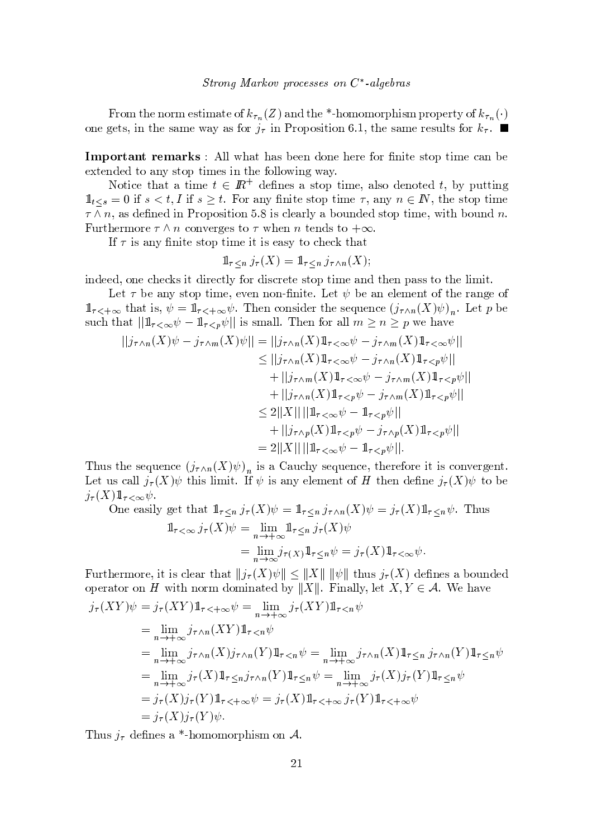From the norm estimate of  $k_{\tau_n}(Z)$  and the \*-homomorphism property of  $k_{\tau_n}(\cdot)$  ${\color{red} {s}}$  s t v  ${\color{red} {s}}$  v  ${\color{red} {s}}$  where  ${\color{red} {s}}$  is well with  ${\color{red} {s}}$  and  ${\color{red} {s}}$  if  ${\color{red} {s}}$  and  ${\color{red} {s}}$  if  ${\color{red} {s}}$  and  ${\color{red} {s}}$  if  ${\color{red} {s}}$  and  ${\color{red} {s}}$  if  ${\color{red} {s}}$  and  ${\color{red} {s}}$  and  ${\color{$ 

Important remarks: All what has been done here for finite stop time can be extended to any stop times in the following way.

¥ { t~ <sup>x</sup> <sup>s</sup> <sup>t</sup> <sup>y</sup> ty <sup>t</sup> ~| <sup>s</sup> # & <sup>s</sup> sv <sup>y</sup> <sup>v</sup> <sup>t</sup> { <sup>t</sup> ~| <sup>s</sup> <sup>y</sup> <sup>z</sup> <sup>v</sup> { <sup>s</sup> { ts # } <sup>u</sup> <sup>t</sup> <sup>t</sup> <sup>~</sup>  $\mathbb{1}_x = 0$  if  $\epsilon > 1$  if  $\epsilon > 1$  For any finite step time  $\epsilon$  any  $n \in \mathbb{N}$  the step time  $\tau \wedge n$  as defined in Proposition 5.8 is clearly a bounded stop time, with bound  $n$ Furthermore  $\tau \wedge n$  converges to  $\tau$  when n tends to  $+\infty$ 

<sup>~</sup> <sup>v</sup> <sup>y</sup> <sup>~</sup> <sup>t</sup> <sup>s</sup> <sup>v</sup> <sup>t</sup> { <sup>t</sup> ~| <sup>s</sup> <sup>~</sup> t~ <sup>v</sup> <sup>s</sup> <sup>y</sup> <sup>v</sup> <sup>t</sup> { <sup>x</sup> sx <sup>t</sup> <sup>y</sup> <sup>t</sup>

$$
1\!\!1_{\tau \leq n} j_{\tau}(X) = 1\!\!1_{\tau \leq n} j_{\tau \wedge n}(X);
$$

~ <sup>s</sup> <sup>s</sup> { <sup>s</sup> <sup>x</sup> <sup>s</sup> <sup>x</sup> <sup>v</sup> <sup>~</sup> <sup>t</sup> <sup>~</sup> <sup>w</sup> <sup>s</sup> <sup>x</sup> <sup>t</sup> z { <sup>w</sup> <sup>~</sup> <sup>v</sup> <sup>x</sup> <sup>w</sup> <sup>s</sup> <sup>t</sup> <sup>s</sup> <sup>v</sup> <sup>t</sup> { <sup>t</sup> ~| <sup>s</sup> <sup>y</sup> <sup>t</sup> s <sup>y</sup> <sup>v</sup> <sup>v</sup> <sup>t</sup> { <sup>t</sup> <sup>s</sup> <sup>z</sup> <sup>~</sup> <sup>|</sup> <sup>~</sup> <sup>t</sup>

r <sup>s</sup> t } <sup>s</sup> <sup>y</sup> <sup>v</sup> <sup>t</sup> { <sup>t</sup> <sup>~</sup> <sup>|</sup> <sup>s</sup> <sup>s</sup> <sup>s</sup> { ¡ ~t <sup>s</sup> <sup>r</sup> <sup>s</sup> <sup>t</sup> } <sup>s</sup> <sup>y</sup> <sup>s</sup> <sup>z</sup> <sup>s</sup> <sup>|</sup> <sup>s</sup> <sup>t</sup> { <sup>t</sup> sw <sup>y</sup> <sup>s</sup> {  $\mathbb{R}^n$  that is  $\psi = 1$  ,  $\psi$ . Then consider the sequence  $(\phi - (Y)\psi)$  . Let  $\phi$  be  $\sup_{\alpha}$  that  $||1 - |_2||$  is small. Then for all  $m > n > n$  we have

$$
||j_{\tau \wedge n}(X)\psi - j_{\tau \wedge m}(X)\psi|| = ||j_{\tau \wedge n}(X)1\!\!1_{\tau < \infty}\psi - j_{\tau \wedge m}(X)1\!\!1_{\tau < \infty}\psi||
$$
  
\n
$$
\leq ||j_{\tau \wedge n}(X)1\!\!1_{\tau < \infty}\psi - j_{\tau \wedge n}(X)1\!\!1_{\tau < p}\psi||
$$
  
\n
$$
+ ||j_{\tau \wedge m}(X)1\!\!1_{\tau < \infty}\psi - j_{\tau \wedge m}(X)1\!\!1_{\tau < p}\psi||
$$
  
\n
$$
+ ||j_{\tau \wedge n}(X)1\!\!1_{\tau < p}\psi - j_{\tau \wedge m}(X)1\!\!1_{\tau < p}\psi||
$$
  
\n
$$
\leq 2||X|| ||1\!\!1_{\tau < \infty}\psi - 1\!\!1_{\tau < p}\psi||
$$
  
\n
$$
+ ||j_{\tau \wedge p}(X)1\!\!1_{\tau < p}\psi - j_{\tau \wedge p}(X)1\!\!1_{\tau < p}\psi||
$$
  
\n
$$
= 2||X|| ||1\!\!1_{\tau < \infty}\psi - 1_{\tau < p}\psi||.
$$

 $\mathbf{r}$  is verify the subset of  $\mathbf{r}$  is a subset of  $\mathbf{r}$  is  $\mathbf{r}$  and  $\mathbf{r}$  is written to  $\mathbf{r}$  is a subset of  $\mathbf{r}$  is a subset of  $\mathbf{r}$  is a subset of  $\mathbf{r}$  is a subset of  $\mathbf{r}$  is a subset r <sup>s</sup> <sup>t</sup> <sup>u</sup> <sup>v</sup> <sup>x</sup> <sup>y</sup> <sup>z</sup> <sup>z</sup> <sup>=</sup> <sup>t</sup> <sup>~</sup> <sup>v</sup> <sup>z</sup> <sup>~</sup> <sup>|</sup> <sup>~</sup> <sup>t</sup> <sup>~</sup> <sup>v</sup> <sup>y</sup> <sup>s</sup> <sup>z</sup> <sup>s</sup> <sup>|</sup> <sup>s</sup> <sup>t</sup> { <sup>9</sup> <sup>t</sup> <sup>s</sup> s <sup>s</sup> <sup>=</sup> <sup>t</sup> { } <sup>s</sup> <sup>=</sup> ¨z  $\overline{z}$ 

One easily get that 
$$
\mathbb{1}_{\tau \leq n} j_{\tau}(X)\psi = \mathbb{1}_{\tau \leq n} j_{\tau \wedge n}(X)\psi = j_{\tau}(X)\mathbb{1}_{\tau \leq n}\psi
$$
. Thus  
\n
$$
\mathbb{1}_{\tau < \infty} j_{\tau}(X)\psi = \lim_{n \to +\infty} \mathbb{1}_{\tau \leq n} j_{\tau}(X)\psi
$$
\n
$$
= \lim_{n \to +\infty} j_{\tau}(X)\mathbb{1}_{\tau \leq n}\psi = j_{\tau}(X)\mathbb{1}_{\tau < \infty}\psi.
$$

¨z <sup>=</sup> <sup>=</sup> ¨z <sup>u</sup> <sup>v</sup>

Furthermore it is clear that  $||i(X)y|| \leq ||X|| ||y||$  thus  $i(X)$  defines a bounded  ${\rm operator\; on}\; H$  with norm dominated by  $\|X\|$ . Finally let  $X$   $V \subset A$ . We have

$$
j_{\tau}(XY)\psi = j_{\tau}(XY)\mathbb{1}_{\tau\leq +\infty}\psi = \lim_{n\to+\infty}j_{\tau}(XY)\mathbb{1}_{\tau\leq n}\psi
$$
  
\n
$$
= \lim_{n\to+\infty}j_{\tau\wedge n}(XY)\mathbb{1}_{\tau\leq n}\psi
$$
  
\n
$$
= \lim_{n\to+\infty}j_{\tau\wedge n}(X)j_{\tau\wedge n}(Y)\mathbb{1}_{\tau\leq n}\psi = \lim_{n\to+\infty}j_{\tau\wedge n}(X)\mathbb{1}_{\tau\leq n}j_{\tau\wedge n}(Y)\mathbb{1}_{\tau\leq n}\psi
$$
  
\n
$$
= \lim_{n\to+\infty}j_{\tau}(X)\mathbb{1}_{\tau\leq n}j_{\tau\wedge n}(Y)\mathbb{1}_{\tau\leq n}\psi = \lim_{n\to+\infty}j_{\tau}(X)j_{\tau}(Y)\mathbb{1}_{\tau\leq n}\psi
$$
  
\n
$$
= j_{\tau}(X)j_{\tau}(Y)\mathbb{1}_{\tau\leq +\infty}\psi = j_{\tau}(X)\mathbb{1}_{\tau\leq +\infty}j_{\tau}(Y)\mathbb{1}_{\tau\leq +\infty}\psi
$$
  
\n
$$
= j_{\tau}(X)j_{\tau}(Y)\psi.
$$

where  $\alpha$  is the state  $\alpha$  is the state of  $\alpha$  is the state  $\alpha$  in the state  $\alpha$  is the state  $\alpha$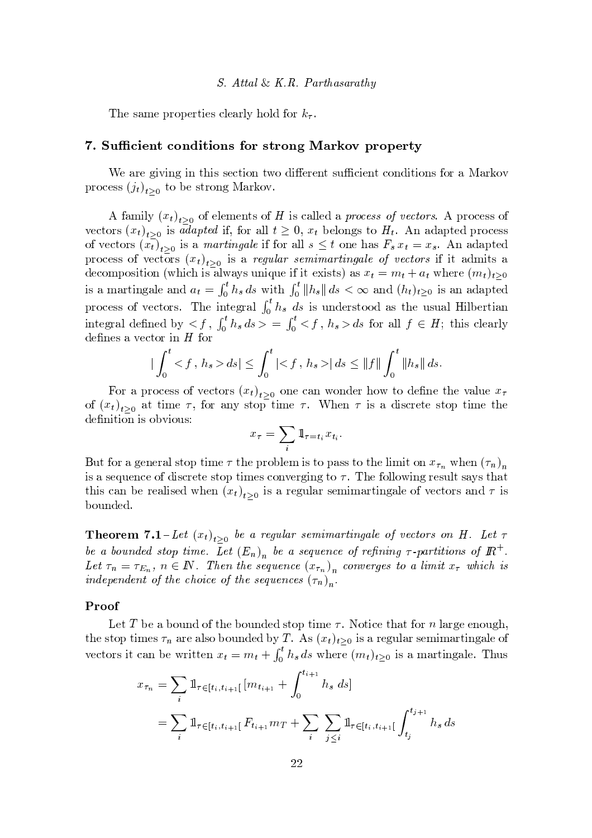s v  $\sim$  v  $\sim$  v  $\sim$  v  $\sim$  v  $\sim$  v  $\sim$  v  $\sim$  v  $\sim$  v  $\sim$  v  $\sim$  v  $\sim$  v  $\sim$  v  $\sim$  v  $\sim$  v  $\sim$  v  $\sim$  v  $\sim$  v  $\sim$  v  $\sim$  v  $\sim$  v  $\sim$  v  $\sim$  v  $\sim$  v  $\sim$  v  $\sim$  v  $\sim$  v  $\sim$  v  $\sim$  v  $\sim$  v  $\sim$  v  $\sim$  v

## l a m i iii a xei

We are giving in this section two different sufficient conditions for a Markov process  $(i_1)$  , , to be strong Markov  $\mathbb{R}$ 

A family  $(r_*)$ , of elements of H is called a process of vectors. A process of vectors  $(r_t)$ , is adapted if for all  $t \geq 0$ ,  $r_t$  belongs to  $H_t$ . An adapted process of vectors  $(r_{\epsilon})$ , is a *martingale* if for all  $s \leq t$  one has  $F, r_{\epsilon} \equiv r$ . An adapted process of vectors  $(r_1)$ , is a regular semimartingale of vectors if it admits a decomposition (which is always unique if it exists) as  $x_t = m_t + a_t$  where  $(m_t)_{t>0}$ is a martingale and  $a_t = \int_a^t h_s ds$  with  $\int_a^t \|h_s\| ds < \infty$  and  $(h_t)_{t>0}$  is an adapted process of vectors. The integral  $\int_{0}^{t} h_s ds$  is understood as the usual Hilbertian integral defined by  $\lt f$   $\int_a^b h_s ds \gt \equiv \int_a^b \lt f$   $h_s > ds$  for all  $f \in H$ ; this clearly  $s$  , we see that  $s$  is the state  $s$  and  $s$  and  $s$  and  $s$  and  $s$  and  $s$  and  $s$  and  $s$  and  $s$  and  $s$  and  $s$  and  $s$  and  $s$  and  $s$  and  $s$  and  $s$  and  $s$  and  $s$  and  $s$  and  $s$  and  $s$  and  $s$  and  $s$  and  $s$ 

$$
\left| \int_0^t \langle f, h_s \rangle \, ds \right| \le \int_0^t \left| \langle f, h_s \rangle \right| ds \le \|f\| \int_0^t \|h_s\| \, ds.
$$

For a process of vectors  $(x_i)$ , one can wonder how to define the value x of  $(r_t)$ , at time  $\tau$  for any stop time  $\tau$ . When  $\tau$  is a discrete stop time the <sup>s</sup> <sup>~</sup> <sup>t</sup> ~{ <sup>~</sup> <sup>v</sup> { } <sup>~</sup> { <sup>u</sup> <sup>v</sup> <sup>&</sup>gt;

$$
x_{\tau} = \sum_{i} \mathbb{1}_{\tau=t_i} x_{t_i}.
$$

But for a conoral stan time  $\tau$  the problem is to pass to the limit on x = when  $(\tau)$ ~ <sup>v</sup> <sup>y</sup> <sup>v</sup> <sup>s</sup> <sup>u</sup> <sup>s</sup> <sup>x</sup> <sup>s</sup> { <sup>~</sup> <sup>v</sup> <sup>x</sup> <sup>w</sup> <sup>s</sup> <sup>t</sup> <sup>s</sup> <sup>v</sup> <sup>t</sup> { <sup>t</sup> ~| <sup>s</sup> <sup>v</sup> <sup>x</sup> { <sup>s</sup> <sup>w</sup> <sup>~</sup> <sup>t</sup> { s { <sup>z</sup> <sup>z</sup> { <sup>~</sup> <sup>w</sup> <sup>s</sup> <sup>v</sup> <sup>u</sup> <sup>z</sup> <sup>t</sup> <sup>v</sup> <sup>y</sup> vt <sup>y</sup> <sup>t</sup> this can be realised when  $(r_*)$ , is a regular semimartingale of vectors and  $\tau$  is } { <sup>u</sup> <sup>s</sup>

**Theorem** 7.1 – Let  $(x_t)$ , be a regular semimartingale of vectors on H Let  $\tau$  $\alpha$  , and the set of the set of the set of the set of the set of the set of the set of the set of the set of the set of the set of the set of the set of the set of the set of the set of the set of the set of the set of t  $Let \tau = \tau_{\tau} \in \mathbb{N}$  Then the sequence  $(x)$  converges to a limit x unhigh is  $\mathbf{1}$  and  $\mathbf{1}$  and  $\mathbf{1}$  and  $\mathbf{1}$  and  $\mathbf{1}$  and  $\mathbf{1}$  and  $\mathbf{1}$  and  $\mathbf{1}$  and  $\mathbf{1}$  and  $\mathbf{1}$  and  $\mathbf{1}$  and  $\mathbf{1}$  and  $\mathbf{1}$  and  $\mathbf{1}$  and  $\mathbf{1}$  and  $\mathbf{1}$  and  $\mathbf{1}$  and

## Proof

r s y  ${\bf x}$  , the state  ${\bf x}$  is the state  ${\bf x}$  th  ${\bf x}$  is the state  ${\bf x}$  of  ${\bf x}$ the stop times  $\tau_n$  are also bounded by T. As  $(x_t)_{t>0}$  is a regular semimartingale of vectors it can be written  $x_t = m_t + \int_t^t h_s ds$  where  $(m_t)_{t > 0}$  is a martingale. Thus

$$
x_{\tau_n} = \sum_i \mathbb{1}_{\tau \in [t_i, t_{i+1}[} [m_{t_{i+1}} + \int_0^{t_{i+1}} h_s ds] = \sum_i \mathbb{1}_{\tau \in [t_i, t_{i+1}[} F_{t_{i+1}} m_T + \sum_i \sum_{j \le i} \mathbb{1}_{\tau \in [t_i, t_{i+1}[} \int_{t_j}^{t_{j+1}} h_s ds
$$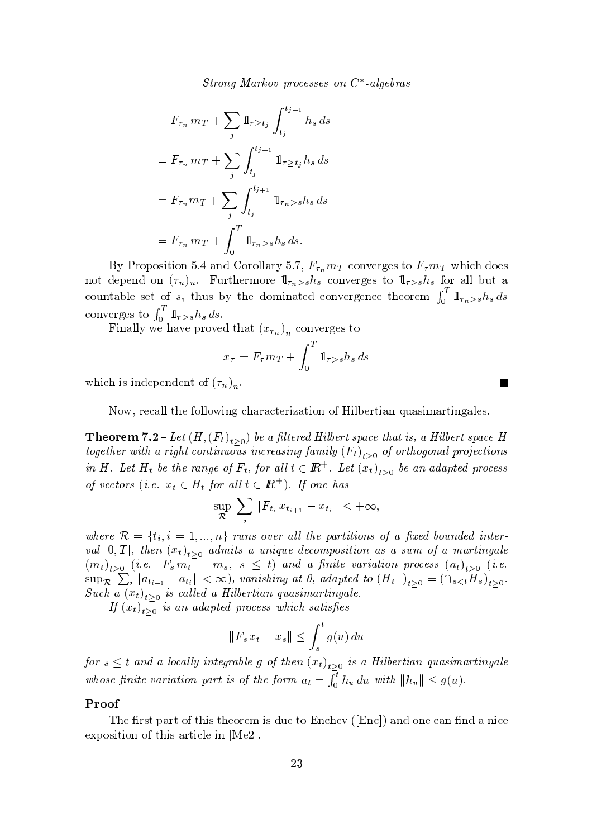Strong Markov processes on  $C^*$ -algebras

$$
= F_{\tau_n} m_T + \sum_j \mathbb{1}_{\tau \ge t_j} \int_{t_j}^{t_{j+1}} h_s ds
$$
  

$$
= F_{\tau_n} m_T + \sum_j \int_{t_j}^{t_{j+1}} \mathbb{1}_{\tau \ge t_j} h_s ds
$$
  

$$
= F_{\tau_n} m_T + \sum_j \int_{t_j}^{t_{j+1}} \mathbb{1}_{\tau_n > s} h_s ds
$$
  

$$
= F_{\tau_n} m_T + \int_0^T \mathbb{1}_{\tau_n > s} h_s ds.
$$

By Proposition 5.4 and Corollary 5.7,  $F_{\tau_n} m_T$  converges to  $F_{\tau} m_T$  which does not depend on  $(\tau_n)_n$ . Furthermore  $1_{\tau_n>s}h_s$  converges to  $1_{\tau>s}h_s$  for all but a countable set of s, thus by the dominated convergence theorem  $\int_0^T 1\mathbf{1}_{\tau_n > s} h_s ds$ converges to  $\int_0^T \mathbb{1}_{\tau>s} h_s ds$ .

Finally we have proved that  $(x_{\tau_n})_n$  converges to

$$
x_{\tau} = F_{\tau} m_T + \int_0^T \mathbb{1}_{\tau > s} h_s ds
$$

which is independent of  $(\tau_n)_n$ .

Now, recall the following characterization of Hilbertian quasimartingales.

**Theorem 7.2** – Let  $(H, (F_t)_{t>0})$  be a filtered Hilbert space that is, a Hilbert space H together with a right continuous increasing family  $(F_t)_{t>0}$  of orthogonal projections in H. Let  $H_t$  be the range of  $F_t$ , for all  $t \in \mathbb{R}^+$ . Let  $(\overline{x_t})_{t>0}$  be an adapted process of vectors (i.e.  $x_t \in H_t$  for all  $t \in \mathbb{R}^+$ ). If one has

$$
\sup_{\mathcal{R}} \sum_{i} \|F_{t_i} x_{t_{i+1}} - x_{t_i}\| < +\infty,
$$

where  $\mathcal{R} = \{t_i, i = 1, ..., n\}$  runs over all the partitions of a fixed bounded interval  $[0, T]$ , then  $(x_t)_{t>0}$  admits a unique decomposition as a sum of a martingale  $(m_t)_{t\geq 0}$  (i.e.  $F_s m_t = m_s$ ,  $s \leq t$ ) and a finite variation process  $(a_t)_{t\geq 0}$  (i.e.  $\sup_{\mathcal{R}} \sum_i ||a_{t_{i+1}} - a_{t_i}|| < \infty$ , vanishing at 0, adapted to  $(H_{t-})_{t>0} = (\bigcap_{s \leq t} H_s)_{t>0}$ . Such a  $(x_t)_{t>0}$  is called a Hilbertian quasimartingale.

If  $(x_t)_{t>0}$  is an adapted process which satisfies

$$
\|F_s x_t - x_s\| \le \int_s^t g(u) \, du
$$

for  $s \leq t$  and a locally integrable g of then  $(x_t)_{t \geq 0}$  is a Hilbertian quasimartingale whose finite variation part is of the form  $a_t = \int_0^t h_u du$  with  $||h_u|| \leq g(u)$ .

## Proof

The first part of this theorem is due to Enchev ([Enc]) and one can find a nice exposition of this article in [Me2].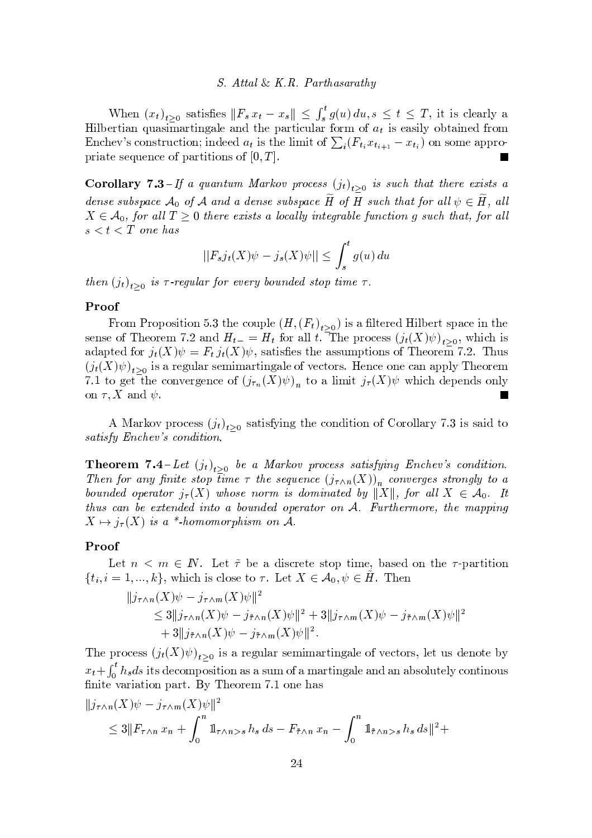#### $S. Attal \& K.R.$  Parthasarathy

When  $(x_t)_{t\geq 0}$  satisfies  $||F_s x_t - x_s|| \leq \int_s^t g(u) du, s \leq t \leq T$ , it is clearly a Hilbertian quasimartingale and the particular form of  $a_t$  is easily obtained from Enchev's construction; indeed  $a_t$  is the limit of  $\sum_i (F_{t_i} x_{t_{i+1}} - x_{t_i})$  on some appropriate sequence of partitions of  $[0, T]$ . F

**Corollary 7.3**-If a quantum Markov process  $(j_t)_{t>0}$  is such that there exists a dense subspace  $\mathcal{A}_0$  of  $\mathcal A$  and a dense subspace  $H$  of  $H$  such that for all  $\psi \in H$ , all  $X \in \mathcal{A}_0$ , for all  $T \geq 0$  there exists a locally integrable function g such that, for all  $s < t < T$  one has

$$
||F_s j_t(X)\psi - j_s(X)\psi|| \le \int_s^t g(u) \, du
$$

then  $(j_t)_{t>0}$  is  $\tau$ -regular for every bounded stop time  $\tau$ .

#### Proof

From Proposition 5.3 the couple  $(H,(F_t)_{t>0})$  is a filtered Hilbert space in the sense of Theorem 7.2 and  $H_{t-} = H_t$  for all t. The process  $(j_t(X)\psi)_{t>0}$ , which is adapted for  $j_t(X)\psi = F_t j_t(X)\psi$ , satisfies the assumptions of Theorem 7.2. Thus  $(j_t(X)\psi)_{t>0}$  is a regular semimartingale of vectors. Hence one can apply Theorem 7.1 to get the convergence of  $(j_{\tau_n}(X)\psi)_n$  to a limit  $j_{\tau}(X)\psi$  which depends only on  $\tau, X$  and  $\psi$ .

A Markov process  $(j_t)_{t>0}$  satisfying the condition of Corollary 7.3 is said to satisfy Enchev's condition.

**Theorem 7.4**-Let  $(j_t)_{t>0}$  be a Markov process satisfying Enchev's condition. Then for any finite stop time  $\tau$  the sequence  $(j_{\tau \wedge n}(X))_n$  converges strongly to a bounded operator  $j_{\tau}(X)$  whose norm is dominated by ||X||, for all  $X \in \mathcal{A}_0$ . It thus can be extended into a bounded operator on A. Furthermore, the mapping  $X \mapsto i_{\tau}(X)$  is a \*-homomorphism on A.

#### Proof

Let  $n \leq m \in \mathbb{N}$ . Let  $\tilde{\tau}$  be a discrete stop time, based on the  $\tau$ -partition  $\{t_i, i = 1, ..., k\}$ , which is close to  $\tau$ . Let  $X \in \mathcal{A}_0, \psi \in H$ . Then

$$
||j_{\tau \wedge n}(X)\psi - j_{\tau \wedge m}(X)\psi||^2
$$
  
\n
$$
\leq 3||j_{\tau \wedge n}(X)\psi - j_{\tilde{\tau} \wedge n}(X)\psi||^2 + 3||j_{\tau \wedge m}(X)\psi - j_{\tilde{\tau} \wedge m}(X)\psi||^2
$$
  
\n
$$
+ 3||j_{\tilde{\tau} \wedge n}(X)\psi - j_{\tilde{\tau} \wedge m}(X)\psi||^2.
$$

The process  $(j_t(X)\psi)_{t>0}$  is a regular semimartingale of vectors, let us denote by  $x_t + \int_0^t h_s ds$  its decomposition as a sum of a martingale and an absolutely continuous finite variation part. By Theorem 7.1 one has

$$
|j_{\tau \wedge n}(X)\psi - j_{\tau \wedge m}(X)\psi||^2
$$
  
\n
$$
\leq 3||F_{\tau \wedge n}x_n + \int_0^n 1_{\tau \wedge n > s} h_s ds - F_{\tilde{\tau} \wedge n}x_n - \int_0^n 1_{\tilde{\tau} \wedge n > s} h_s ds||^2 +
$$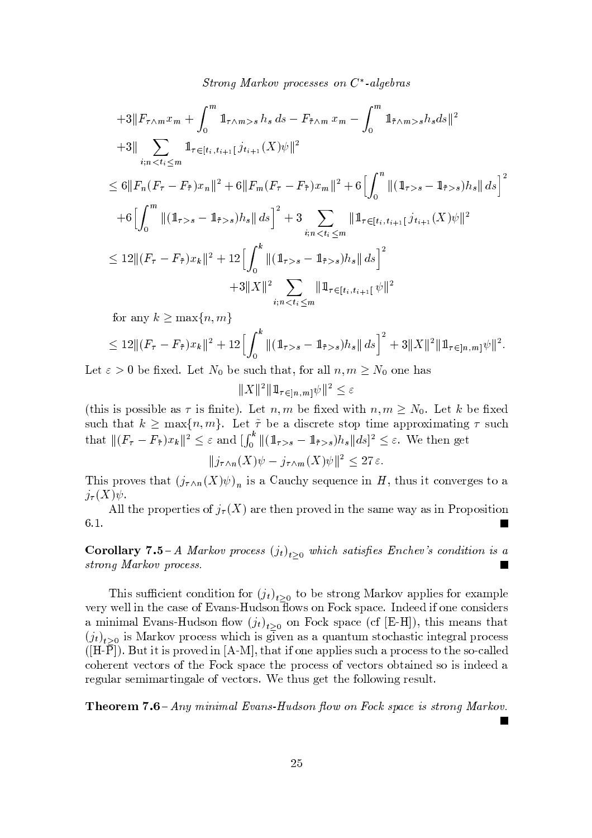$\alpha$ , and  $\alpha$  is  $\alpha$  is  $\alpha$  is  $\alpha$  is  $\alpha$  is  $\alpha$  is  $\alpha$  is  $\alpha$  is  $\alpha$  is  $\alpha$  is  $\alpha$  is  $\alpha$  is  $\alpha$  is  $\alpha$  is  $\alpha$  is  $\alpha$  is  $\alpha$  is  $\alpha$  is  $\alpha$  is  $\alpha$  is  $\alpha$  is  $\alpha$  is  $\alpha$  is  $\alpha$  is  $\alpha$  is  $\alpha$  is  $\alpha$ 

$$
+3\|F_{\tau\wedge m}x_{m} + \int_{0}^{m} \mathbb{1}_{\tau\wedge m>s} h_{s} ds - F_{\tilde{\tau}\wedge m} x_{m} - \int_{0}^{m} \mathbb{1}_{\tilde{\tau}\wedge m>s} h_{s} ds\|^{2}
$$
  
\n
$$
+3\|\sum_{i; n  
\n
$$
\leq 6\|F_{n}(F_{\tau}-F_{\tilde{\tau}})x_{n}\|^{2} + 6\|F_{m}(F_{\tau}-F_{\tilde{\tau}})x_{m}\|^{2} + 6\Big[\int_{0}^{n} \|(\mathbb{1}_{\tau>s}-\mathbb{1}_{\tilde{\tau}s}s)h_{s}\| ds\Big]^{2}
$$
  
\n
$$
+6\Big[\int_{0}^{m} \|(\mathbb{1}_{\tau>s}-\mathbb{1}_{\tilde{\tau}s}s)h_{s}\| ds\Big]^{2} + 3\sum_{i; n  
\n
$$
\leq 12\|(F_{\tau}-F_{\tilde{\tau}})x_{k}\|^{2} + 12\Big[\int_{0}^{k} \|(\mathbb{1}_{\tau>s}-\mathbb{1}_{\tilde{\tau}s}s)h_{s}\| ds\Big]^{2}
$$
  
\n
$$
+3\|X\|^{2}\sum_{i; n
$$
$$
$$

 ${\rm for \ any} \ k \geq \max\{n,m\}$ 

$$
\leq 12 \|(F_{\tau} - F_{\tilde{\tau}})x_k\|^2 + 12 \Big[\int_0^k \|(1-\tau)s} - 1-\tau/s_k\|ds\Big]^2 + 3\|X\|^2 \|1-\tau s}\|x_0\|^2.
$$

Let  $\varepsilon > 0$  be fixed Let  $N_2$  be such that for all  $n, m \ge N_2$  one has

$$
||X||^2 ||1_{\tau \in ]n,m} \psi||^2 \le \varepsilon
$$

(this is possible  $p_2 \neq i_2$  finite) Let  $p_2$  m be fixed with  $p_2$   $m > N$ . Let  $k$  be fixed such that  $k \geq \max\{n,m\}$ . Let  $\tilde{\tau}$  be a discrete stop time approximating  $\tau$  such that  $|| (F_{\tau} - F_{\tilde{\tau}})_{x_k} ||^2 \leq \varepsilon$  and  $||f^*|| (||_{\tau \geq \varepsilon} - ||_{\tilde{\tau} \geq \varepsilon}) h_{\varepsilon} ||ds||^2 \leq \varepsilon$ . We then get

 $||\vec{a} + (X)\vec{b}||_2 = \vec{a} + (X)\vec{b}||_2^2 < 27\epsilon$ 

 ~ <sup>v</sup> <sup>w</sup> { <sup>s</sup> <sup>v</sup> <sup>t</sup> <sup>y</sup> <sup>t</sup> <sup>=</sup> <sup>~</sup> <sup>v</sup> <sup>y</sup> ¤ <sup>y</sup> <sup>u</sup> <sup>x</sup> <sup>v</sup> <sup>s</sup> <sup>u</sup> <sup>s</sup> <sup>x</sup> <sup>s</sup> <sup>~</sup> <sup>9</sup> <sup>t</sup> <sup>u</sup> <sup>v</sup> <sup>~</sup> <sup>t</sup> <sup>x</sup> { <sup>s</sup> <sup>w</sup> <sup>s</sup> <sup>v</sup> <sup>t</sup> { <sup>y</sup>  $j_\tau(X)\psi$ .

 $\dot{z}$  as t s w t  $\dot{z}$  where  $\dot{z}$  is the set of the set of the set of the set of the set of the set of the set of the set of the set of the set of the set of the set of the set of the set of the set of the set of t ¨

 $\bf{Conollary 7.5-4}$  Markov process  $(i_1)$  which satisfies Enchev's condition is a  -  

This sufficient condition for  $(i_1)$ , to be strong Markov applies for example s w  $\alpha$  is a set of  $\alpha$  is  $\alpha$  . The sweat is the sweat of  $\alpha$  is  $\alpha$  is a sweat in  $\alpha$ a minimal Evans-Hudson flow  $(i_1)$ , on Fock space  $(c_1^f$  [E-H]) this means that  $(i_{t})$ , is Markov process which is given as a quantum stochastic integral process  $\mathcal{A} \subset \mathcal{A}$  , we find that  $\mathcal{A} \subset \mathcal{A}$  is a set of  $\mathcal{A}$  is vertex  $\mathcal{A}$  , we find the set of  $\mathcal{A}$  is vertex  $\mathcal{A}$  , we find that  $\mathcal{A}$  is a vertex  $\mathcal{A}$  is a vertex  $\mathcal{A}$  is a vertex  $\mathcal{$ x { <sup>s</sup> <sup>w</sup> <sup>s</sup> <sup>t</sup> <sup>s</sup> <sup>x</sup> <sup>t</sup> { <sup>w</sup> <sup>v</sup> { <sup>t</sup> <sup>s</sup> <sup>E</sup> { <sup>x</sup> <sup>v</sup> <sup>y</sup> <sup>x</sup> <sup>s</sup> <sup>t</sup> <sup>s</sup> <sup>w</sup> { <sup>x</sup> <sup>s</sup> <sup>v</sup> <sup>v</sup> { <sup>s</sup> <sup>x</sup> <sup>t</sup> { <sup>w</sup> <sup>v</sup> { } <sup>t</sup> <sup>y</sup> <sup>~</sup> <sup>s</sup> <sup>v</sup> { <sup>~</sup> <sup>v</sup> <sup>~</sup> <sup>s</sup> <sup>s</sup> <sup>y</sup> where we see the set of the state  $\alpha$  state  $\alpha$  and the set of the state  $\alpha$  and the set of the set of the set of the set of the set of the set of the set of the set of the set of the set of the set of the set of the s

 $\Gamma$ beorem 7.6 - Any minimal Eyang Hydgon flow on Fock space is strong Markoy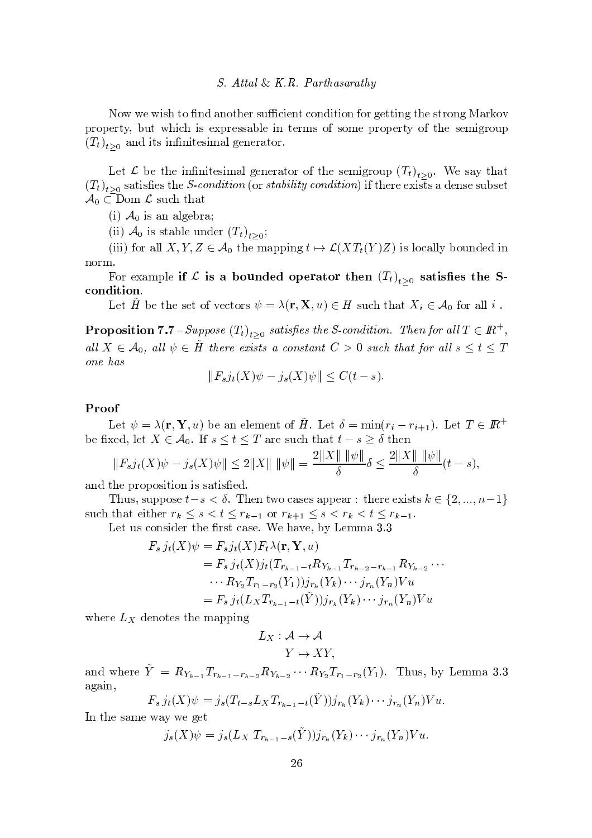#### *S.* Attal & K.R. Parthasarathy

Now we wish to find another sufficient condition for getting the strong Markov property, but which is expressable in terms of some property of the semigroup  $(T_t)_{t>0}$  and its infinitesimal generator.

Let  $\mathcal L$  be the infinitesimal generator of the semigroup  $(T_t)_{t>0}$ . We say that  $(T_t)_{t>0}$  satisfies the *S-condition* (or *stability condition*) if there exists a dense subset  $\mathcal{A}_0 \subset$ Dom  $\mathcal{L}$  such that

(i)  $\mathcal{A}_0$  is an algebra;

(ii)  $\mathcal{A}_0$  is stable under  $(T_t)_{t>0}$ ;

(iii) for all X, Y, Z  $\in$  A<sub>0</sub> the mapping  $t \mapsto \mathcal{L}(XT_t(Y)Z)$  is locally bounded in norm.

For example if  $\mathcal L$  is a bounded operator then  $(T_t)_{t>0}$  satisfies the Scondition.

Let H be the set of vectors  $\psi = \lambda(\mathbf{r}, \mathbf{X}, u) \in H$  such that  $X_i \in \mathcal{A}_0$  for all i.

**Proposition 7.7** - Suppose  $(T_t)_{t>0}$  satisfies the S-condition. Then for all  $T \in \mathbb{R}^+$ , all  $X \in \mathcal{A}_0$ , all  $\psi \in \tilde{H}$  there exists a constant  $C > 0$  such that for all  $s \leq t \leq T$ one has

$$
||F_s j_t(X)\psi - j_s(X)\psi|| \le C(t - s).
$$

## Proof

Let  $\psi = \lambda(\mathbf{r}, \mathbf{Y}, u)$  be an element of  $\tilde{H}$ . Let  $\delta = \min(r_i - r_{i+1})$ . Let  $T \in \mathbb{R}^+$ be fixed, let  $X \in \mathcal{A}_0$ . If  $s \le t \le T$  are such that  $t - s \ge \delta$  then

$$
||F_s j_t(X)\psi - j_s(X)\psi|| \le 2||X|| \, ||\psi|| = \frac{2||X|| \, ||\psi||}{\delta} \delta \le \frac{2||X|| \, ||\psi||}{\delta}(t-s),
$$

and the proposition is satisfied.

Thus, suppose  $t-s < \delta$ . Then two cases appear: there exists  $k \in \{2, ..., n-1\}$ such that either  $r_k \leq s < t \leq r_{k-1}$  or  $r_{k+1} \leq s < r_k < t \leq r_{k-1}$ .

Let us consider the first case. We have, by Lemma 3.3

$$
F_s j_t(X)\psi = F_s j_t(X) F_t \lambda(\mathbf{r}, \mathbf{Y}, u)
$$
  
=  $F_s j_t(X) j_t(T_{r_{k-1}-t} R_{Y_{k-1}} T_{r_{k-2}-r_{k-1}} R_{Y_{k-2}} \cdots$   
 $\cdots R_{Y_2} T_{r_1-r_2}(Y_1)) j_{r_k}(Y_k) \cdots j_{r_n}(Y_n) V u$   
=  $F_s j_t(L_X T_{r_{k-1}-t}(\tilde{Y})) j_{r_k}(Y_k) \cdots j_{r_n}(Y_n) V u$ 

where  $L_X$  denotes the mapping

$$
L_X: \mathcal{A} \to \mathcal{A}
$$

$$
Y \mapsto XY,
$$

and where  $\tilde{Y} = R_{Y_{k-1}} T_{r_{k-1}-r_{k-2}} R_{Y_{k-2}} \cdots R_{Y_2} T_{r_1-r_2}(Y_1)$ . Thus, by Lemma 3.3 again,

$$
F_s j_t(X)\psi = j_s(T_{t-s}L_XT_{r_{k-1}-t}(\tilde{Y}))j_{r_k}(Y_k)\cdots j_{r_n}(Y_n)V u.
$$

In the same way we get

$$
j_s(X)\psi = j_s(L_X T_{r_{k-1}-s}(Y))j_{r_k}(Y_k)\cdots j_{r_n}(Y_n)V u.
$$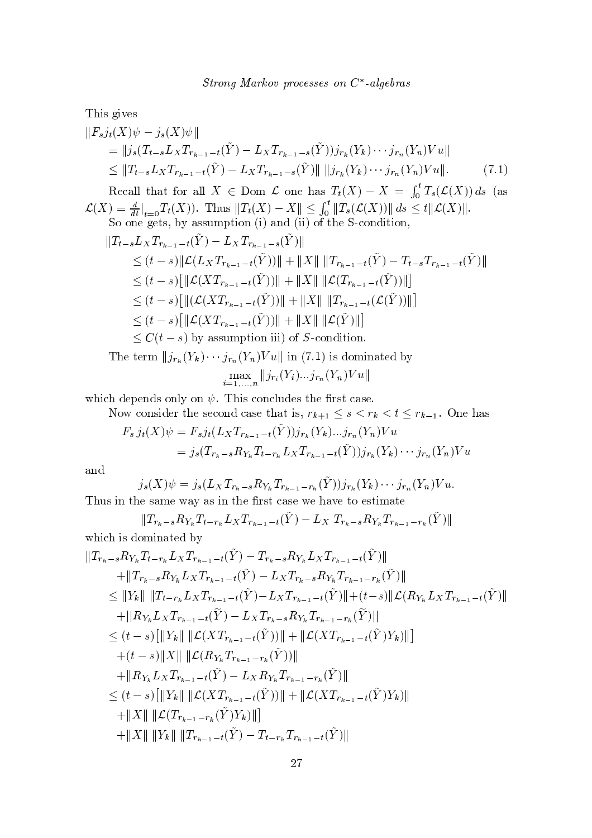This gives

$$
||F_s j_t(X)\psi - j_s(X)\psi||
$$
  
=  $||j_s(T_{t-s}L_XT_{r_{k-1}-t}(\tilde{Y}) - L_XT_{r_{k-1}-s}(\tilde{Y}))j_{r_k}(Y_k)\cdots j_{r_n}(Y_n)Vu||$   
 $\leq ||T_{t-s}L_XT_{r_{k-1}-t}(\tilde{Y}) - L_XT_{r_{k-1}-s}(\tilde{Y})|| ||j_{r_k}(Y_k)\cdots j_{r_n}(Y_n)Vu||.$  (7.1)

Recall that for all  $X \in \text{Dom }\mathcal{L}$  one has  $T_t(X) - X = \int_0^t T_s(\mathcal{L}(X)) ds$  (as  $\mathcal{L}(X) = \frac{d}{dt}|_{t=0}T_t(X)$ ). Thus  $||T_t(X) - X|| \le \int_0^t ||T_s(\mathcal{L}(X))|| ds \le t ||\mathcal{L}(X)||$ .<br>So one gets, by assumption (i) and (ii) of the S-condition,

so one gets, by assumption (1) and (n) of the 5-conation,  
\n
$$
||T_{t-s}L_XT_{r_{k-1}-t}(\tilde{Y}) - L_XT_{r_{k-1}-s}(\tilde{Y})||
$$
\n
$$
\leq (t-s)||\mathcal{L}(L_XT_{r_{k-1}-t}(\tilde{Y}))|| + ||X|| ||T_{r_{k-1}-t}(\tilde{Y}) - T_{t-s}T_{r_{k-1}-t}(\tilde{Y})||
$$
\n
$$
\leq (t-s)[||\mathcal{L}(XT_{r_{k-1}-t}(\tilde{Y}))|| + ||X|| ||\mathcal{L}(T_{r_{k-1}-t}(\tilde{Y}))||]
$$
\n
$$
\leq (t-s)[||\mathcal{L}(XT_{r_{k-1}-t}(\tilde{Y}))|| + ||X|| ||T_{r_{k-1}-t}(\mathcal{L}(\tilde{Y}))||]
$$
\n
$$
\leq (t-s)[||\mathcal{L}(XT_{r_{k-1}-t}(\tilde{Y}))|| + ||X|| ||\mathcal{L}(\tilde{Y})||]
$$
\n
$$
\leq C(t-s)
$$
 by assumption iii) of *S*-condition.  
\nThe term  $||j_{r_k}(Y_k) \cdots j_{r_n}(Y_n)Vu||$  in (7.1) is dominated by  
\n
$$
\max_{i=1,\ldots,n} ||j_{r_i}(Y_i) \ldots j_{r_n}(Y_n)Vu||
$$

which depends only on  $\psi$ . This concludes the first case.

Now consider the second case that is,  $r_{k+1} \leq s < r_k < t \leq r_{k-1}$ . One has  $(\tilde{Y})$   $(Y)$   $(Y)$   $(Y)$  $E = (V)$   $E = (I - T)$ 

$$
F_s j_t(X)\psi = F_s j_t(L_X T_{r_{k-1}-t}(Y))j_{r_k}(Y_k)...j_{r_n}(Y_n)V u
$$
  
=  $j_s(T_{r_k-s}R_{Y_k}T_{t-r_k}L_X T_{r_{k-1}-t}(\tilde{Y}))j_{r_k}(Y_k)...j_{r_n}(Y_n)V u$ 

and

$$
j_s(X)\psi = j_s(L_XT_{r_k-s}R_{Y_k}T_{r_{k-1}-r_k}(\tilde{Y}))j_{r_k}(Y_k)\cdots j_{r_n}(Y_n)Vu.
$$
  
Thus in the same way as in the first case we have to estimate

 $||T_{r_k-s}R_{Y_k}T_{t-r_k}L_XT_{r_{k-1}-t}(\tilde{Y})-L_X|T_{r_k-s}R_{Y_k}T_{r_{k-1}-r_k}(\tilde{Y})||$ which is dominated by

$$
||T_{r_{k}-s}R_{Y_{k}}T_{t-r_{k}}L_{X}T_{r_{k-1}-t}(Y) - T_{r_{k}-s}R_{Y_{k}}L_{X}T_{r_{k-1}-t}(Y)||
$$
  
\n
$$
+||T_{r_{k}-s}R_{Y_{k}}L_{X}T_{r_{k-1}-t}(\tilde{Y}) - L_{X}T_{r_{k}-s}R_{Y_{k}}T_{r_{k-1}-r_{k}}(\tilde{Y})||
$$
  
\n
$$
\leq ||Y_{k}|| ||T_{t-r_{k}}L_{X}T_{r_{k-1}-t}(\tilde{Y}) - L_{X}T_{r_{k-1}-t}(\tilde{Y})|| + (t-s)||\mathcal{L}(R_{Y_{k}}L_{X}T_{r_{k-1}-t}(\tilde{Y})||
$$
  
\n
$$
+||R_{Y_{k}}L_{X}T_{r_{k-1}-t}(\tilde{Y}) - L_{X}T_{r_{k}-s}R_{Y_{k}}T_{r_{k-1}-r_{k}}(\tilde{Y})||
$$
  
\n
$$
\leq (t-s)[||Y_{k}|| ||\mathcal{L}(XT_{r_{k-1}-t}(\tilde{Y}))|| + ||\mathcal{L}(XT_{r_{k-1}-t}(\tilde{Y})Y_{k})||]
$$
  
\n
$$
+ (t-s)||X|| ||\mathcal{L}(R_{Y_{k}}T_{r_{k-1}-r_{k}}(\tilde{Y}))||
$$
  
\n
$$
+||R_{Y_{k}}L_{X}T_{r_{k-1}-t}(\tilde{Y}) - L_{X}R_{Y_{k}}T_{r_{k-1}-r_{k}}(\tilde{Y})||
$$
  
\n
$$
\leq (t-s)[||Y_{k}|| ||\mathcal{L}(XT_{r_{k-1}-t}(\tilde{Y}))|| + ||\mathcal{L}(XT_{r_{k-1}-t}(\tilde{Y})Y_{k})||
$$
  
\n
$$
+||X|| ||\mathcal{L}(T_{r_{k-1}-r_{k}}(\tilde{Y})Y_{k})||]
$$
  
\n
$$
+||X|| ||Y_{k}|| ||T_{r_{k-1}-t}(\tilde{Y}) - T_{t-r_{k}}T_{r_{k-1}-t}(\tilde{Y})||
$$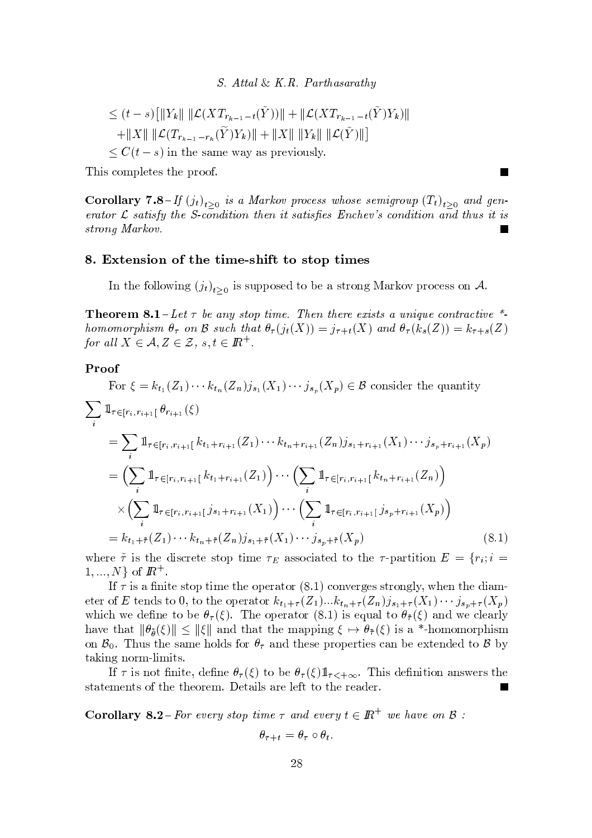$S. Attal \& K.R.$  Parthasarathy

$$
\leq (t-s) \left[ \|Y_k\| \|\mathcal{L}(XT_{r_{k-1}-t}(\tilde{Y}))\| + \|\mathcal{L}(XT_{r_{k-1}-t}(\tilde{Y})Y_k)\| + \|X\| \|\mathcal{L}(T_{r_{k-1}-r_k}(\tilde{Y})Y_k)\| + \|X\| \|Y_k\| \|\mathcal{L}(\tilde{Y})\|\right] \leq C(t-s) \text{ in the same way as previously.}
$$

This completes the proof.

**Corollary 7.8**-If  $(j_t)_{t>0}$  is a Markov process whose semigroup  $(T_t)_{t>0}$  and generator  $\mathcal L$  satisfy the S-condition then it satisfies Enchev's condition and thus it is strong Markov.

#### 8. Extension of the time-shift to stop times

In the following  $(j_t)_{t>0}$  is supposed to be a strong Markov process on A.

**Theorem 8.1** – Let  $\tau$  be any stop time. Then there exists a unique contractive  $*$ homomorphism  $\theta_{\tau}$  on  $\mathcal B$  such that  $\theta_{\tau}(j_t(X)) = j_{\tau+t}(X)$  and  $\theta_{\tau}(k_s(Z)) = k_{\tau+s}(Z)$ for all  $X \in \mathcal{A}, Z \in \mathcal{Z}, s, t \in \mathbb{R}^+$ .

## Proof

For  $\xi = k_{t_1}(Z_1) \cdots k_{t_n}(Z_n) j_{s_1}(X_1) \cdots j_{s_p}(X_p) \in \mathcal{B}$  consider the quantity  $\sum_{i=1}^{n} 1\!\!1_{\tau \in [r_i,r_{i+1}[}\theta_{r_{i+1}}(\xi)$ =  $\sum_{i} 1\!\!1_{\tau \in [r_i,r_{i+1}[} k_{t_1+r_{i+1}}(Z_1) \cdots k_{t_n+r_{i+1}}(Z_n) j_{s_1+r_{i+1}}(X_1) \cdots j_{s_p+r_{i+1}}(X_p)$  $= \left( \sum_i \mathbb{1}_{\tau \in [r_i, r_{i+1}[} k_{t_1+r_{i+1}}(Z_1) \right) \cdots \left( \sum_i \mathbb{1}_{\tau \in [r_i, r_{i+1}[} k_{t_n+r_{i+1}}(Z_n) \right)$  $\times \Big( \sum_{i} 1\!\!1_{\tau \in [r_i, r_{i+1}[} j_{s_1+r_{i+1}}(X_1) \Big) \cdots \Big( \sum_{i} 1\!\!1_{\tau \in [r_i, r_{i+1}[} j_{s_p+r_{i+1}}(X_p) \Big)$ =  $k_{t_1+\tilde{\tau}}(Z_1) \cdots k_{t_n+\tilde{\tau}}(Z_n) j_{s_1+\tilde{\tau}}(X_1) \cdots j_{s_n+\tilde{\tau}}(X_n)$  $(8.1)$ 

where  $\tilde{\tau}$  is the discrete stop time  $\tau_E$  associated to the  $\tau$ -partition  $E = \{r_i; i =$  $1, ..., N$  of  $\mathbb{R}^+$ .

If  $\tau$  is a finite stop time the operator (8.1) converges strongly, when the diameter of E tends to 0, to the operator  $k_{t_1+\tau}(Z_1)...k_{t_n+\tau}(Z_n)j_{s_1+\tau}(X_1)\cdots j_{s_p+\tau}(X_p)$ which we define to be  $\theta_{\tau}(\xi)$ . The operator (8.1) is equal to  $\theta_{\tilde{\tau}}(\xi)$  and we clearly have that  $\|\theta_{\tilde{\theta}}(\xi)\| \leq \|\xi\|$  and that the mapping  $\xi \mapsto \theta_{\tilde{\tau}}(\xi)$  is a \*-homomorphism on  $\mathcal{B}_0$ . Thus the same holds for  $\theta_{\tau}$  and these properties can be extended to  $\mathcal{B}$  by taking norm-limits.

If  $\tau$  is not finite, define  $\theta_{\tau}(\xi)$  to be  $\theta_{\tau}(\xi)1_{\tau<+\infty}$ . This definition answers the statements of the theorem. Details are left to the reader.

**Corollary 8.2**-For every stop time  $\tau$  and every  $t \in \mathbb{R}^+$  we have on  $\beta$ :

$$
\theta_{\tau+t} = \theta_{\tau} \circ \theta_t.
$$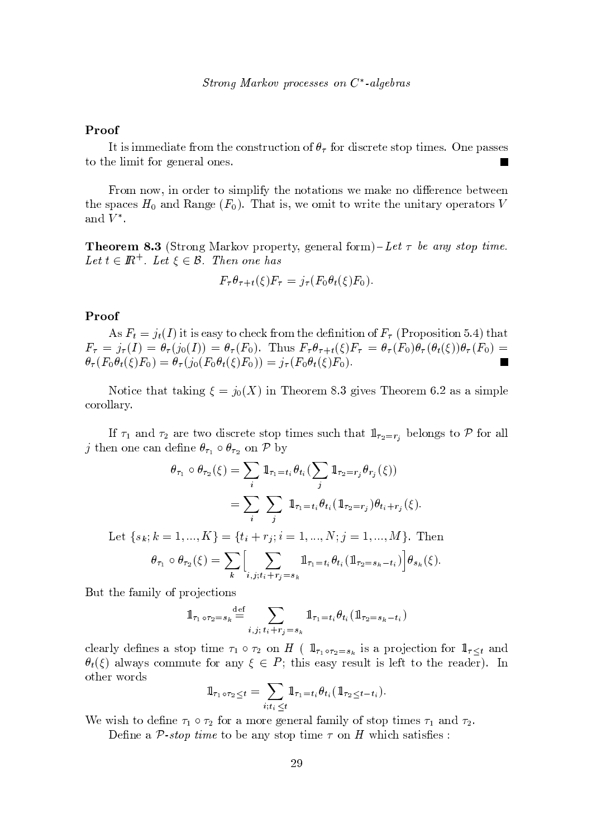Strong Markov processes on  $C^*$ -algebras

## Proof

It is immediate from the construction of  $\theta_{\tau}$  for discrete stop times. One passes to the limit for general ones.

From now, in order to simplify the notations we make no difference between the spaces  $H_0$  and Range  $(F_0)$ . That is, we omit to write the unitary operators V and  $V^*$ .

**Theorem 8.3** (Strong Markov property, general form)–Let  $\tau$  be any stop time. Let  $t \in \mathbb{R}^+$ . Let  $\xi \in \mathcal{B}$ . Then one has

$$
F_{\tau}\theta_{\tau+t}(\xi)F_{\tau}=j_{\tau}(F_0\theta_t(\xi)F_0).
$$

#### Proof

As  $F_t = j_t(I)$  it is easy to check from the definition of  $F_{\tau}$  (Proposition 5.4) that  $F_{\tau} = j_{\tau}(I) = \theta_{\tau}(j_0(I)) = \theta_{\tau}(F_0)$ . Thus  $F_{\tau}\theta_{\tau+t}(\xi)F_{\tau} = \theta_{\tau}(F_0)\theta_{\tau}(\theta_t(\xi))\theta_{\tau}(F_0) =$  $\theta_{\tau}(F_0\theta_t(\xi)F_0) = \theta_{\tau}(j_0(F_0\theta_t(\xi)F_0)) = j_{\tau}(F_0\theta_t(\xi)F_0).$  $\blacksquare$ 

Notice that taking  $\xi = j_0(X)$  in Theorem 8.3 gives Theorem 6.2 as a simple corollary.

If  $\tau_1$  and  $\tau_2$  are two discrete stop times such that  $1\!\!1_{\tau_2=r_i}$  belongs to P for all j then one can define  $\theta_{\tau_1} \circ \theta_{\tau_2}$  on P by

$$
\theta_{\tau_1} \circ \theta_{\tau_2}(\xi) = \sum_i \mathbb{1}_{\tau_1 = t_i} \theta_{t_i} \left( \sum_j \mathbb{1}_{\tau_2 = r_j} \theta_{r_j}(\xi) \right)
$$

$$
= \sum_i \sum_j \mathbb{1}_{\tau_1 = t_i} \theta_{t_i} \left( \mathbb{1}_{\tau_2 = r_j} \right) \theta_{t_i + r_j}(\xi)
$$

Let  $\{s_k; k = 1, ..., K\} = \{t_i + r_j; i = 1, ..., N; j = 1, ..., M\}$ . Then  $\theta_{\tau_1}\circ\theta_{\tau_2}(\xi)=\sum_k\Bigl[\sum_{i,\,j;t,\,+\,r_i=s\,\iota}1\hskip-3pt1_{\tau_1=t_i}\theta_{t_i}\bigl(1\hskip-3pt1_{\tau_2=s_k-t_i}\bigr)\Bigr]\theta_{s_k}(\xi).$ 

But the family of projections

$$
1\!\!1_{\tau_1 \circ \tau_2 = s_k} \stackrel{\text{def}}{=} \sum_{i,j;\ t_i + r_j = s_k} 1\!\!1_{\tau_1 = t_i} \theta_{t_i} (1\!\!1_{\tau_2 = s_k - t_i})
$$

clearly defines a stop time  $\tau_1 \circ \tau_2$  on H (  $1\!\!1_{\tau_1 \circ \tau_2 = s_k}$  is a projection for  $1\!\!1_{\tau \leq t}$  and  $\theta_t(\xi)$  always commute for any  $\xi \in P$ ; this easy result is left to the reader). In other words

$$
1\!\!1_{\tau_1\circ\tau_2\leq t}=\sum_{i;t_i\leq t}1\!\!1_{\tau_1=t_i}\theta_{t_i}\left(1\!\!1_{\tau_2\leq t-t_i}\right).
$$

We wish to define  $\tau_1 \circ \tau_2$  for a more general family of stop times  $\tau_1$  and  $\tau_2$ .

Define a P-stop time to be any stop time  $\tau$  on H which satisfies: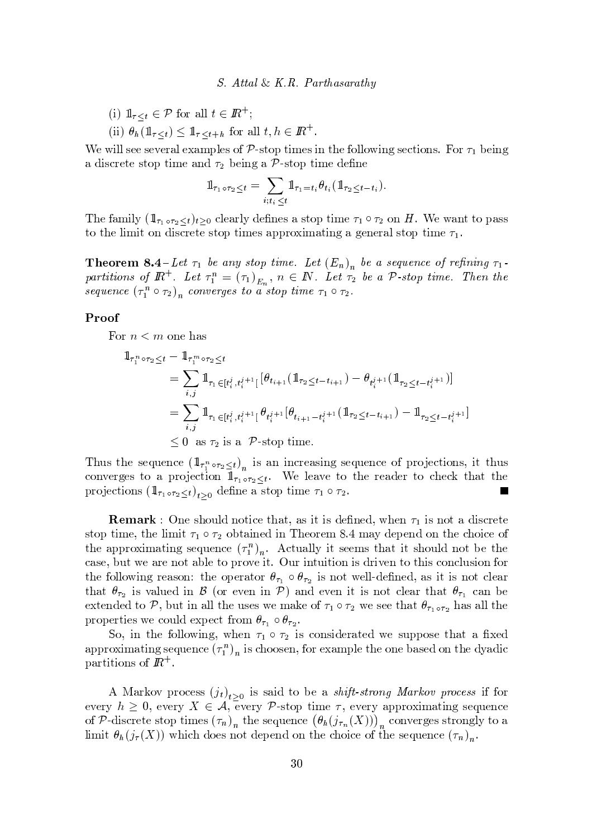#### $S. Attal \& K.R.$  Parthasarathu

- (i)  $1\!\!1_{\tau\leq t}\in\mathcal{P}$  for all  $t\in\mathbb{R}^+$ ;
- (ii)  $\theta_h(\mathbb{1}_{\tau \leq t}) \leq \mathbb{1}_{\tau \leq t+h}$  for all  $t, h \in \mathbb{R}^+$ .

We will see several examples of  $P$ -stop times in the following sections. For  $\tau_1$  being a discrete stop time and  $\tau_2$  being a P-stop time define

$$
1\!\!1_{\tau_1\circ\tau_2\leq t}=\sum_{i;t_i\leq t}1\!\!1_{\tau_1=t_i}\theta_{t_i}(1\!\!1_{\tau_2\leq t-t_i}).
$$

The family  $(\mathbb{1}_{\tau_1 \circ \tau_2 \leq t})_{t \geq 0}$  clearly defines a stop time  $\tau_1 \circ \tau_2$  on H. We want to pass to the limit on discrete stop times approximating a general stop time  $\tau_1$ .

**Theorem 8.4**-Let  $\tau_1$  be any stop time. Let  $(E_n)_n$  be a sequence of refining  $\tau_1$ . partitions of  $\mathbb{R}^+$ . Let  $\tau_1^n = (\tau_1)_{E_n}$ ,  $n \in \mathbb{N}$ . Let  $\tau_2$  be a  $\mathcal{P}$ -stop time. Then the sequence  $(\tau_1^n \circ \tau_2)_n$  converges to a stop time  $\tau_1 \circ \tau_2$ .

#### Proof

For  $n < m$  one has

$$
\begin{split} \mathbb{1}_{\tau_1^n \circ \tau_2 \leq t} &= \mathbb{1}_{\tau_1^m \circ \tau_2 \leq t} \\ &= \sum_{i,j} \mathbb{1}_{\tau_1 \in [t_i^j, t_i^{j+1}[} \left[ \theta_{t_{i+1}} \left( \mathbb{1}_{\tau_2 \leq t - t_{i+1}} \right) - \theta_{t_i^j+1} \left( \mathbb{1}_{\tau_2 \leq t - t_i^{j+1}} \right) \right] \\ &= \sum_{i,j} \mathbb{1}_{\tau_1 \in [t_i^j, t_i^{j+1}[} \theta_{t_i^j+1} \left[ \theta_{t_{i+1} - t_i^{j+1}} \left( \mathbb{1}_{\tau_2 \leq t - t_{i+1}} \right) - \mathbb{1}_{\tau_2 \leq t - t_i^{j+1}} \right] \\ &\leq 0 \text{ as } \tau_2 \text{ is a } \mathcal{P}\text{-stop time.} \end{split}
$$

Thus the sequence  $(\mathbb{1}_{\tau_1^n \circ \tau_2 \leq t})_n$  is an increasing sequence of projections, it thus converges to a projection  $1\!\!1_{\tau_1\circ\tau_2\leq t}$ . We leave to the reader to check that the projections  $(1\!\!1_{\tau_1 \circ \tau_2 \leq t})_{t>0}$  define a stop time  $\tau_1 \circ \tau_2$ .  $\blacksquare$ 

**Remark**: One should notice that, as it is defined, when  $\tau_1$  is not a discrete stop time, the limit  $\tau_1 \circ \tau_2$  obtained in Theorem 8.4 may depend on the choice of the approximating sequence  $(\tau_1^n)_n$ . Actually it seems that it should not be the case, but we are not able to prove it. Our intuition is driven to this conclusion for the following reason: the operator  $\theta_{\tau_1} \circ \theta_{\tau_2}$  is not well-defined, as it is not clear that  $\theta_{\tau_2}$  is valued in  $\beta$  (or even in  $\mathcal{P}$ ) and even it is not clear that  $\theta_{\tau_1}$  can be extended to P, but in all the uses we make of  $\tau_1 \circ \tau_2$  we see that  $\theta_{\tau_1 \circ \tau_2}$  has all the properties we could expect from  $\theta_{\tau_1} \circ \theta_{\tau_2}$ .

So, in the following, when  $\tau_1 \circ \tau_2$  is considerated we suppose that a fixed approximating sequence  $(\tau_1^n)_n$  is choosen, for example the one based on the dyadic partitions of  $\mathbb{R}^+$ .

A Markov process  $(j_t)_{t>0}$  is said to be a *shift-strong Markov process* if for every  $h \geq 0$ , every  $X \in \mathcal{A}$ , every P-stop time  $\tau$ , every approximating sequence of P-discrete stop times  $(\tau_n)_n$  the sequence  $(\theta_n(j_{\tau_n}(X)))_n$  converges strongly to a limit  $\theta_h(j_\tau(X))$  which does not depend on the choice of the sequence  $(\tau_n)_n$ .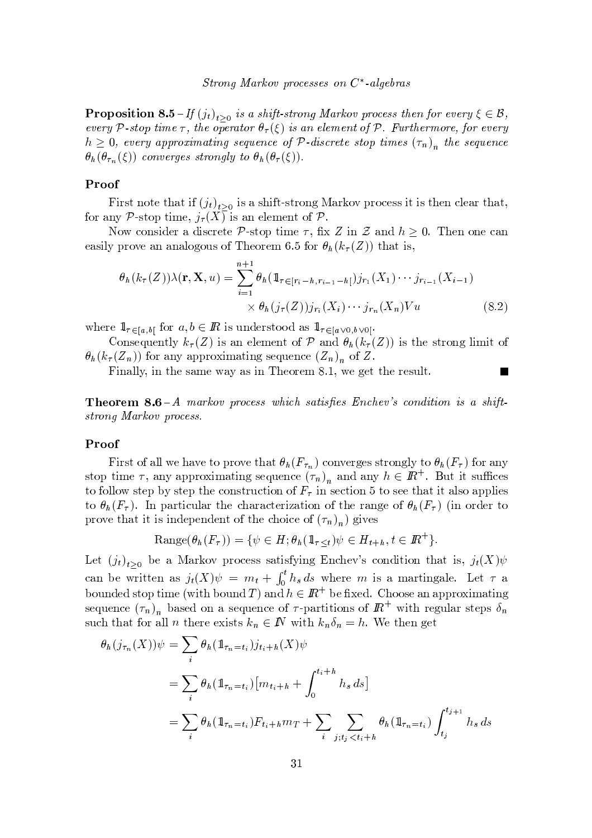**Proposition 8.5**-If  $(j_t)_{t>0}$  is a shift-strong Markov process then for every  $\xi \in \mathcal{B}$ , every P-stop time  $\tau$ , the operator  $\theta_{\tau}(\xi)$  is an element of P. Furthermore, for every  $h \geq 0$ , every approximating sequence of P-discrete stop times  $(\tau_n)$ , the sequence  $\theta_h(\theta_{\tau_n}(\xi))$  converges strongly to  $\theta_h(\theta_{\tau}(\xi)).$ 

#### Proof

First note that if  $(j_t)_{t>0}$  is a shift-strong Markov process it is then clear that, for any P-stop time,  $j_{\tau}(X)$  is an element of P.

Now consider a discrete P-stop time  $\tau$ , fix Z in Z and  $h \geq 0$ . Then one can easily prove an analogous of Theorem 6.5 for  $\theta_h(k_\tau(Z))$  that is,

$$
\theta_h(k_{\tau}(Z))\lambda(\mathbf{r}, \mathbf{X}, u) = \sum_{i=1}^{n+1} \theta_h(\mathbb{1}_{\tau \in [r_i - h, r_{i-1} - h]}) j_{r_1}(X_1) \cdots j_{r_{i-1}}(X_{i-1})
$$
  
 
$$
\times \theta_h(j_{\tau}(Z)) j_{r_i}(X_i) \cdots j_{r_n}(X_n) V u
$$
(8.2)

where  $\mathbb{1}_{\tau \in [a,b]}$  for  $a,b \in \mathbb{R}$  is understood as  $\mathbb{1}_{\tau \in [a\vee 0,b\vee 0]}$ .

Consequently  $k_{\tau}(Z)$  is an element of P and  $\theta_h(k_{\tau}(Z))$  is the strong limit of  $\theta_h(k_\tau(Z_n))$  for any approximating sequence  $(Z_n)_n$  of Z.

Finally, in the same way as in Theorem 8.1, we get the result.

**Theorem 8.6**-A markov process which satisfies Enchev's condition is a shiftstrong Markov process.

#### Proof

First of all we have to prove that  $\theta_h(F_{\tau_n})$  converges strongly to  $\theta_h(F_{\tau})$  for any stop time  $\tau$ , any approximating sequence  $(\tau_n)_n$  and any  $h \in \mathbb{R}^+$ . But it suffices to follow step by step the construction of  $F_{\tau}$  in section 5 to see that it also applies to  $\theta_h(F_\tau)$ . In particular the characterization of the range of  $\theta_h(F_\tau)$  (in order to prove that it is independent of the choice of  $(\tau_n)_n$  gives

Range
$$
(\theta_h(F_{\tau})) = \{ \psi \in H; \theta_h(\mathbb{1}_{\tau \leq t}) \psi \in H_{t+h}, t \in \mathbb{R}^+\}.
$$

Let  $(j_t)_{t>0}$  be a Markov process satisfying Enchev's condition that is,  $j_t(X)\psi$ can be written as  $j_t(X)\psi = m_t + \int_0^t h_s ds$  where m is a martingale. Let  $\tau$  a bounded stop time (with bound T) and  $h \in \mathbb{R}^+$  be fixed. Choose an approximating sequence  $(\tau_n)_n$  based on a sequence of  $\tau$ -partitions of  $\mathbb{R}^+$  with regular steps  $\delta_n$ such that for all *n* there exists  $k_n \in \mathbb{N}$  with  $k_n \delta_n = h$ . We then get

$$
\theta_h(j_{\tau_n}(X))\psi = \sum_i \theta_h(\mathbb{1}_{\tau_n = t_i})j_{t_i+h}(X)\psi
$$
  
= 
$$
\sum_i \theta_h(\mathbb{1}_{\tau_n = t_i})[m_{t_i+h} + \int_0^{t_i+h} h_s ds]
$$
  
= 
$$
\sum_i \theta_h(\mathbb{1}_{\tau_n = t_i})F_{t_i+h}m_T + \sum_i \sum_{j;t_j < t_i+h} \theta_h(\mathbb{1}_{\tau_n = t_i})\int_{t_j}^{t_{j+1}} h_s ds
$$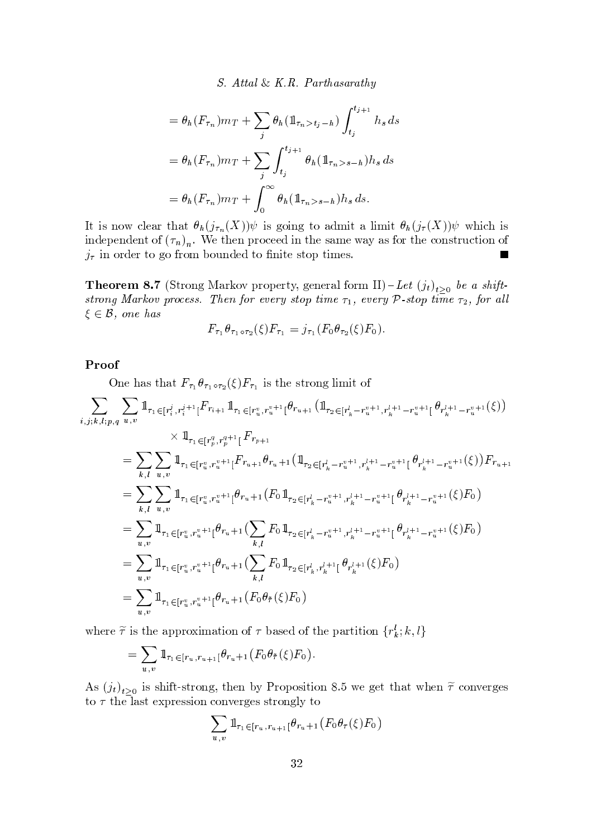S. Attal & K.R. Parthasarathy

$$
= \theta_h(F_{\tau_n}) m_T + \sum_j \theta_h(\mathbb{1}_{\tau_n > t_j - h}) \int_{t_j}^{t_{j+1}} h_s ds
$$
  

$$
= \theta_h(F_{\tau_n}) m_T + \sum_j \int_{t_j}^{t_{j+1}} \theta_h(\mathbb{1}_{\tau_n > s - h}) h_s ds
$$
  

$$
= \theta_h(F_{\tau_n}) m_T + \int_0^\infty \theta_h(\mathbb{1}_{\tau_n > s - h}) h_s ds.
$$

It is now clear that  $\theta_h(j_{\tau_n}(X))\psi$  is going to admit a limit  $\theta_h(j_{\tau}(X))\psi$  which is independent of  $(\tau_n)_n$ . We then proceed in the same way as for the construction of  $j_{\tau}$  in order to go from bounded to finite stop times.  $\blacksquare$ 

**Theorem 8.7** (Strong Markov property, general form II)-Let  $(j_t)_{t>0}$  be a shiftstrong Markov process. Then for every stop time  $\tau_1$ , every  $\mathcal P$ -stop time  $\tau_2$ , for all  $\xi \in \mathcal{B}$ , one has

$$
F_{\tau_1} \theta_{\tau_1 \circ \tau_2}(\xi) F_{\tau_1} = j_{\tau_1} (F_0 \theta_{\tau_2}(\xi) F_0).
$$

## Proof

One has that  $F_{\tau_1} \theta_{\tau_1 \circ \tau_2}(\xi) F_{\tau_1}$  is the strong limit of

$$
\sum_{i,j,k,l;p,q} \sum_{u,v} \mathbb{1}_{\tau_1 \in [r_i^j, r_i^j+1]} F_{r_{i+1}} \mathbb{1}_{\tau_1 \in [r_u^v, r_u^{v+1}]} \theta_{r_{u+1}} (\mathbb{1}_{\tau_2 \in [r_k^l - r_u^{v+1}, r_k^{l+1} - r_u^{v+1}]} \theta_{r_k^{l+1} - r_u^{v+1}}(\xi))
$$
\n
$$
\times \mathbb{1}_{\tau_1 \in [r_u^g, r_u^{q+1}]} F_{r_{p+1}}
$$
\n
$$
= \sum_{k,l} \sum_{u,v} \mathbb{1}_{\tau_1 \in [r_u^v, r_u^{v+1}]} F_{r_{u+1}} \theta_{r_u+1} (\mathbb{1}_{\tau_2 \in [r_k^l - r_u^{v+1}, r_k^{l+1} - r_u^{v+1}]} \theta_{r_k^{l+1} - r_u^{v+1}}(\xi)) F_{r_{u+1}}
$$
\n
$$
= \sum_{k,l} \sum_{u,v} \mathbb{1}_{\tau_1 \in [r_u^v, r_u^{v+1}]} \theta_{r_u+1} (F_0 \mathbb{1}_{\tau_2 \in [r_k^l - r_u^{v+1}, r_k^{l+1} - r_u^{v+1}]} \theta_{r_k^{l+1} - r_u^{v+1}}(\xi) F_0)
$$
\n
$$
= \sum_{u,v} \mathbb{1}_{\tau_1 \in [r_u^v, r_u^{v+1}]} \theta_{r_u+1} (\sum_{k,l} F_0 \mathbb{1}_{\tau_2 \in [r_k^l - r_u^{v+1}, r_k^{l+1} - r_u^{v+1}]} \theta_{r_k^{l+1} - r_u^{v+1}}(\xi) F_0)
$$
\n
$$
= \sum_{u,v} \mathbb{1}_{\tau_1 \in [r_u^v, r_u^{v+1}]} \theta_{r_u+1} (\sum_{k,l} F_0 \mathbb{1}_{\tau_2 \in [r_k^l, r_k^{l+1}]} \theta_{r_k^{l+1}}(\xi) F_0)
$$
\n
$$
= \sum_{u,v} \mathbb{1}_{\tau_1 \in [r_u^v, r_u^{v+1}]} \theta_{r_u+1} (F_0 \theta_{\tilde{\tau}}(\xi) F_0)
$$

where  $\tilde{\tau}$  is the approximation of  $\tau$  based of the partition  $\{r_k^l; k, l\}$ 

$$
= \sum_{u,v} \mathbb{1}_{\tau_1 \in [r_u, r_{u+1}]} \theta_{r_u+1} \left( F_0 \theta_{\tilde{\tau}}(\xi) F_0 \right)
$$

As  $(j_t)_{t\geq 0}$  is shift-strong, then by Proposition 8.5 we get that when  $\tilde{\tau}$  converges to  $\tau$  the last expression converges strongly to

$$
\sum_{u,v} 1\!\!1_{\tau_1 \in [r_u, r_{u+1}]} \theta_{r_u+1} (F_0 \theta_\tau(\xi) F_0)
$$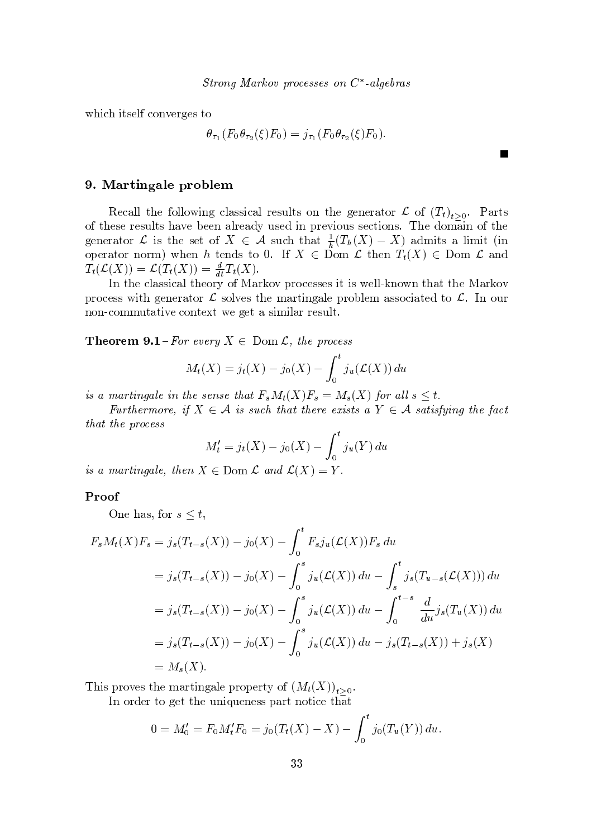which itself converges to

$$
\theta_{\tau_1}(F_0 \theta_{\tau_2}(\xi) F_0) = j_{\tau_1}(F_0 \theta_{\tau_2}(\xi) F_0)
$$

**The Second** 

## 9. Martingale problem

Recall the following classical results on the generator  $\mathcal L$  of  $(T_t)_{t>0}$ . Parts of these results have been already used in previous sections. The domain of the generator L is the set of  $X \in \mathcal{A}$  such that  $\frac{1}{h}(T_h(X) - X)$  admits a limit (in operator norm) when h tends to 0. If  $X \in \text{Dom }\mathcal{L}$  then  $T_t(X) \in \text{Dom }\mathcal{L}$  and  $T_t(\mathcal{L}(X)) = \mathcal{L}(T_t(X)) = \frac{d}{dt}T_t(X).$ 

In the classical theory of Markov processes it is well-known that the Markov process with generator  $\mathcal L$  solves the martingale problem associated to  $\mathcal L$ . In our non-commutative context we get a similar result.

**Theorem 9.1** – For every  $X \in \text{Dom } \mathcal{L}$ , the process

$$
M_t(X) = j_t(X) - j_0(X) - \int_0^t j_u(\mathcal{L}(X)) du
$$

is a martingale in the sense that  $F_sM_t(X)F_s = M_s(X)$  for all  $s \leq t$ .

Furthermore, if  $X \in \mathcal{A}$  is such that there exists a  $Y \in \mathcal{A}$  satisfying the fact that the process

$$
M'_t = j_t(X) - j_0(X) - \int_0^t j_u(Y) du
$$

is a martingale, then  $X \in \text{Dom } \mathcal{L}$  and  $\mathcal{L}(X) = Y$ .

## Proof

One has, for  $s \leq t$ ,

$$
F_s M_t(X) F_s = j_s(T_{t-s}(X)) - j_0(X) - \int_0^t F_s j_u(\mathcal{L}(X)) F_s du
$$
  
=  $j_s(T_{t-s}(X)) - j_0(X) - \int_0^s j_u(\mathcal{L}(X)) du - \int_s^t j_s(T_{u-s}(\mathcal{L}(X))) du$   
=  $j_s(T_{t-s}(X)) - j_0(X) - \int_0^s j_u(\mathcal{L}(X)) du - \int_0^{t-s} \frac{d}{du} j_s(T_u(X)) du$   
=  $j_s(T_{t-s}(X)) - j_0(X) - \int_0^s j_u(\mathcal{L}(X)) du - j_s(T_{t-s}(X)) + j_s(X)$   
=  $M_s(X).$ 

This proves the martingale property of  $(M_t(X))_{t>0}$ .

In order to get the uniqueness part notice that

$$
0 = M'_0 = F_0 M'_t F_0 = j_0 (T_t(X) - X) - \int_0^t j_0 (T_u(Y)) du.
$$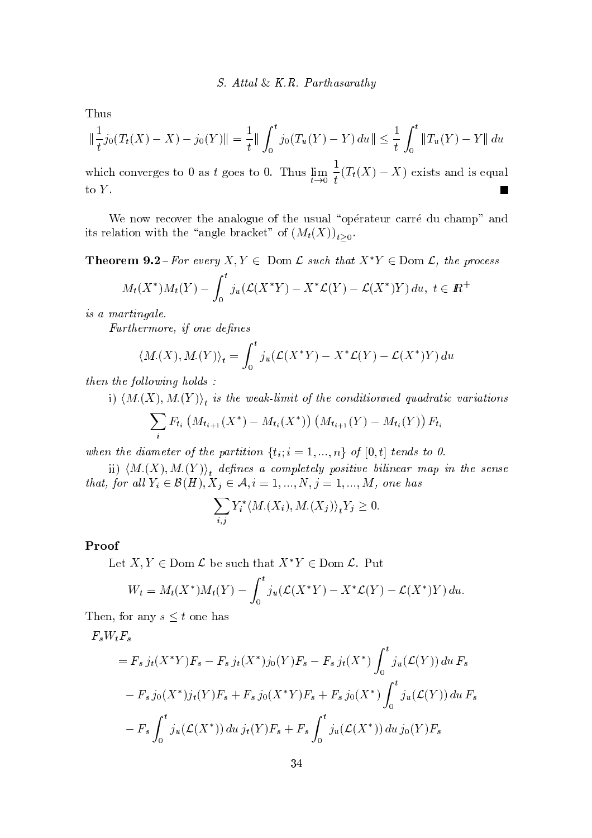Thus

$$
\left\|\frac{1}{t}j_0(T_t(X)-X)-j_0(Y)\right\| = \frac{1}{t}\left\|\int_0^t j_0(T_u(Y)-Y)\,du\right\| \le \frac{1}{t}\int_0^t \left\|T_u(Y)-Y\right\|du
$$

which converges to 0 as t goes to 0. Thus  $\lim_{t\to 0} \frac{1}{t}(T_t(X)-X)$  exists and is equal to  $Y$ .

We now recover the analogue of the usual "opérateur carré du champ" and its relation with the "angle bracket" of  $(M_t(X))_{t>0}$ .

**Theorem 9.2**-For every  $X, Y \in \text{Dom } \mathcal{L}$  such that  $X^*Y \in \text{Dom } \mathcal{L}$ , the process

$$
M_t(X^*)M_t(Y) - \int_0^t j_u(\mathcal{L}(X^*Y) - X^*\mathcal{L}(Y) - \mathcal{L}(X^*)Y) du, \ t \in I\!\!R^+
$$

is a martingale.

Furthermore, if one defines

$$
\langle M_{\cdot}(X), M_{\cdot}(Y) \rangle_t = \int_0^t j_u(\mathcal{L}(X^*Y) - X^*\mathcal{L}(Y) - \mathcal{L}(X^*)Y) du
$$

then the following holds :

i)  $\langle M_{\cdot}(X), M_{\cdot}(Y) \rangle_t$  is the weak-limit of the conditionned quadratic variations

$$
\sum_{i} F_{t_i} \left( M_{t_{i+1}}(X^*) - M_{t_i}(X^*) \right) \left( M_{t_{i+1}}(Y) - M_{t_i}(Y) \right) F_{t_i}
$$

when the diameter of the partition  $\{t_i; i = 1, ..., n\}$  of  $[0, t]$  tends to 0.

ii)  $\langle M_{\cdot}(X), M_{\cdot}(Y) \rangle_{t}$  defines a completely positive bilinear map in the sense that, for all  $Y_i \in \mathcal{B}(H), X_j \in \mathcal{A}, i = 1, ..., N, j = 1, ..., M$ , one has

$$
\sum_{i,j} Y_i^* \langle M_{\cdot}(X_i), M_{\cdot}(X_j) \rangle_t Y_j \ge 0
$$

#### Proof

Let  $X, Y \in \text{Dom }\mathcal{L}$  be such that  $X^*Y \in \text{Dom }\mathcal{L}$ . Put

$$
W_t = M_t(X^*)M_t(Y) - \int_0^t j_u(\mathcal{L}(X^*Y) - X^*\mathcal{L}(Y) - \mathcal{L}(X^*)Y) du.
$$

Then, for any  $s \leq t$  one has

 $F_sW_tF_s$ 

$$
= F_s j_t(X^*Y)F_s - F_s j_t(X^*)j_0(Y)F_s - F_s j_t(X^*) \int_0^t j_u(\mathcal{L}(Y)) du F_s
$$
  

$$
- F_s j_0(X^*)j_t(Y)F_s + F_s j_0(X^*Y)F_s + F_s j_0(X^*) \int_0^t j_u(\mathcal{L}(Y)) du F_s
$$
  

$$
- F_s \int_0^t j_u(\mathcal{L}(X^*)) du j_t(Y)F_s + F_s \int_0^t j_u(\mathcal{L}(X^*)) du j_0(Y)F_s
$$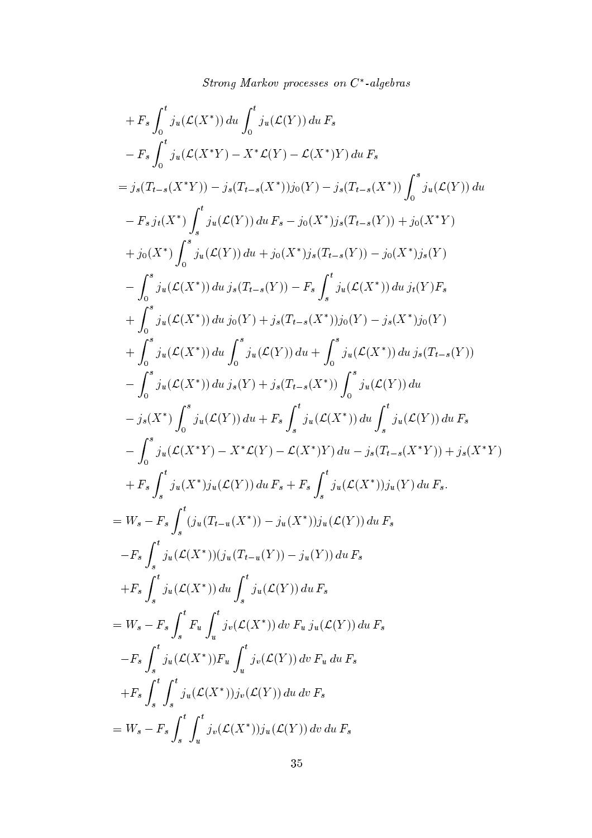+ F<sub>s</sub> 
$$
\int_{0}^{t} j_{u}(\mathcal{L}(X^{*})) du \int_{0}^{t} j_{u}(\mathcal{L}(Y)) du F_{s}
$$
  
\n- F<sub>s</sub>  $\int_{0}^{t} j_{u}(\mathcal{L}(X^{*}Y) - X^{*}\mathcal{L}(Y) - \mathcal{L}(X^{*})Y) du F_{s}$   
\n=  $j_{s}(T_{t-s}(X^{*}Y)) - j_{s}(T_{t-s}(X^{*}))j_{0}(Y) - j_{s}(T_{t-s}(X^{*})) \int_{0}^{s} j_{u}(\mathcal{L}(Y)) du$   
\n- F<sub>s</sub>  $j_{t}(X^{*}) \int_{s}^{t} j_{u}(\mathcal{L}(Y)) du F_{s} - j_{0}(X^{*})j_{s}(T_{t-s}(Y)) + j_{0}(X^{*}Y)$   
\n+  $j_{0}(X^{*}) \int_{0}^{s} j_{u}(\mathcal{L}(Y)) du + j_{0}(X^{*})j_{s}(T_{t-s}(Y)) - j_{0}(X^{*})j_{s}(Y)$   
\n-  $\int_{0}^{s} j_{u}(\mathcal{L}(X^{*})) du j_{s}(Y) + j_{0}(T_{s-1}(Y)) - F_{s} \int_{s}^{t} j_{u}(\mathcal{L}(X^{*})) du j_{t}(Y)F_{s}$   
\n+  $\int_{0}^{s} j_{u}(\mathcal{L}(X^{*})) du j_{0}(Y) + j_{s}(T_{t-s}(X^{*}))j_{0}(Y) - j_{s}(X^{*})j_{0}(Y)$   
\n+  $\int_{0}^{s} j_{u}(\mathcal{L}(X^{*})) du j_{0}(Y) + j_{s}(T_{t-s}(X^{*}))j_{0}(Y) - j_{s}(X^{*})j_{0}(Y)$   
\n-  $\int_{0}^{s} j_{u}(\mathcal{L}(X^{*})) du j_{s}(Y) + j_{s}(T_{t-s}(X^{*})) \int_{0}^{s} j_{u}(\mathcal{L}(Y)) du$   
\n-  $j_{s}(X^{*}) \int_{0}^{s} j_{u}(\mathcal{L}(Y)) du + F_{s} \int_{s}^{t} j_{u}(\mathcal{L}(X^{*})) du \int_{s}^{t} j_{u}(\mathcal{L}(Y)) du$   
\n-  $j_{s}(X^{*})$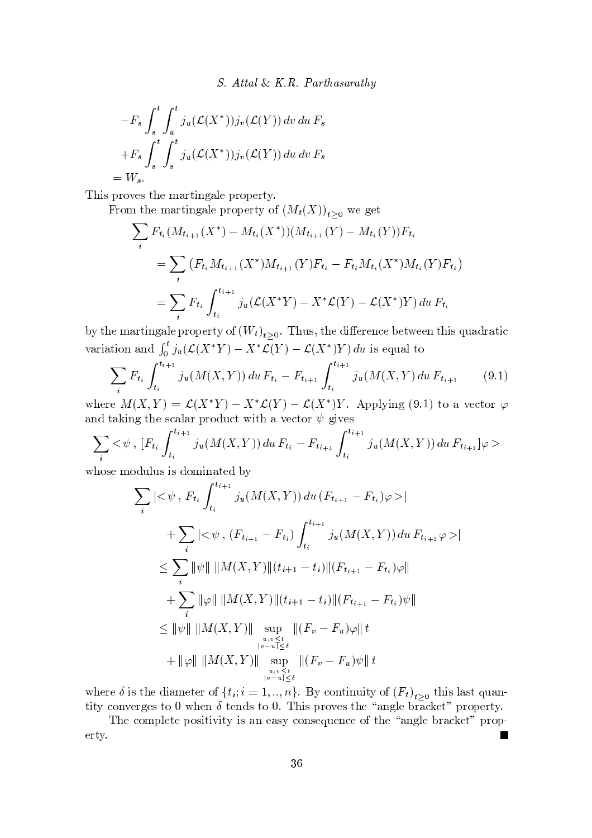$$
-F_s \int_s^t \int_u^t j_u(\mathcal{L}(X^*)) j_v(\mathcal{L}(Y)) dv du F_s
$$
  
+F\_s \int\_s^t \int\_s^t j\_u(\mathcal{L}(X^\*)) j\_v(\mathcal{L}(Y)) du dv F\_s  
= W\_s.

— v s v t s v t s w t s w t s w t s w t s w t s w t s w t s w t s w t s w t s w t s w t s w t s w t s w t s w

From the martingale property of  $(M_{\epsilon}(X))$ , we get

$$
\sum_{i} F_{t_i}(M_{t_{i+1}}(X^*) - M_{t_i}(X^*)) (M_{t_{i+1}}(Y) - M_{t_i}(Y)) F_{t_i}
$$
\n
$$
= \sum_{i} (F_{t_i} M_{t_{i+1}}(X^*) M_{t_{i+1}}(Y) F_{t_i} - F_{t_i} M_{t_i}(X^*) M_{t_i}(Y) F_{t_i})
$$
\n
$$
= \sum_{i} F_{t_i} \int_{t_i}^{t_{i+1}} j_u(\mathcal{L}(X^*Y) - X^* \mathcal{L}(Y) - \mathcal{L}(X^*) Y) du F_{t_i}
$$

by the martingale property of  $(W_1)$ , Thus the difference between this quadratic variation and  $\int_0^t j_u(\mathcal{L}(X^*Y) - X^*\mathcal{L}(Y) - \mathcal{L}(X^*)Y) du$  is equal to 

$$
\sum_{i} F_{t_i} \int_{t_i}^{t_{i+1}} j_u(M(X, Y)) du F_{t_i} - F_{t_{i+1}} \int_{t_i}^{t_{i+1}} j_u(M(X, Y) du F_{t_{i+1}} \qquad (9.1)
$$

where  $M(Y, V) = \mathcal{C}(Y^*V)$   $Y^*\mathcal{C}(V) = \mathcal{C}(Y^*)V$  Applying  $(0, 1)$  to a vector  $\varphi$  $\bm{x}$  , we will define the set  $\bm{x}$  and  $\bm{y}$  and  $\bm{y}$  and  $\bm{y}$  and  $\bm{y}$  and  $\bm{y}$  and  $\bm{y}$  and  $\bm{y}$ the contract of the contract of the contract of the contract of the contract of the contract of the contract o

$$
\sum_{i} < \psi, \ [F_{t_i} \int_{t_i}^{t_{i+1}} j_u(M(X, Y)) \, du \, F_{t_i} - F_{t_{i+1}} \int_{t_i}^{t_{i+1}} j_u(M(X, Y)) \, du \, F_{t_{i+1}}] \varphi >
$$

$$
\sum_{i} |<\psi, F_{t_{i}} \int_{t_{i}}^{t_{i+1}} j_{u}(M(X,Y)) du (F_{t_{i+1}} - F_{t_{i}})\varphi >|
$$
\n
$$
+ \sum_{i} |<\psi, (F_{t_{i+1}} - F_{t_{i}}) \int_{t_{i}}^{t_{i+1}} j_{u}(M(X,Y)) du F_{t_{i+1}} \varphi >|
$$
\n
$$
\leq \sum_{i} ||\psi|| ||M(X,Y)||(t_{i+1} - t_{i})||(F_{t_{i+1}} - F_{t_{i}})\varphi||
$$
\n
$$
+ \sum_{i} ||\varphi|| ||M(X,Y)||(t_{i+1} - t_{i})||(F_{t_{i+1}} - F_{t_{i}})\psi||
$$
\n
$$
\leq ||\psi|| ||M(X,Y)|| \sup_{u,v \leq t} ||(F_{v} - F_{u})\varphi|| t
$$
\n
$$
+ ||\varphi|| ||M(X,Y)|| \sup_{u,v \leq t} ||(F_{v} - F_{u})\psi|| t
$$

where  $\delta$  is the diameter of  $\{t_i; i = 1, ..., n\}$ . By continuity of  $(F_t)_{t>0}$  this last quan $t$ ity converges to  $0$  when  $\delta$  tonds to  $0$ . This preves the "angle predict" preperty

s t st s st s y v v s y v s y v s st s y v s y s y v s y v s t w y x s t w y x s t w y x s t w y x s t w y x s  $\overline{\phantom{a}}$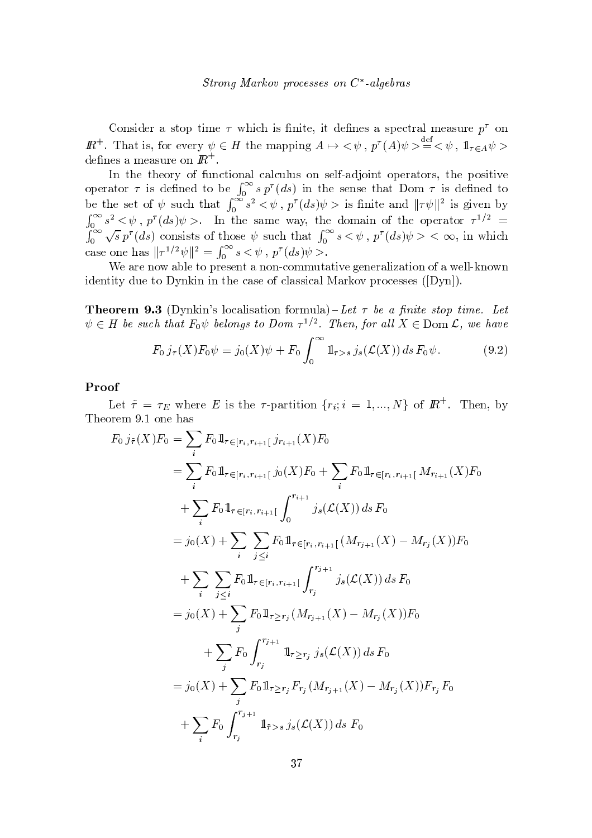Consider a stop time  $\tau$  which is finite, it defines a spectral measure  $p^{\tau}$  on  $I\!\!R^+$ . That is, for every  $\psi \in H$  the mapping  $A \mapsto \langle \psi, p^{\tau}(A)\psi \rangle \stackrel{\text{def}}{=} \langle \psi, 1 \rangle_{\tau \in A} \psi$ defines a measure on  $I\!\!R^+$ .

In the theory of functional calculus on self-adjoint operators, the positive operator  $\tau$  is defined to be  $\int_0^\infty s p^{\tau}(ds)$  in the sense that Dom  $\tau$  is defined to be the set of  $\psi$  such that  $\int_0^{\infty} s^2 < \psi$ ,  $p^{\tau}(ds)\psi >$  is finite and  $||\tau\psi||^2$  is given by  $\int_0^\infty s^2 <\psi, p^\tau(ds)\psi>.$  In the same way, the domain of the operator  $\tau^{1/2} = \int_0^\infty \sqrt{s} p^\tau(ds)$  consists of those  $\psi$  such that  $\int_0^\infty s <\psi, p^\tau(ds)\psi><\infty$ , in which case one has  $||\tau^{1/2}\psi||^2 = \int_0^\infty s < \psi$ ,  $p^{\tau}(ds)\psi$ .

We are now able to present a non-commutative generalization of a well-known identity due to Dynkin in the case of classical Markov processes  $([Dyn])$ .

**Theorem 9.3** (Dynkin's localisation formula)-Let  $\tau$  be a finite stop time. Let  $\psi \in H$  be such that  $F_0 \psi$  belongs to Dom  $\tau^{1/2}$ . Then, for all  $X \in \text{Dom }\mathcal{L}$ , we have

$$
F_0 j_\tau(X) F_0 \psi = j_0(X) \psi + F_0 \int_0^\infty \mathbb{1}_{\tau > s} j_s(\mathcal{L}(X)) \, ds \, F_0 \psi. \tag{9.2}
$$

## Proof

Let  $\tilde{\tau} = \tau_E$  where E is the  $\tau$ -partition  $\{r_i; i = 1, ..., N\}$  of  $\mathbb{R}^+$ . Then, by Theorem 9.1 one has

$$
F_0 j_{\tilde{\tau}}(X) F_0 = \sum_i F_0 1\!\!1_{\tau \in [r_i, r_{i+1}[} j_{r_{i+1}}(X) F_0
$$
  
\n
$$
= \sum_i F_0 1\!\!1_{\tau \in [r_i, r_{i+1}[} j_0(X) F_0 + \sum_i F_0 1\!\!1_{\tau \in [r_i, r_{i+1}[} M_{r_{i+1}}(X) F_0
$$
  
\n
$$
+ \sum_i F_0 1\!\!1_{\tau \in [r_i, r_{i+1}[} \int_0^{r_{i+1}} j_s(\mathcal{L}(X)) ds F_0
$$
  
\n
$$
= j_0(X) + \sum_i \sum_{j \leq i} F_0 1\!\!1_{\tau \in [r_i, r_{i+1}[} (M_{r_{j+1}}(X) - M_{r_j}(X)) F_0
$$
  
\n
$$
+ \sum_i \sum_{j \leq i} F_0 1\!\!1_{\tau \in [r_i, r_{i+1}[} \int_{r_j}^{r_{j+1}} j_s(\mathcal{L}(X)) ds F_0
$$
  
\n
$$
= j_0(X) + \sum_j F_0 1\!\!1_{\tau \geq r_j} (M_{r_{j+1}}(X) - M_{r_j}(X)) F_0
$$
  
\n
$$
+ \sum_j F_0 \int_{r_j}^{r_{j+1}} 1\!\!1_{\tau \geq r_j} j_s(\mathcal{L}(X)) ds F_0
$$
  
\n
$$
= j_0(X) + \sum_j F_0 1\!\!1_{\tau \geq r_j} F_{r_j}(M_{r_{j+1}}(X) - M_{r_j}(X)) F_{r_j} F_0
$$
  
\n
$$
+ \sum_i F_0 \int_{r_j}^{r_{j+1}} 1\!\!1_{\tilde{\tau} > s} j_s(\mathcal{L}(X)) ds F_0
$$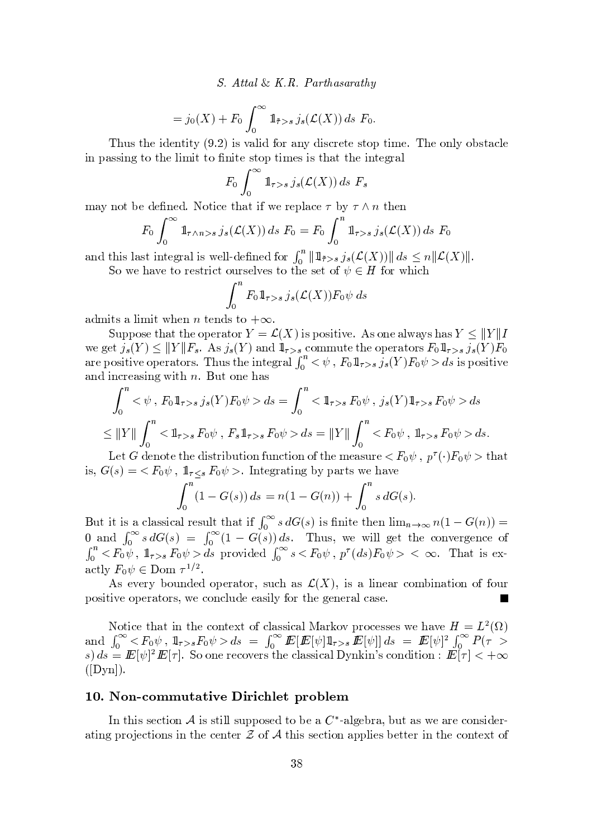- 

$$
= j_0(X) + F_0 \int_0^\infty \mathbb{1}_{\tilde{\tau} > s} j_s(\mathcal{L}(X)) ds F_0.
$$

under the same value of the state  $\alpha$  and  $\alpha$  is value of  $\alpha$  in the state  $\alpha$  in the state  $\alpha$ ~ <sup>y</sup> <sup>v</sup> <sup>v</sup> <sup>~</sup> <sup>t</sup> { <sup>t</sup> <sup>s</sup> <sup>z</sup> <sup>~</sup> <sup>|</sup> <sup>~</sup> <sup>t</sup> <sup>t</sup> { ~t <sup>s</sup> <sup>v</sup> <sup>t</sup> { <sup>t</sup> <sup>~</sup> <sup>|</sup> <sup>s</sup> <sup>v</sup> <sup>~</sup> <sup>v</sup> <sup>t</sup> <sup>y</sup> tt <sup>s</sup> <sup>~</sup> <sup>t</sup> <sup>s</sup> <sup>w</sup> <sup>y</sup> <sup>z</sup>

$$
F_0 \int_0^\infty \mathbb{1}_{\tau>s} \, j_s(\mathcal{L}(X)) \, ds \, F_s
$$

may not be defined. Notice that if we replace  $\tau$  by  $\tau \wedge n$  then and the contract of the contract of the contract of the contract of the contract of the contract of the contract of the contract of the contract of the contract of the contract of the contract of the contract of the contra

$$
F_0 \int_0^\infty \mathbb{1}_{\tau \wedge n > s} j_s(\mathcal{L}(X)) ds F_0 = F_0 \int_0^n \mathbb{1}_{\tau > s} j_s(\mathcal{L}(X)) ds F_0
$$

and this last integral is well-defined for  $\int_0^{\infty}$   $\|f\|_{L^{\infty}(\mathcal{L})}$   $\int_0^{\infty}$   $\|f(x)\|$   $ds \leq n \|\mathcal{L}(X)\|$ So we have to restrict ourselves to the set of  $\psi \in H$  for which

$$
\int_0^n F_0 1\!\!1_{\tau>s} \, j_s(\mathcal{L}(X)) F_0 \psi \, ds
$$

 $\mathcal{L} \mathcal{L} = \mathcal{L} \mathcal{L}$  , we set that  $\mathcal{L} = \mathcal{L} \mathcal{L}$  and the set of the set of the set of the set of the set of the set of the set of the set of the set of the set of the set of the set of the set of the set of

Suppose that the operator  $V = \mathcal{L}(X)$  is positive  $\Delta s$  one always has  $V \leq ||V||I$ we get  $i: V \leq ||V||F - \Delta s i : V$  and  $\mathbb{1}$ , commute the operators  $F_2 \mathbb{1}$ ,  $i: V \in V$ we get  $f_s(T) \leq \|T\|_1^r s$ . As  $f_s(T)$  and  $\mathbb{I}_{\tau>s}$  commute the operators  $T_0 \mathbb{I}_{\tau>s} f_s(T)T_0$ <br>are positive operators. Thus the integral  $\int_0^n   
 \int_{\mathbb{R}} f_s \mathbb{I}_{\tau>s} f_s(T) F_0 \psi > ds$  is positive  $\mathbf{y} = \mathbf{y} + \mathbf{y}$  , where  $\mathbf{y} = \mathbf{y} + \mathbf{y}$  is the set of  $\mathbf{y} = \mathbf{y} + \mathbf{y}$  , where  $\mathbf{y} = \mathbf{y} + \mathbf{y}$ 

$$
\int_0^n <\psi \, , \, F_0 \, 1 \Big|_{\tau > s} \, j_s(Y) F_0 \psi > ds = \int_0^n <1 \Big|_{\tau > s} F_0 \psi \, , \, j_s(Y) \, 1 \Big|_{\tau > s} F_0 \psi > ds
$$
\n
$$
\leq \|Y\| \int_0^n <1 \Big|_{\tau > s} F_0 \psi \, , \, F_s \, 1 \Big|_{\tau > s} F_0 \psi > ds = \|Y\| \int_0^n < F_0 \psi \, , \, 1 \Big|_{\tau > s} F_0 \psi > ds.
$$

Let G denote the distribution function of the measure  $\lt F_0 \psi$ ,  $p^{\tau}(\cdot) F_0 \psi >$  that is  $G(s) = \langle F_0 \psi \mid 1 \rangle$   $F_0 \psi >$  Integrating by parts we have  $\sim$  . The contract of the contract of the contract of the contract of the contract of the contract of the contract of the contract of the contract of the contract of the contract of the contract of the contract of the co

$$
\int_0^n (1 - G(s)) ds = n(1 - G(n)) + \int_0^n s dG(s).
$$

But it is a classical result that if  $\int_{-\infty}^{\infty} s dG(s)$  is finite then  $\lim_{n\to\infty} n(1-G(n))=$ 0 and  $\int_0^\infty s dG(s) = \int_0^\infty (1 - G(s)) ds$ . Thus, we will get the convergence of  $\int_1^n {\langle} F_{0} \psi \rangle$   $\int_{-\infty}^1 F_{0} \psi > ds$  provided  $\int_1^\infty s {\langle} F_{0} \psi \rangle_{-n}^n f(ds) F_{0} \psi > \langle \infty \rangle$ . That is exootly  $F_{\rm eff} \subset \mathcal{D}_{\rm obs} \subset 1/2$ 

¢ <sup>v</sup> <sup>s</sup> <sup>s</sup> <sup>w</sup> } { <sup>u</sup> <sup>s</sup> { <sup>s</sup> <sup>w</sup> <sup>y</sup> t{ <sup>w</sup> v <sup>u</sup> <sup>x</sup> <sup>y</sup> <sup>v</sup> ~ <sup>v</sup> <sup>y</sup> z~ <sup>s</sup> <sup>y</sup> <sup>w</sup> <sup>x</sup> { <sup>|</sup> } <sup>~</sup> <sup>y</sup> t~ { { { <sup>u</sup> <sup>w</sup>  ${\bf x}$  . such a set  ${\bf x}$  where  ${\bf x}$  is a set  ${\bf x}$  where  ${\bf x}$  is  ${\bf x}$  and  ${\bf x}$  is  ${\bf x}$  and  ${\bf x}$  is  ${\bf x}$  is  ${\bf x}$  is  ${\bf x}$  is  ${\bf x}$  is  ${\bf x}$  is  ${\bf x}$  is  ${\bf x}$  is  ${\bf x}$  is  ${\bf x}$  is  ${\bf x}$  is  ${\bf x}$ 

Notice that in the center of classical Markey precesses we have  $H = I^2(0)$ and  $\int_{0}^{\infty} \langle E_{0} \psi \rangle \cdot 1_{\sigma} \rangle_{\sigma} E_{0} \psi > ds = \int_{0}^{\infty} E[E[\psi] 1_{\sigma} \rangle_{\sigma} E[\psi] ds = E[\psi]^{2} \int_{0}^{\infty} P(\tau >$  $\alpha$ )  $\overline{d}_g = \mathbb{E}[g]^{2} \mathbb{E}[x]$ . So one recover the classical Dypkin's condition  $\mathbb{E}[x] < +\infty$  $\lambda$  from the set of  $\lambda$  and  $\lambda$ 

#### $\mathcal{L} \mathcal{L} = \mathcal{L} \mathcal{L} \mathcal{L} \mathcal{L} \mathcal{L} \mathcal{L} \mathcal{L} \mathcal{L} \mathcal{L} \mathcal{L} \mathcal{L} \mathcal{L} \mathcal{L} \mathcal{L} \mathcal{L} \mathcal{L} \mathcal{L} \mathcal{L} \mathcal{L} \mathcal{L} \mathcal{L} \mathcal{L} \mathcal{L} \mathcal{L} \mathcal{L} \mathcal{L} \mathcal{L} \mathcal{L} \mathcal{L} \mathcal{L} \mathcal{L} \mathcal{L} \mathcal{L} \mathcal{L} \mathcal$

 $\mathbf{r}$  v  $\mathbf{r}$   $\mathbf{r}$   $\mathbf{r}$   $\mathbf{r}$   $\mathbf{r}$   $\mathbf{r}$   $\mathbf{r}$   $\mathbf{r}$   $\mathbf{r}$   $\mathbf{r}$   $\mathbf{r}$   $\mathbf{r}$   $\mathbf{r}$   $\mathbf{r}$   $\mathbf{r}$   $\mathbf{r}$   $\mathbf{r}$   $\mathbf{r}$   $\mathbf{r}$   $\mathbf{r}$   $\mathbf{r}$   $\mathbf{r}$   $\mathbf{r}$   $\math$  $\alpha$  is a state of the state  $\alpha$  in the state  $\alpha$  in the state  $\alpha$  is the state  $\alpha$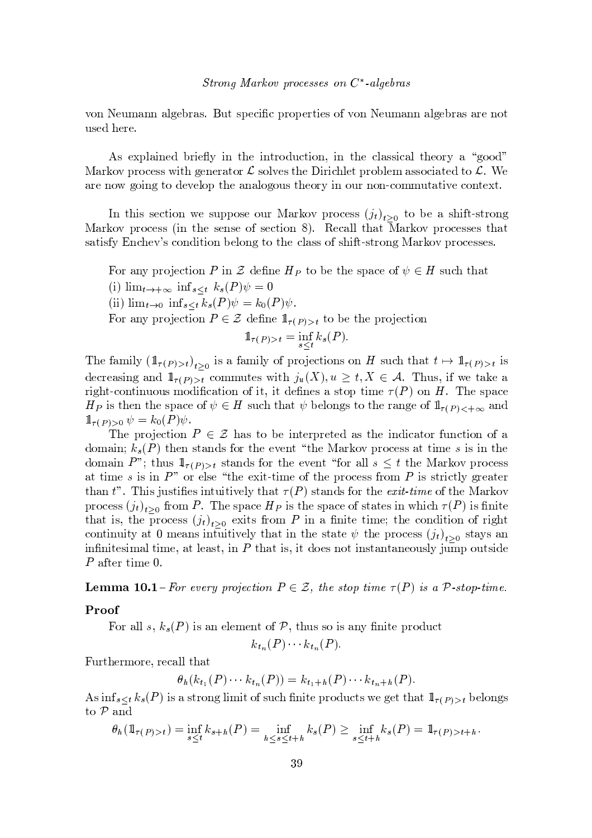${\bf x}$  , we will define the set of  ${\bf x}$  and  ${\bf x}$  we will define the set of  ${\bf x}$  where  ${\bf x}$ u <sup>v</sup> <sup>s</sup> <sup>s</sup> <sup>w</sup> <sup>s</sup>

As explained briefly in the introduction, in the classical theory a "good" Markov process with generator  $\mathcal L$  solves the Dirichlet problem associated to  $\mathcal L$ . We  ${\bf x} = {\bf x} - {\bf y} = {\bf y} - {\bf y} = {\bf y} - {\bf y} = {\bf y} - {\bf y} = {\bf y} - {\bf y} = {\bf y} - {\bf y} = {\bf y} - {\bf y} = {\bf y} - {\bf y} = {\bf y} - {\bf y} = {\bf y} - {\bf y} = {\bf y} - {\bf y} = {\bf y} - {\bf y} = {\bf y} - {\bf y} = {\bf y} - {\bf y} = {\bf y} - {\bf y} = {\bf y} - {\bf y} = {\bf y} - {\bf y} = {\bf y} - {\bf y} = {\bf y} - {\bf y} = {\bf y} - {\bf y} = {\bf y} - {\bf y} = {\bf y} -$ 

In this section we suppose our Markoy process  $(i)$ , to be a shift-strong  ${\bf x}$  , we see that we see that we have seen the set of  ${\bf x}$  is verified to the  ${\bf x}$ v y taxabas is the same  $\alpha$  and  $\alpha$  is a state of the same  $\alpha$  v  $\alpha$  is vertex when  $\alpha$ 

 $\mathbf{F}$  , we found the set of  $\mathbf{F}$  such that  $\mathbf{F}$ 

(i)  $\lim_{t\to+\infty}$   $\inf_{s\leq t} k_s(P)\psi=0$ 

 $\lim_{b \to b}$   $\lim_{b \to b}$   $\lim_{b \to b}$   $L(D)_{ab} = L(D)_{ab}$ 

For any projection  $P \in \mathcal{F}$  define  $\mathbb{I}$  (respectively)

$$
\mathbb{1}_{\tau(P)>t} = \inf_{s \le t} k_s(P).
$$

The family  $(\mathbb{1}_{\tau(P)\setminus t})$ , is a family of projections on H such that  $t \mapsto \mathbb{1}_{\tau(P)\setminus t}$  is decreasing and  $\mathbb{1}_{\{x\}}$  commutes with  $i(X)$   $y > t$   $X \subset A$  Thus if we take a where  $\alpha$  is a transition of the set  $\alpha$  in the set  $\alpha$  in the set  $\alpha$  in the set  $\alpha$  in the set of  $\alpha$  in the set of  $\alpha$  $H_{\mathcal{D}}$  is then the space of  $\psi \in H$  such that  $\psi$  belongs to the range of  $\mathbb{1}_{\{x > 0\}}$  and  $\mathbf{1}$   $\Box$   $\mathbf{1}$   $\mathbf{1}$   $\mathbf{1}$   $\mathbf{1}$   $\mathbf{1}$   $\mathbf{1}$   $\mathbf{1}$   $\mathbf{1}$   $\mathbf{1}$   $\mathbf{1}$   $\mathbf{1}$   $\mathbf{1}$   $\mathbf{1}$   $\mathbf{1}$   $\mathbf{1}$   $\mathbf{1}$   $\mathbf{1}$   $\mathbf{1}$   $\mathbf{1}$   $\mathbf{1}$   $\mathbf{1}$   $\mathbf{1}$   $\mathbf{1}$ 

 $\tau$  , and  $\tau$  , we see that some set in the set of  $\tau$  ${\color{red} {x_1}}^2 = {\color{red} {x_2}}^2 + {\color{red} {x_3}}^2 + {\color{red} {x_4}}^2 + {\color{red} {x_5}}^2 + {\color{red} {x_6}}^2 + {\color{red} {x_7}}^2 + {\color{red} {x_8}}^2 + {\color{red} {x_9}}^2 + {\color{red} {x_9}}^2 + {\color{red} {x_1}}^2 + {\color{red} {x_1}}^2 + {\color{red} {x_2}}^2 + {\color{red} {x_1}}^2 + {\color{red} {x_1}}^2 + {\color{red} {x_2}}^2 + {\color{red} {x_1}}^2$  ${\rm dom}$   ${\rm sin}$   $P$ "  $\cdot$  thus  $1 \times$  stands for the event "for all  $s \leq t$  the Markov process  $\bm{x}$  ,  $\bm{x}$  ,  $\bm{x}$  ,  $\bm{x}$  ,  $\bm{x}$  is a strong when  $\bm{x}$  is well with  $\bm{x}$  and  $\bm{x}$  is well with  $\bm{x}$  and  $\bm{x}$  is well with  $\bm{x}$  is well with  $\bm{x}$  is well with  $\bm{x}$  and  $\bm{x}$  is well with  $\bm{x}$  a t w  $\mathbf{w}$  . The set of  $\mathbf{w}$  is the set of  $\mathbf{w}$  the set of  $\mathbf{w}$  is  $\mathbf{w}$  the set of  $\mathbf{w}$ process  $(i_1)$ , from P. The space  $H_D$  is the space of states in which  $\tau(P)$  is finite that is the process  $(i_1)$ , exits from P in a finite time, the condition of right continuity at 0 means infuitively that in the state  $\psi$  the process  $(i_1)$ , stays an ~ <sup>~</sup> <sup>t</sup> <sup>s</sup> <sup>v</sup> <sup>~</sup> <sup>|</sup> <sup>y</sup> <sup>z</sup> t~ <sup>|</sup> <sup>s</sup> <sup>y</sup> tz <sup>s</sup> <sup>y</sup> <sup>v</sup> <sup>t</sup> ~ <sup>6</sup> t <sup>y</sup> t~ <sup>v</sup> ~ <sup>t</sup> { <sup>s</sup> <sup>v</sup> { t~ <sup>v</sup> <sup>t</sup> <sup>y</sup> <sup>t</sup> <sup>y</sup> <sup>s</sup> { <sup>u</sup> <sup>v</sup> <sup>z</sup> <sup>C</sup> <sup>u</sup> <sup>|</sup> { <sup>u</sup> <sup>t</sup> <sup>v</sup> <sup>~</sup> <sup>s</sup>  $\overline{p}$  ofter time  $\overline{p}$ 

Lamma 10.1 For every projection  $P \subset \mathcal{F}$  the stap time  $\tau(P)$  is a  $\mathcal{D}$  stap time

## Proof

For all s,  $k_s(P)$  is an element of P, thus so is any finite product

<sup>6</sup> <sup>6</sup>

Furthermore, recall that

$$
\theta_h(k_{t_1}(P)\cdots k_{t_n}(P))=k_{t_1+h}(P)\cdots k_{t_n+h}(P).
$$

 $\Delta s$  inf  $\leftrightarrow k$  (*P*) is a strong limit of such finite products we get that  $\mathbb{1}_{\infty}$  belongs t { <sup>y</sup>

$$
\theta_h(\mathbb{1}_{\tau(P)>t}) = \inf_{s \le t} k_{s+h}(P) = \inf_{h \le s \le t+h} k_s(P) \ge \inf_{s \le t+h} k_s(P) = \mathbb{1}_{\tau(P)>t+h}.
$$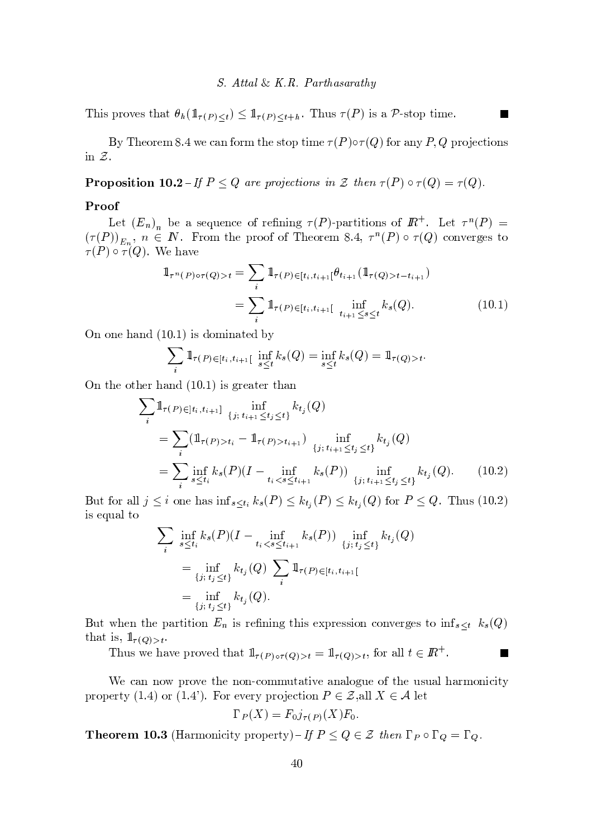This proves that  $\theta_h(\mathbb{1}_{\tau(P). Thus  $\tau(P)$  is a P-stop time.$ 

By Theorem 8.4 we can form the stop time  $\tau(P) \circ \tau(Q)$  for any P, Q projections in  $Z$ .

**Proposition 10.2**-If  $P \le Q$  are projections in  $\mathcal Z$  then  $\tau(P) \circ \tau(Q) = \tau(Q)$ .

## Proof

Let  $(E_n)_n$  be a sequence of refining  $\tau(P)$ -partitions of  $\mathbb{R}^+$ . Let  $\tau^n(P)$  =  $(\tau(P))_{E_n}$ ,  $n \in \mathbb{N}$ . From the proof of Theorem 8.4,  $\tau^{n}(P) \circ \tau(Q)$  converges to  $\tau(P) \circ \tau(Q)$ . We have

$$
\mathbb{1}_{\tau^{n}(P)\circ\tau(Q)>t} = \sum_{i} \mathbb{1}_{\tau(P)\in[t_{i},t_{i+1}]} \theta_{t_{i+1}}(\mathbb{1}_{\tau(Q)>t-t_{i+1}})
$$

$$
= \sum_{i} \mathbb{1}_{\tau(P)\in[t_{i},t_{i+1}]} \inf_{t_{i+1}\leq s\leq t} k_{s}(Q).
$$
(10.1)

On one hand  $(10.1)$  is dominated by

$$
\sum_{i} \mathbb{1}_{\tau(P) \in [t_i, t_{i+1}[} \inf_{s \le t} k_s(Q) = \inf_{s \le t} k_s(Q) = \mathbb{1}_{\tau(Q) > t}.
$$

On the other hand  $(10.1)$  is greater than

$$
\sum_{i} \mathbb{1}_{\tau(P) \in ]t_i, t_{i+1}]} \inf_{\{j; t_{i+1} \le t_j \le t\}} k_{t_j}(Q)
$$
\n
$$
= \sum_{i} (\mathbb{1}_{\tau(P) > t_i} - \mathbb{1}_{\tau(P) > t_{i+1}}) \inf_{\{j; t_{i+1} \le t_j \le t\}} k_{t_j}(Q)
$$
\n
$$
= \sum_{i} \inf_{s \le t_i} k_s(P)(I - \inf_{t_i < s \le t_{i+1}} k_s(P)) \inf_{\{j; t_{i+1} \le t_j \le t\}} k_{t_j}(Q). \tag{10.2}
$$

But for all  $j \leq i$  one has  $\inf_{s \leq t_i} k_s(P) \leq k_{t_j}(P) \leq k_{t_j}(Q)$  for  $P \leq Q$ . Thus (10.2) is equal to

$$
\sum_{i} \inf_{s \leq t_i} k_s(P)(I - \inf_{t_i < s \leq t_{i+1}} k_s(P)) \inf_{\{j; t_j \leq t\}} k_{t_j}(Q)
$$
\n
$$
= \inf_{\{j; t_j \leq t\}} k_{t_j}(Q) \sum_{i} 1\!\!1_{\tau(P) \in [t_i, t_{i+1}[}
$$
\n
$$
= \inf_{\{j; t_j \leq t\}} k_{t_j}(Q).
$$

But when the partition  $E_n$  is refining this expression converges to  $\inf_{s \leq t} k_s(Q)$ that is,  $1\!\!1_{\tau(Q)>t}$ .

P.

Thus we have proved that  $1\!\!1_{\tau(P)\circ\tau(Q)>t} = 1\!\!1_{\tau(Q)>t}$ , for all  $t \in I\!\!R^+$ .

We can now prove the non-commutative analogue of the usual harmonicity property (1.4) or (1.4). For every projection  $P \in \mathcal{Z}$ , all  $X \in \mathcal{A}$  let

$$
\Gamma_P(X) = F_0 j_{\tau(P)}(X) F_0.
$$

**Theorem 10.3** (Harmonicity property)–If  $P \le Q \in \mathcal{Z}$  then  $\Gamma_P \circ \Gamma_Q = \Gamma_Q$ .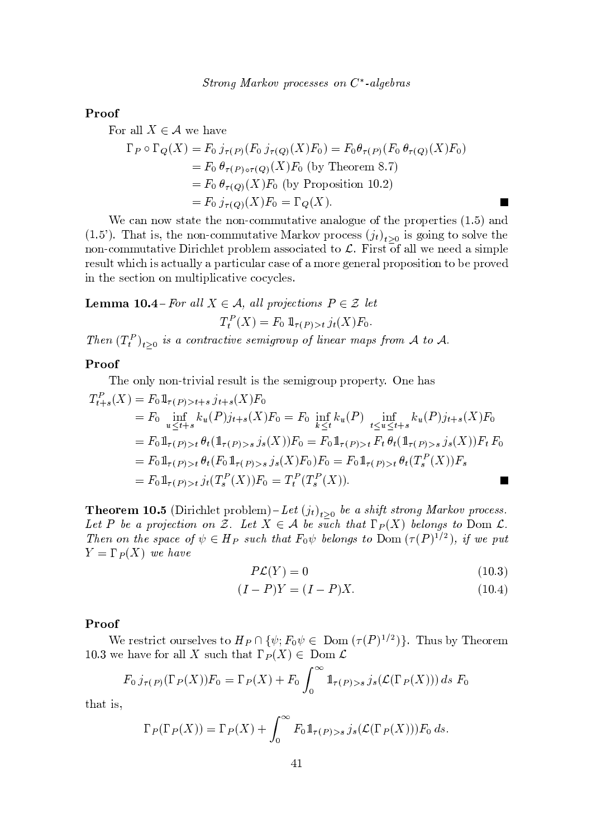#### Proof

For all  $X \in \mathcal{A}$  we have

$$
\Gamma_P \circ \Gamma_Q(X) = F_0 j_{\tau(P)}(F_0 j_{\tau(Q)}(X) F_0) = F_0 \theta_{\tau(P)}(F_0 \theta_{\tau(Q)}(X) F_0)
$$
  
=  $F_0 \theta_{\tau(P) \circ \tau(Q)}(X) F_0$  (by Theorem 8.7)  
=  $F_0 \theta_{\tau(Q)}(X) F_0$  (by Proposition 10.2)  
=  $F_0 j_{\tau(Q)}(X) F_0 = \Gamma_Q(X)$ .

We can now state the non-commutative analogue of the properties  $(1.5)$  and (1.5'). That is, the non-commutative Markov process  $(j_t)_{t>0}$  is going to solve the non-commutative Dirichlet problem associated to  $\mathcal{L}$ . First of all we need a simple result which is actually a particular case of a more general proposition to be proved in the section on multiplicative cocycles.

**Lemma 10.4** - For all  $X \in \mathcal{A}$ , all projections  $P \in \mathcal{Z}$  let  $T_t^P(X) = F_0 1\!\!1_{\tau(P) > t} j_t(X) F_0.$ 

Then  $(T_t^P)_{t>0}$  is a contractive semigroup of linear maps from A to A.

## Proof

The only non-trivial result is the semigroup property. One has

$$
T_{t+s}^{P}(X) = F_0 1\!\!1_{\tau(P)>t+s} j_{t+s}(X) F_0
$$
  
\n
$$
= F_0 \inf_{u \le t+s} k_u(P) j_{t+s}(X) F_0 = F_0 \inf_{k \le t} k_u(P) \inf_{t \le u \le t+s} k_u(P) j_{t+s}(X) F_0
$$
  
\n
$$
= F_0 1\!\!1_{\tau(P)>t} \theta_t (1\!\!1_{\tau(P)>s} j_s(X)) F_0 = F_0 1\!\!1_{\tau(P)>t} F_t \theta_t (1\!\!1_{\tau(P)>s} j_s(X)) F_t F_0
$$
  
\n
$$
= F_0 1\!\!1_{\tau(P)>t} \theta_t (F_0 1\!\!1_{\tau(P)>s} j_s(X) F_0) F_0 = F_0 1\!\!1_{\tau(P)>t} \theta_t (T_s^P(X)) F_s
$$
  
\n
$$
= F_0 1\!\!1_{\tau(P)>t} j_t(T_s^P(X)) F_0 = T_t^P(T_s^P(X)).
$$

**Theorem 10.5** (Dirichlet problem) – Let  $(j_t)_{t\geq 0}$  be a shift strong Markov process. Let P be a projection on Z. Let  $X \in \mathcal{A}$  be such that  $\Gamma_P(X)$  belongs to Dom L. Then on the space of  $\psi \in H_P$  such that  $F_0 \psi$  belongs to  $\overline{\mathrm{Dom}}(\tau(P)^{1/2})$ , if we put  $Y=\Gamma_P(X)$  we have

$$
P\mathcal{L}(Y) = 0 \tag{10.3}
$$

**The Second Service** 

$$
(I - P)Y = (I - P)X.
$$
\n
$$
(10.4)
$$

## Proof

We restrict ourselves to  $H_P \cap {\psi$ ;  $F_0 \psi \in \text{Dom}(\tau(P)^{1/2})$ . Thus by Theorem 10.3 we have for all X such that  $\Gamma_P(X) \in \text{Dom }\mathcal{L}$ 

$$
F_0 j_{\tau(P)}(\Gamma_P(X)) F_0 = \Gamma_P(X) + F_0 \int_0^\infty \mathbb{1}_{\tau(P) > s} j_s(\mathcal{L}(\Gamma_P(X))) ds F_0
$$

that is,

$$
\Gamma_P(\Gamma_P(X)) = \Gamma_P(X) + \int_0^\infty F_0 1\!\!1_{\tau(P) > s} \, j_s(\mathcal{L}(\Gamma_P(X))) F_0 \, ds.
$$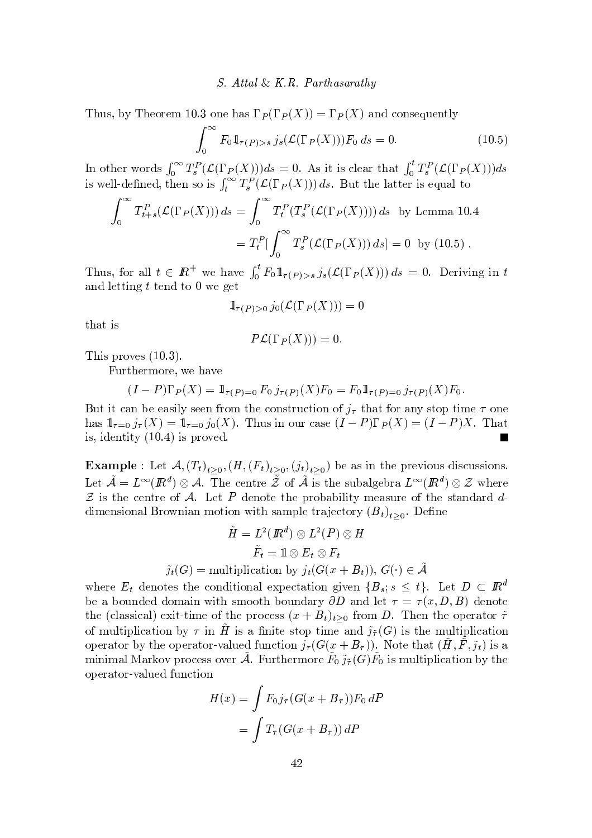#### *S.* Attal & K.R. Parthasarathy

Thus, by Theorem 10.3 one has  $\Gamma_P(\Gamma_P(X)) = \Gamma_P(X)$  and consequently

$$
\int_0^\infty F_0 1\!\!1_{\tau(P)>s} j_s(\mathcal{L}(\Gamma_P(X))) F_0 ds = 0.
$$
 (10.5)

In other words  $\int_0^{\infty} T_s^P(\mathcal{L}(\Gamma_P(X)))ds = 0$ . As it is clear that  $\int_0^t T_s^P(\mathcal{L}(\Gamma_P(X)))ds$  is well-defined, then so is  $\int_t^{\infty} T_s^P(\mathcal{L}(\Gamma_P(X)))ds$ . But the latter is equal to

$$
\int_0^{\infty} T_{t+s}^P(\mathcal{L}(\Gamma_P(X))) ds = \int_0^{\infty} T_t^P(T_s^P(\mathcal{L}(\Gamma_P(X)))) ds \text{ by Lemma 10.4}
$$
  
=  $T_t^P \left[ \int_0^{\infty} T_s^P(\mathcal{L}(\Gamma_P(X))) ds \right] = 0 \text{ by (10.5)}.$ 

Thus, for all  $t \in I\!\!R^+$  we have  $\int_0^t F_0 1\!\!1_{\tau(P)>s} j_s(\mathcal{L}(\Gamma_P(X))) ds = 0$ . Deriving in t and letting  $t$  tend to  $0$  we get

$$
1\!\!1_{\tau(P)>0} j_0(\mathcal{L}(\Gamma_P(X))) = 0
$$

that is

$$
P\mathcal{L}(\Gamma_P(X)))=0.
$$

This proves  $(10.3)$ .

Furthermore, we have

$$
(I - P)\Gamma_P(X) = 1_{\tau(P) = 0} F_0 j_{\tau(P)}(X) F_0 = F_0 1_{\tau(P) = 0} j_{\tau(P)}(X) F_0
$$

But it can be easily seen from the construction of  $j_{\tau}$  that for any stop time  $\tau$  one has  $1\!\!1_{\tau=0} j_{\tau}(X) = 1\!\!1_{\tau=0} j_0(X)$ . Thus in our case  $(I-P)\Gamma_P(X) = (I-P)X$ . That is, identity  $(10.4)$  is proved.

**Example**: Let  $\mathcal{A}, (T_t)_{t\geq 0}, (H, (F_t)_{t\geq 0}, (j_t)_{t\geq 0})$  be as in the previous discussions. Let  $\tilde{\mathcal{A}} = L^{\infty}(\mathbb{R}^d) \otimes \mathcal{A}$ . The centre  $\overline{\tilde{Z}}$  of  $\tilde{\mathcal{A}}$  is the subalgebra  $L^{\infty}(\mathbb{R}^d) \otimes \mathcal{Z}$  where  $\mathcal Z$  is the centre of  $\mathcal A$ . Let P denote the probability measure of the standard  $d$ dimensional Brownian motion with sample trajectory  $(B_t)_{t>0}$ . Define

$$
\tilde{H} = L^2(\mathbb{R}^d) \otimes L^2(P) \otimes H
$$

$$
\tilde{F}_t = \mathbb{1} \otimes E_t \otimes F_t
$$

$$
\tilde{j}_t(G) = \text{multiplication by } j_t(G(x + B_t)), G(\cdot) \in \tilde{\mathcal{A}}
$$

where  $E_t$  denotes the conditional expectation given  $\{B_s; s \leq t\}$ . Let  $D \subset \mathbb{R}^d$ be a bounded domain with smooth boundary  $\partial D$  and let  $\tau = \tau(x, D, B)$  denote the (classical) exit-time of the process  $(x + B_t)_{t>0}$  from D. Then the operator  $\tilde{\tau}$ of multiplication by  $\tau$  in  $\tilde{H}$  is a finite stop time and  $\tilde{j}_{\tilde{\tau}}(G)$  is the multiplication operator by the operator-valued function  $j_{\tau}(G(x+B_{\tau}))$ . Note that  $(H, F, \tilde{j}_t)$  is a minimal Markov process over A. Furthermore  $F_0 \tilde{\jmath}_{\tau}(G) F_0$  is multiplication by the operator-valued function

$$
H(x) = \int F_0 j_\tau (G(x + B_\tau)) F_0 dP
$$

$$
= \int T_\tau (G(x + B_\tau)) dP
$$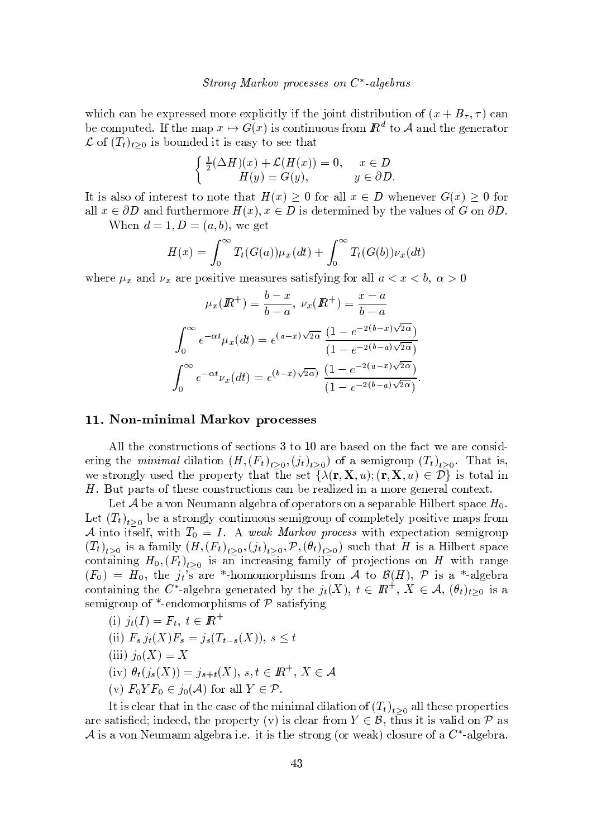which can be expressed more explicitly if the joint distribution of  $(x + B_{\tau}, \tau)$  can be computed. If the map  $x \mapsto G(x)$  is continuous from  $\mathbb{R}^d$  to A and the generator  $\mathcal{L}$  of  $(T_t)_{t>0}$  is bounded it is easy to see that

$$
\begin{cases} \frac{1}{2}(\Delta H)(x) + \mathcal{L}(H(x)) = 0, & x \in D \\ H(y) = G(y), & y \in \partial D \end{cases}
$$

It is also of interest to note that  $H(x) \geq 0$  for all  $x \in D$  whenever  $G(x) \geq 0$  for all  $x \in \partial D$  and furthermore  $H(x), x \in D$  is determined by the values of G on  $\partial D$ .

When  $d = 1, D = (a, b)$ , we get

$$
H(x) = \int_0^\infty T_t(G(a))\mu_x(dt) + \int_0^\infty T_t(G(b))\nu_x(dt)
$$

where  $\mu_x$  and  $\nu_x$  are positive measures satisfying for all  $a < x < b$ ,  $\alpha > 0$ 

$$
\mu_x(\mathbb{R}^+) = \frac{b-x}{b-a}, \ \nu_x(\mathbb{R}^+) = \frac{x-a}{b-a}
$$

$$
\int_0^\infty e^{-\alpha t} \mu_x(dt) = e^{(a-x)\sqrt{2\alpha}} \frac{(1 - e^{-2(b-x)\sqrt{2\alpha}})}{(1 - e^{-2(b-a)\sqrt{2\alpha}})}
$$

$$
\int_0^\infty e^{-\alpha t} \nu_x(dt) = e^{(b-x)\sqrt{2\alpha}} \frac{(1 - e^{-2(a-x)\sqrt{2\alpha}})}{(1 - e^{-2(b-a)\sqrt{2\alpha}})}
$$

### 11. Non-minimal Markov processes

All the constructions of sections 3 to 10 are based on the fact we are considering the *minimal* dilation  $(H, (F_t)_{t>0}, (j_t)_{t>0})$  of a semigroup  $(T_t)_{t>0}$ . That is, we strongly used the property that the set  $\{\lambda(\mathbf{r}, \mathbf{X}, u); (\mathbf{r}, \mathbf{X}, u) \in \mathcal{D}\}$  is total in H. But parts of these constructions can be realized in a more general context.

Let A be a von Neumann algebra of operators on a separable Hilbert space  $H_0$ . Let  $(T_t)_{t>0}$  be a strongly continuous semigroup of completely positive maps from A into itself, with  $T_0 = I$ . A weak Markov process with expectation semigroup  $(T_t)_{t>0}$  is a family  $(H,(F_t)_{t>0},(j_t)_{t>0},\mathcal{P},(\theta_t)_{t>0})$  such that H is a Hilbert space containing  $H_0$ ,  $(F_t)_{t>0}$  is an increasing family of projections on H with range  $(F_0) = H_0$ , the  $j_t$ 's are \*-homomorphisms from A to  $\mathcal{B}(H)$ , P is a \*-algebra containing the C<sup>\*</sup>-algebra generated by the  $j_t(X)$ ,  $t \in \mathbb{R}^+$ ,  $X \in \mathcal{A}$ ,  $(\theta_t)_{t>0}$  is a semigroup of  $*$ -endomorphisms of  $P$  satisfying

$$
{\rm(i)}\,\,j_t(I)=F_t,\,\,t\in{I\!\!R}^+
$$

- (ii)  $F_s j_t(X) F_s = j_s(T_{t-s}(X)), s \leq t$
- $(iii)$   $j_0(X) = X$
- (iv)  $\theta_t(j_s(X)) = j_{s+t}(X), s, t \in I\!\!R^+, X \in \mathcal{A}$
- (v)  $F_0 Y F_0 \in j_0(\mathcal{A})$  for all  $Y \in \mathcal{P}$ .

It is clear that in the case of the minimal dilation of  $(T_t)_{t>0}$  all these properties are satisfied; indeed, the property (v) is clear from  $Y \in \mathcal{B}$ , thus it is valid on  $\mathcal{P}$  as A is a von Neumann algebra i.e. it is the strong (or weak) closure of a  $C^*$ -algebra.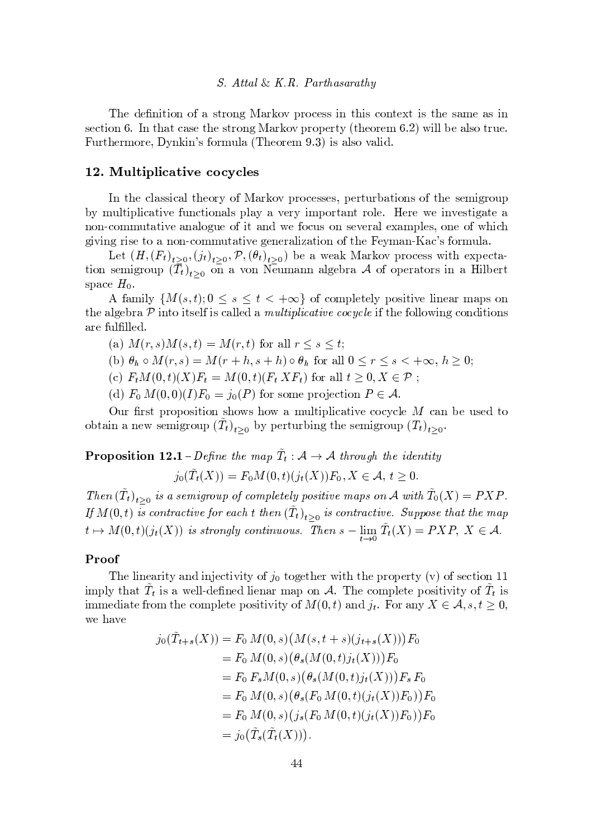#### -

s t  $\alpha$  ,  $\alpha$  ,  $\alpha$  ,  $\alpha$  ,  $\alpha$  ,  $\alpha$  ,  $\alpha$  ,  $\alpha$  i  $\alpha$  ,  $\alpha$  i  $\alpha$  i  $\alpha$  i  $\alpha$  i  $\alpha$  i  $\alpha$  i  $\alpha$  i  $\alpha$  i  $\alpha$  i  $\alpha$  i  $\alpha$  i  $\alpha$  i  $\alpha$  i  $\alpha$  i  $\alpha$  i  $\alpha$  i  $\alpha$  i  $\alpha$  i  $\alpha$  i  $\alpha$  i  $\alpha$  i  $\alpha$  i v s t  ${\bf x}$  t  ${\bf y}$  is the set of the set of the set of the set of the set of the set of the set of the set of the set of the set of the set of the set of the set of the set of the set of the set of the set of the set o <sup>E</sup> <sup>u</sup> <sup>w</sup> <sup>t</sup> <sup>s</sup> <sup>w</sup> <sup>|</sup> { <sup>w</sup> <sup>s</sup> <sup>~</sup> <sup>8</sup> <sup>v</sup> { <sup>w</sup> <sup>|</sup> <sup>u</sup> <sup>z</sup> <sup>y</sup> <sup>s</sup> { <sup>w</sup> <sup>s</sup> <sup>|</sup> <sup>~</sup> <sup>v</sup> <sup>y</sup> <sup>z</sup> <sup>v</sup> { <sup>y</sup> <sup>z</sup> <sup>~</sup>

#### $\mathcal{L}$  and  $\mathcal{L}$  and  $\mathcal{L}$  and  $\mathcal{L}$  and  $\mathcal{L}$  and  $\mathcal{L}$  and  $\mathcal{L}$  and  $\mathcal{L}$  and  $\mathcal{L}$  and  $\mathcal{L}$  and  $\mathcal{L}$  and  $\mathcal{L}$  and  $\mathcal{L}$  and  $\mathcal{L}$  and  $\mathcal{L}$  and  $\mathcal{L}$  and  $\mathcal{L}$  and

t t s  $\alpha$  y v  $\alpha$  and  $\alpha$  v  $\alpha$  v  $\alpha$  v  $\alpha$  v  $\alpha$  v  $\alpha$  v  $\alpha$  v  $\alpha$  v  $\alpha$  v  $\alpha$  v  $\alpha$  v  $\alpha$  v  $\alpha$  v  $\alpha$  v  $\alpha$  v  $\alpha$  v  $\alpha$  v  $\alpha$  v  $\alpha$  v  $\alpha$  v  $\alpha$  v  $\alpha$  v  $\alpha$  v  $\alpha$  v  $\alpha$  v  $\alpha$  v  $\alpha$  v  $\alpha$  v } <sup>|</sup> <sup>u</sup> <sup>z</sup> <sup>t</sup> <sup>~</sup> <sup>z</sup> <sup>~</sup> <sup>x</sup> <sup>y</sup> t~ <sup>s</sup> <sup>u</sup> <sup>x</sup> <sup>t</sup> ~{ <sup>y</sup> <sup>z</sup> <sup>v</sup> <sup>z</sup> <sup>y</sup> <sup>y</sup> <sup>s</sup> <sup>w</sup> <sup>~</sup> <sup>|</sup> {w <sup>t</sup> <sup>y</sup> <sup>t</sup> <sup>w</sup> { <sup>z</sup> <sup>s</sup> § <sup>s</sup> <sup>w</sup> <sup>s</sup> <sup>s</sup> <sup>~</sup> <sup>s</sup> <sup>v</sup> <sup>t</sup> ~ <sup>y</sup> <sup>t</sup> <sup>s</sup> <sup>y</sup> { ¡ <sup>x</sup> { <sup>|</sup> <sup>|</sup> <sup>u</sup> <sup>t</sup> <sup>y</sup> t~ <sup>s</sup> <sup>y</sup> <sup>y</sup> <sup>z</sup> { <sup>u</sup> <sup>s</sup> { <sup>~</sup> <sup>t</sup> <sup>y</sup> <sup>s</sup> { <sup>x</sup> <sup>u</sup> <sup>v</sup> { <sup>v</sup> <sup>s</sup> <sup>s</sup> <sup>w</sup> <sup>y</sup> <sup>z</sup> <sup>s</sup> <sup>y</sup> <sup>|</sup> <sup>z</sup> sv { <sup>s</sup> { ~ <sup>x</sup>  $\cdots$  . The swap is the swap  $\cdots$  is the swap  $\cdots$  is the swap  $\cdots$  is the swap  $\cdots$  is the swap  $\cdots$ 

Let  $(H(F_t)_{t\geq0}$   $(i_t)_{t\geq0}$   $\mathcal{P}(\theta_t)_{t\geq0}$  be a weak Markov process with expectation semigroup  $(\bar{T}_i)$ ,  $\bar{p}_i$  a von Neumann algebra A of operators in a Hilbert  $_{\rm space}$   $H$ .

A family  $\{M(s,t); 0 \le s \le t < +\infty\}$  of completely positive linear maps on t t s y  $\alpha$  , which is a set of  $\alpha$  if  $\alpha$  if  $\alpha$  if  $\alpha$ y <sup>w</sup> <sup>s</sup> <sup>u</sup> <sup>z</sup> <sup>z</sup> <sup>z</sup> <sup>s</sup>

- $y'(x) M(x) M(x) = M(x)$  for all  $x \leq x \leq 1$ .
- $(k)$   $\theta$ ,  $\circ$   $M(r, s) = M(r + h, s + h) \circ \theta$ , for all  $0 \le r \le s \le \infty$   $h > 0$ .
- (a)  $F M(0, t)(Y)F = M(0, t)(F, YF)$  for all  $t > 0$   $Y \subset \mathcal{D}$ .
- (d)  $F: M(0,0)(I)F = \frac{1}{2} (D)$  for some projection  $D \subset A$

where we will define the set  $\alpha$  and  $\alpha$  and  $\alpha$  is the set  $\alpha$  s unit  $\alpha$  s unit  $\alpha$  s unit  $\alpha$  s unit  $\alpha$  s unit  $\alpha$  s unit  $\alpha$  s unit  $\alpha$  s unit  $\alpha$  s unit  $\alpha$  s unit  $\alpha$  s unit  $\alpha$  s unit  $\alpha$  s unit  $\$  $\alpha$  a new semigroup  $(T_t)$ , by perturbing the semigroup  $(T_t)$ ,

**Droposition 19.1** Define the man  $T_i: A \rightarrow A$  through the identity  $\vec{B} \cdot (T(X)) = F \cdot M(0, t) (\vec{B} \cdot (Y)) F$ ,  $Y \subset A, t > 0$ 

 $Then (T<sub>t</sub>)$ , is a semigroup of completely positive maps on A with  $T<sub>0</sub>(X) = P X P$ If  $M(0, t)$  is contractive for each t then  $(T_t)$ , is contractive. Suppose that the man  $t\mapsto M(0,t)(j_t(X))$  is strongly continuous. Then  $s-\lim_{t\to\infty}T_t(X)$  $T(X) = D Y D Y C A$ 

## Proof

 s <sup>z</sup> <sup>~</sup> <sup>s</sup> <sup>y</sup> w~ <sup>t</sup> <sup>y</sup> <sup>~</sup> <sup>C</sup> <sup>s</sup> <sup>x</sup> <sup>t</sup> ~ <sup>~</sup> <sup>t</sup> { <sup>=</sup> D t { <sup>s</sup> <sup>t</sup> <sup>s</sup> <sup>w</sup> <sup>~</sup> <sup>t</sup> <sup>t</sup> <sup>s</sup> <sup>w</sup> { <sup>s</sup> <sup>w</sup> <sup>t</sup> { <sup>v</sup> <sup>s</sup> <sup>x</sup> <sup>t</sup> ~{ ¨ ¨ ~ <sup>|</sup> <sup>z</sup> <sup>t</sup> <sup>y</sup> <sup>t</sup> <sup>~</sup> <sup>v</sup> <sup>y</sup> <sup>s</sup> <sup>z</sup> <sup>z</sup> ¡ <sup>s</sup> <sup>s</sup> <sup>z</sup> <sup>~</sup> <sup>s</sup> <sup>y</sup> <sup>w</sup> <sup>|</sup> <sup>y</sup> { ; sx { <sup>|</sup> <sup>z</sup> st <sup>s</sup> { <sup>v</sup> ~t <sup>~</sup> <sup>~</sup> <sup>t</sup> { <sup>~</sup> <sup>v</sup>  $\mu_{\text{model}}$  from the complete positivity of  $M(0,t)$  and  $i$  . For any  $Y \subset A$   $s \neq 0$ <sup>s</sup> <sup>y</sup> <sup>s</sup>

$$
j_0(\tilde{T}_{t+s}(X)) = F_0 M(0, s) (M(s, t+s)(j_{t+s}(X))) F_0
$$
  
=  $F_0 M(0, s) (\theta_s (M(0, t)j_t(X))) F_0$   
=  $F_0 F_s M(0, s) (\theta_s (M(0, t)j_t(X))) F_s F_0$   
=  $F_0 M(0, s) (\theta_s (F_0 M(0, t)(j_t(X)) F_0)) F_0$   
=  $F_0 M(0, s) (j_s (F_0 M(0, t)(j_t(X)) F_0)) F_0$   
=  $j_0 (\tilde{T}_s(\tilde{T}_t(X)))$ .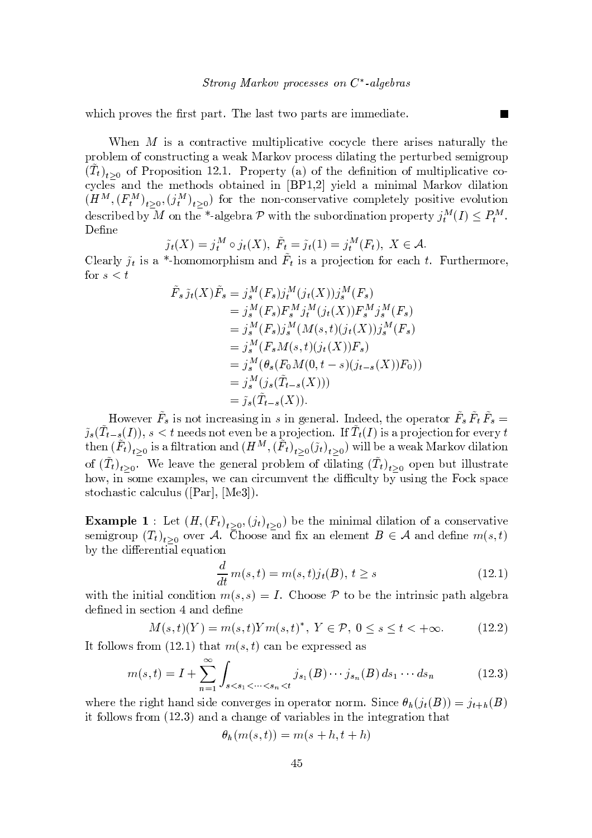$\cdots$   $\cdots$   $\cdots$   $\cdots$   $\cdots$   $\cdots$   $\cdots$   $\cdots$   $\cdots$   $\cdots$   $\cdots$   $\cdots$   $\cdots$   $\cdots$   $\cdots$   $\cdots$   $\cdots$   $\cdots$   $\cdots$   $\cdots$   $\cdots$   $\cdots$   $\cdots$   $\cdots$   $\cdots$   $\cdots$   $\cdots$   $\cdots$   $\cdots$   $\cdots$   $\cdots$   $\cdots$   $\cdots$   $\cdots$   $\cdots$   $\cdots$   $\cdots$ 

When  $M$  is a contractive multiplicative cocycle there arises naturally the where  $z$  is the set of the set of  $\mathcal{S}$  vector  $\mathcal{S}$  and  $\mathcal{S}$  where  $\mathcal{S}$  is  $\mathcal{S}$  where  $\mathcal{S}$  is a vector  $\mathcal{S}$  is a vector  $\mathcal{S}$  is a vector  $\mathcal{S}$  is a vector  $\mathcal{S}$  is a vector  $\mathcal{S}$  i  $(T_t)$ , of Proposition 12.1 Property (a) of the definition of multiplicative co- $\mathbf x$  , and the set of the set of the set of  $\mathbf x$  and  $\mathbf x$  and  $\mathbf x$  is the set of  $\mathbf x$  and  $\mathbf x$  is the set of  $\mathbf x$  is the set of  $\mathbf x$  is the set of  $\mathbf x$  is the set of  $\mathbf x$  is the set of  $\mathbf x$  is the se  $\mathcal{S} = \{ \mathcal{S} \mid \mathcal{S} \text{ and } \mathcal{S} \text{ and } \mathcal{S} \text{ and } \mathcal{S} \text{ and } \mathcal{S} \text{ and } \mathcal{S} \text{ are } \mathcal{S} \text{ and } \mathcal{S} \text{ are } \mathcal{S} \text{ and } \mathcal{S} \text{ are } \mathcal{S} \text{ and } \mathcal{S} \text{ are } \mathcal{S} \text{ and } \mathcal{S} \text{ are } \mathcal{S} \text{ and } \mathcal{S} \text{ are } \mathcal{S} \text{ and } \mathcal{S} \text{ are } \mathcal{S$  $\ldots$  ( $i^m$ ),  $\ldots$ ) fo s v and the set of the set of the set of the set of the set of the set of the set of the set of the set of the  $\alpha$ <sup>s</sup> <sup>s</sup>

$$
\tilde{j}_t(X) = j_t^M \circ j_t(X), \ \tilde{F}_t = \tilde{j}_t(1) = j_t^M(F_t), \ X \in \mathcal{A}.
$$

¤ z <sup>s</sup> <sup>y</sup> <sup>w</sup> z ~ <sup>v</sup> <sup>y</sup> <sup>&</sup>lt; ¡ { <sup>|</sup> { <sup>|</sup> { <sup>w</sup> ~v <sup>|</sup> <sup>y</sup> <sup>B</sup> <sup>~</sup> <sup>v</sup> <sup>y</sup> <sup>w</sup> { <sup>C</sup> <sup>s</sup> <sup>x</sup> <sup>t</sup> <sup>~</sup> { { <sup>w</sup> <sup>s</sup> <sup>y</sup> <sup>x</sup> # <sup>E</sup> <sup>u</sup> wt <sup>s</sup> <sup>w</sup> <sup>|</sup> { <sup>w</sup> <sup>s</sup> for  $\alpha \neq 1$ 

$$
\tilde{F}_s \tilde{j}_t(X)\tilde{F}_s = j_s^M(F_s)j_t^M(j_t(X))j_s^M(F_s) \n= j_s^M(F_s)F_s^M j_t^M(j_t(X))F_s^M j_s^M(F_s) \n= j_s^M(F_s)j_s^M(M(s,t)(j_t(X))j_s^M(F_s) \n= j_s^M(F_sM(s,t)(j_t(X))F_s) \n= j_s^M(\theta_s(F_0M(0,t-s)(j_{t-s}(X))F_0)) \n= j_s^M(j_s(\tilde{T}_{t-s}(X))) \n= \tilde{j}_s(\tilde{T}_{t-s}(X)).
$$

 $\overline{B}$  b  $\overline{B}$  is not increasing in s in general. Indeed, the energies  $F$   $\overline{F}$   $\overline{F}$   $\tilde{z}$   $(T - (I))$  s  $\geq t$  poods not even be a projection. If  $T(I)$  is a projection for event  $t$ then  $(F_t)$ , is a filtration and  $(H^M \ (F_t)$ ,  $(\tilde{u}_t)$ ,  $)$  will be a weak Markov dilation of  $(T_t)$ , We leave the general problem of dilating  $(T_t)$ , open but illustrate  ${\color{red} {i}}$  , we some that the state  ${\color{red} {i}}$  and  ${\color{red} {i}}$  and  ${\color{red} {i}}$  and  ${\color{red} {i}}$  and  ${\color{red} {i}}$  and  ${\color{red} {i}}$  and  ${\color{red} {i}}$  and  ${\color{red} {i}}$  and  ${\color{red} {i}}$  and  ${\color{red} {i}}$  and  ${\color{red} {i}}$  and  ${\color{red} {i}}$  and  ${\color{red$ v t x v t x y v v t x v t x v t x u v t x u v t x u v t x u v t x u v t x v t x u v t x u v t x u v t x u v t

Example 1 Let  $(H (F_1), \ldots, F_k)$  be the minimal dilation of a conservative semigroup  $(T_t)$ , over A Choose and fix an element  $B \in A$  and define  $m(s, t)$  $\blacksquare$  to the swape of  $\blacksquare$  such that  $\blacksquare$ 

$$
\frac{d}{dt}m(s,t) = m(s,t)j_t(B), t \ge s \tag{12.1}
$$

with the initial condition  $m(e,e) = I$  Choose  $\mathcal{D}$  to be the intrinsic path algebra <sup>s</sup> s <sup>~</sup> <sup>v</sup> <sup>s</sup> <sup>x</sup> <sup>t</sup> ~{ <sup>y</sup> <sup>s</sup> <sup>s</sup>

$$
M(s,t)(Y) = m(s,t)Ym(s,t)^*, \ Y \in \mathcal{P}, \ 0 \le s \le t < +\infty. \tag{12.2}
$$

to a set of the set of  $\mathcal{N}$  is a set of  $\mathcal{N}$  to set of  $\mathcal{N}$  such that  $\mathcal{N}$  is a set of  $\mathcal{N}$ 

$$
m(s,t) = I + \sum_{n=1}^{\infty} \int_{s < s_1 < \dots < s_n < t} j_{s_1}(B) \dots j_{s_n}(B) \, ds_1 \dots ds_n \tag{12.3}
$$

where the right hand side converges in eperator perm.  $\operatorname{Sineq} \theta_i (a(R)) = a \cdot (R)$  $\bm{s} \cdot \bm{r} = \bm{r} \cdot \bm{r} = \bm{r} \cdot \bm{r} = \bm{r} \cdot \bm{r} = \bm{r} \cdot \bm{r} = \bm{r} \cdot \bm{r} = \bm{r} \cdot \bm{r} = \bm{r} \cdot \bm{r} = \bm{r} \cdot \bm{r} = \bm{r} \cdot \bm{r} = \bm{r} \cdot \bm{r} = \bm{r} \cdot \bm{r} = \bm{r} \cdot \bm{r} = \bm{r} \cdot \bm{r} = \bm{r} \cdot \bm{r} = \bm{r} \cdot \bm{r} = \bm{r} \cdot \bm{r} =$ 

$$
\theta_h(m(s,t)) = m(s+h,t+h)
$$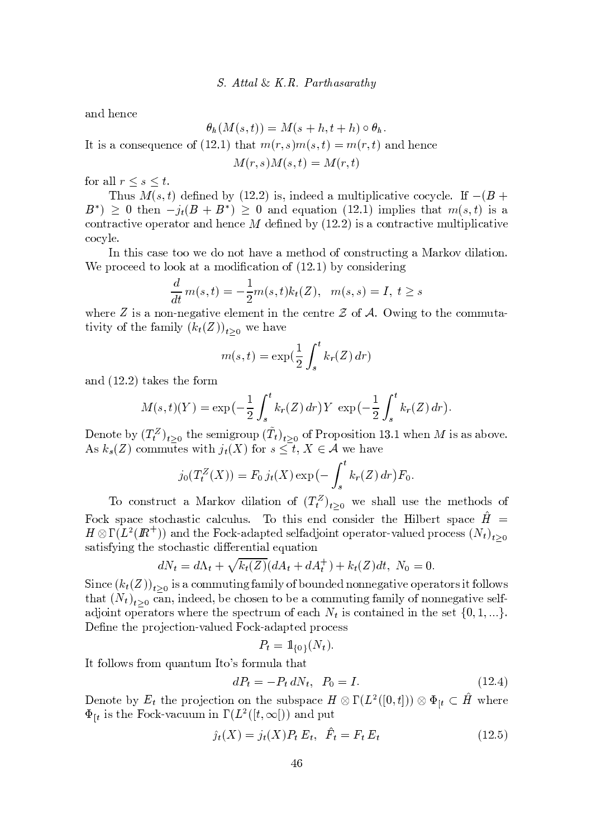$\sim$  s  $\sim$  s  $\sim$  s  $\sim$  s  $\sim$  s  $\sim$  s  $\sim$  s  $\sim$  s  $\sim$  s  $\sim$  s  $\sim$  s  $\sim$  s  $\sim$  s  $\sim$  s  $\sim$  s  $\sim$  s  $\sim$  s  $\sim$  s  $\sim$  s  $\sim$  s  $\sim$  s  $\sim$  s  $\sim$  s  $\sim$  s  $\sim$  s  $\sim$  s  $\sim$  s  $\sim$  s  $\sim$  s  $\sim$  s  $\sim$  s  $\sim$ 

$$
\theta_h(M(s,t))=M(s+h,t+h)\circ\theta_h.
$$

 $\mathbf{L}$   $\mathbf{L}$   $\mathbf{L}$   $\mathbf{L}$   $\mathbf{L}$   $\mathbf{L}$   $\mathbf{L}$   $\mathbf{L}$   $\mathbf{L}$   $\mathbf{L}$   $\mathbf{L}$   $\mathbf{L}$   $\mathbf{L}$   $\mathbf{L}$   $\mathbf{L}$   $\mathbf{L}$   $\mathbf{L}$   $\mathbf{L}$   $\mathbf{L}$   $\mathbf{L}$   $\mathbf{L}$   $\mathbf{L}$   $\mathbf{L}$   $\mathbf{L}$   $\mathbf{$ 

$$
M(r,s)M(s,t) = M(r,t)
$$

{ <sup>w</sup> <sup>y</sup> <sup>z</sup> <sup>z</sup> <sup>7</sup> <sup>7</sup> #

 u <sup>v</sup> # <sup>s</sup> <sup>s</sup> } ¨ ~ <sup>v</sup> ~ ss <sup>y</sup> <sup>|</sup> <sup>u</sup> <sup>z</sup> <sup>t</sup> <sup>~</sup> <sup>z</sup> <sup>~</sup> <sup>x</sup> <sup>y</sup> t~ <sup>s</sup> <sup>x</sup> { <sup>x</sup> <sup>x</sup> <sup>z</sup> <sup>s</sup>  $R^*$  > 0 then  $\alpha(R + R^*)$  > 0 and equation (19.1) implies that  $m(a, t)$  is a  $x \mapsto x$  , we show y that we show that  $\alpha$  is the second second second that  $\alpha$  is the second second second second second second second second second second second second second second second second second second second  $\bm{x}$  and  $\bm{x}$  and  $\bm{x}$  such that  $\bm{x}$ 

t the v s t  ${\bf x}$  and  ${\bf y}$  is the set of the set of the set of the set of the set of the set of the set of the set of the set of the set of the set of the set of the set of the set of the set of the set of the set of t s w  ${\bf x}$  , the  ${\bf x}$  superior  ${\bf x}$  and  ${\bf x}$   ${\bf x}$   ${\bf x}$   ${\bf x}$   ${\bf x}$   ${\bf x}$   ${\bf x}$   ${\bf x}$   ${\bf x}$   ${\bf x}$   ${\bf x}$   ${\bf x}$   ${\bf x}$   ${\bf x}$   ${\bf x}$   ${\bf x}$   ${\bf x}$   ${\bf x}$   ${\bf x}$   ${\bf x}$   ${\bf x}$   ${\bf x}$   ${\bf x}$   ${\bf x}$   ${\bf x}$   ${\$ 

$$
\frac{d}{dt}m(s,t)=-\frac{1}{2}m(s,t)k_t(Z),\ \ m(s,s)=I,\ t\geq s
$$

 s <sup>w</sup> <sup>s</sup> <sup>~</sup> <sup>v</sup> <sup>y</sup> { ¡ <sup>s</sup> <sup>y</sup> t~ <sup>s</sup> <sup>s</sup> <sup>z</sup> <sup>s</sup> <sup>|</sup> <sup>s</sup> <sup>t</sup> <sup>~</sup> <sup>t</sup> sx <sup>s</sup> <sup>t</sup> <sup>w</sup> <sup>s</sup> { ; <sup>~</sup> <sup>t</sup> { <sup>t</sup> <sup>s</sup> <sup>x</sup> { <sup>|</sup> <sup>|</sup> <sup>u</sup> <sup>t</sup> <sup>y</sup> ¡ tivity of the family  $(k_4(Z))$ , we have

$$
m(s,t) = \exp\left(\frac{1}{2} \int_s^t k_r(Z) dr\right)
$$

 $\mathbf{y} = \mathbf{y} + \mathbf{y}$  is a set of  $\mathbf{y} = \mathbf{y}$  to  $\mathbf{y} = \mathbf{y}$ 

$$
M(s,t)(Y) = \exp\left(-\frac{1}{2}\int_s^t k_r(Z) dr\right) Y \exp\left(-\frac{1}{2}\int_s^t k_r(Z) dr\right).
$$

Denote by  $(T^Z)$ , the semigroup  $(T_t)$ , of Proposition 13.1 when M is as above ¢ <sup>v</sup> <sup>x</sup> { <sup>|</sup> <sup>|</sup> <sup>u</sup> <sup>t</sup> <sup>s</sup> <sup>v</sup> <sup>~</sup> <sup>t</sup> <sup>=</sup> { <sup>w</sup> <sup>7</sup> # & ; <sup>s</sup> <sup>y</sup> <sup>s</sup>

$$
j_0(T_t^Z(X)) = F_0 j_t(X) \exp(-\int_s^t k_r(Z) dr) F_0.
$$

To construct a Markov dilation of  $(T^Z)$ , we shall use the methods of Fock space stochastic calculus. To this end consider the Hilbert space  $H =$  $H \otimes \Gamma(L^2(\mathbb{R}^+))$  and the Fock-adapted selfadioint operator-valued process  $(N_{\star})$ . v <sup>y</sup> t~ <sup>v</sup> <sup>~</sup> <sup>t</sup> sv <sup>t</sup> { <sup>x</sup> <sup>y</sup> <sup>v</sup> <sup>t</sup> <sup>~</sup> <sup>x</sup> <sup>~</sup> sw <sup>s</sup> <sup>t</sup> <sup>~</sup> <sup>y</sup> <sup>z</sup> <sup>s</sup> <sup>u</sup> <sup>y</sup> t~{

$$
dN_t = d\Lambda_t + \sqrt{k_t(Z)}(dA_t + dA_t^+) + k_t(Z)dt, \ N_0 = 0.
$$

 $\text{Since } (k_4(Z)) \text{ is a commuting family of bounded nonnegative operators it follows}$ that  $(N_t)$ , can indeed be chosen to be a commuting family of nonnegative selfadjoint operators where the spectrum of each  $N_t$  is contained in the set  $\{0, 1, ...\}$ . s to the set of the set  $\mathbf{v}_i$  and  $\mathbf{v}_i$  is a set of  $\mathbf{v}_i$  values of  $\mathbf{v}_i$  values of  $\mathbf{v}_i$  values of  $\mathbf{v}_i$  values of  $\mathbf{v}_i$  values of  $\mathbf{v}_i$  values of  $\mathbf{v}_i$  values of  $\mathbf{v}_i$  values of

$$
P_t = \mathbb{1}_{\{0\}}(N_t).
$$

to a set of the set of the set of the set of the set of the set of the set of the set of the set of the set of

$$
dP_t = -P_t \, dN_t, \ \ P_0 = I. \tag{12.4}
$$

Denote by  $F$  the projection on the subspace  $H \otimes \Gamma(I^2([0,1])) \otimes \Phi$ ,  $\subset H$  where  $\Phi_{\lceil t}$  is the Fock-vacuum in  $\Gamma(L^2([t,\infty]))$  and put

$$
\hat{j}_t(X) = j_t(X)P_t E_t, \ \ \hat{F}_t = F_t E_t \tag{12.5}
$$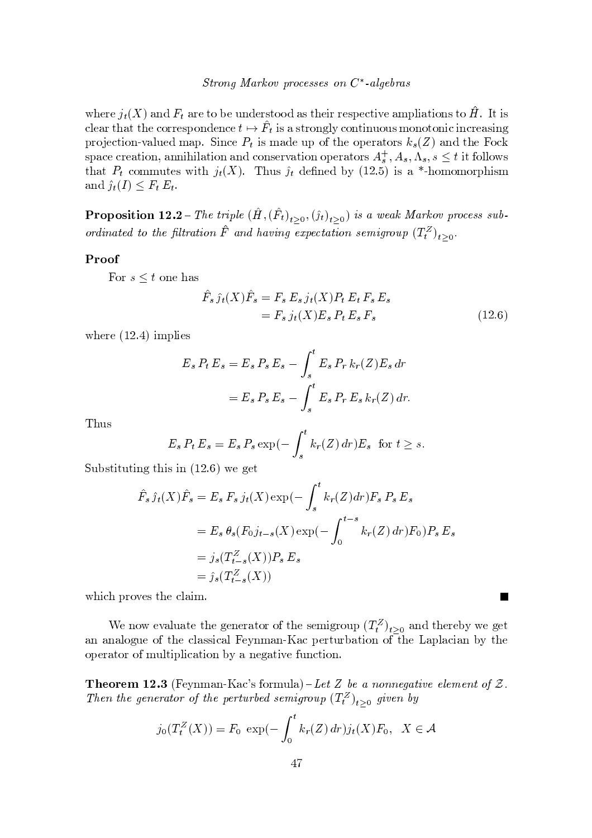where  $j_t(X)$  and  $F_t$  are to be understood as their respective ampliations to  $\hat{H}$ . It is clear that the correspondence  $t \mapsto \hat{F}_t$  is a strongly continuous monotonic increasing projection-valued map. Since  $P_t$  is made up of the operators  $k_s(Z)$  and the Fock space creation, annihilation and conservation operators  $A_s^+, A_s, \Lambda_s, s \leq t$  it follows that  $P_t$  commutes with  $j_t(X)$ . Thus  $\hat{j}_t$  defined by (12.5) is a \*-homomorphism and  $\hat{j}_t(I) \leq F_t E_t$ .

**Proposition 12.2** – The triple  $(\hat{H}, (\hat{F}_t)_{t \geq 0}, (\hat{j}_t)_{t \geq 0})$  is a weak Markov process subordinated to the filtration  $\hat{F}$  and having expectation semigroup  $(T_t^Z)_{t>0}$ .

## Proof

For  $s \leq t$  one has

$$
\hat{F}_s \hat{j}_t(X)\hat{F}_s = F_s E_s j_t(X)P_t E_t F_s E_s \n= F_s j_t(X)E_s P_t E_s F_s
$$
\n(12.6)

where  $(12.4)$  implies

$$
E_s P_t E_s = E_s P_s E_s - \int_s^t E_s P_r k_r(Z) E_s dr
$$
  
=  $E_s P_s E_s - \int_s^t E_s P_r E_s k_r(Z) dr.$ 

Thus

$$
E_s P_t E_s = E_s P_s \exp(-\int_s^t k_r(Z) dr) E_s \text{ for } t \ge s.
$$

Substituting this in  $(12.6)$  we get

$$
\hat{F}_s \hat{j}_t(X)\hat{F}_s = E_s F_s j_t(X) \exp(-\int_s^t k_r(Z) dr) F_s P_s E_s
$$
  
=  $E_s \theta_s (F_0 j_{t-s}(X) \exp(-\int_0^{t-s} k_r(Z) dr) F_0) P_s E_s$   
=  $j_s (T_{t-s}^Z(X)) P_s E_s$   
=  $\hat{j}_s (T_{t-s}^Z(X))$ 

which proves the claim.

We now evaluate the generator of the semigroup  $(T_t^Z)_{t>0}$  and thereby we get an analogue of the classical Feynman-Kac perturbation of the Laplacian by the operator of multiplication by a negative function.

**Theorem 12.3** (Feynman-Kac's formula) – Let Z be a nonnegative element of Z. Then the generator of the perturbed semigroup  $(T_t^Z)_{t\geq 0}$  given by

$$
j_0(T_t^Z(X)) = F_0 \exp(-\int_0^t k_r(Z) dr) j_t(X) F_0, \ \ X \in \mathcal{A}
$$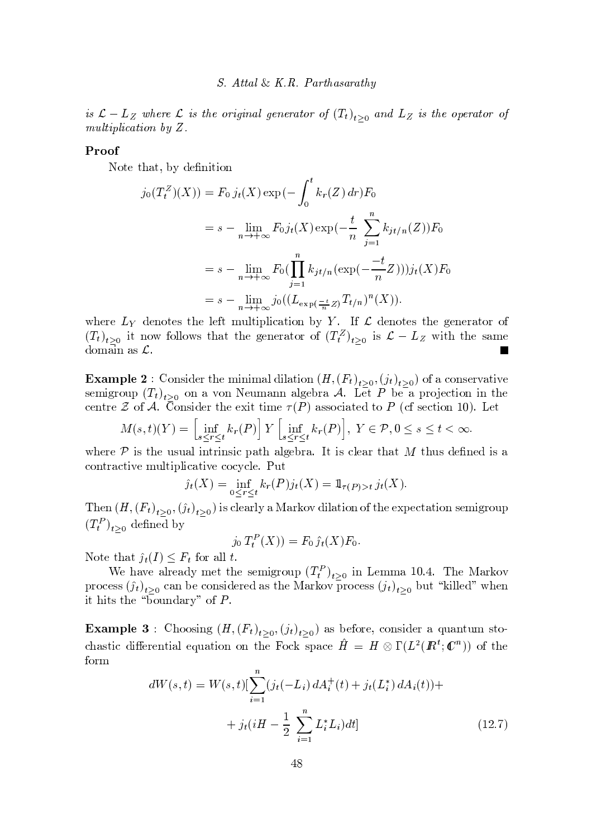is  $\mathcal{L} - L_Z$  where  $\mathcal L$  is the original generator of  $(T_t)_{t>0}$  and  $L_Z$  is the operator of multiplication by  $Z$ .

#### Proof

Note that, by definition

$$
j_0(T_t^Z)(X)) = F_0 j_t(X) \exp(-\int_0^t k_r(Z) dr) F_0
$$
  
=  $s - \lim_{n \to +\infty} F_0 j_t(X) \exp(-\frac{t}{n} \sum_{j=1}^n k_{jt/n}(Z)) F_0$   
=  $s - \lim_{n \to +\infty} F_0(\prod_{j=1}^n k_{jt/n} (\exp(-\frac{-t}{n}Z))) j_t(X) F_0$   
=  $s - \lim_{n \to +\infty} j_0((L_{\exp(\frac{-t}{n}Z)} T_{t/n})^n(X)).$ 

where  $L_Y$  denotes the left multiplication by Y. If  $\mathcal L$  denotes the generator of  $(T_t)_{t>0}$  it now follows that the generator of  $(T_t^Z)_{t>0}$  is  $\mathcal{L} - L_Z$  with the same domain as  $\mathcal{L}$ .

**Example 2**: Consider the minimal dilation  $(H,(F_t)_{t>0},(j_t)_{t>0})$  of a conservative semigroup  $(T_t)_{t>0}$  on a von Neumann algebra A. Let P be a projection in the centre  $\mathcal Z$  of  $\mathcal A$ . Consider the exit time  $\tau(P)$  associated to P (cf section 10). Let

$$
M(s,t)(Y) = \left[\inf_{s \le r \le t} k_r(P)\right] Y \left[\inf_{s \le r \le t} k_r(P)\right], Y \in \mathcal{P}, 0 \le s \le t < \infty.
$$

where  $P$  is the usual intrinsic path algebra. It is clear that M thus defined is a contractive multiplicative cocycle. Put

$$
\hat{j}_t(X) = \inf_{0 \le r \le t} k_r(P) j_t(X) = 1_{\tau(P) > t} j_t(X).
$$

Then  $(H,(F_t)_{t>0},(\hat{j}_t)_{t>0})$  is clearly a Markov dilation of the expectation semigroup  $(T_t^P)_{t>0}$  defined by

$$
j_0 T_t^P(X)) = F_0 j_t(X) F_0
$$

Note that  $\hat{j}_t(I) \leq F_t$  for all t.

We have already met the semigroup  $(T_t^P)_{t>0}$  in Lemma 10.4. The Markov process  $(j_t)_{t>0}$  can be considered as the Markov process  $(j_t)_{t>0}$  but "killed" when it hits the "boundary" of  $P$ .

**Example 3**: Choosing  $(H,(F_t)_{t>0},(j_t)_{t>0})$  as before, consider a quantum stochastic differential equation on the Fock space  $\hat{H} = H \otimes \Gamma(L^2(\mathbb{R}^t; \mathbb{C}^n))$  of the form

$$
dW(s,t) = W(s,t)[\sum_{i=1}^{n} (j_t(-L_i) dA_i^+(t) + j_t(L_i^*) dA_i(t)) +
$$
  
+  $j_t(iH - \frac{1}{2} \sum_{i=1}^{n} L_i^* L_i) dt]$  (12.7)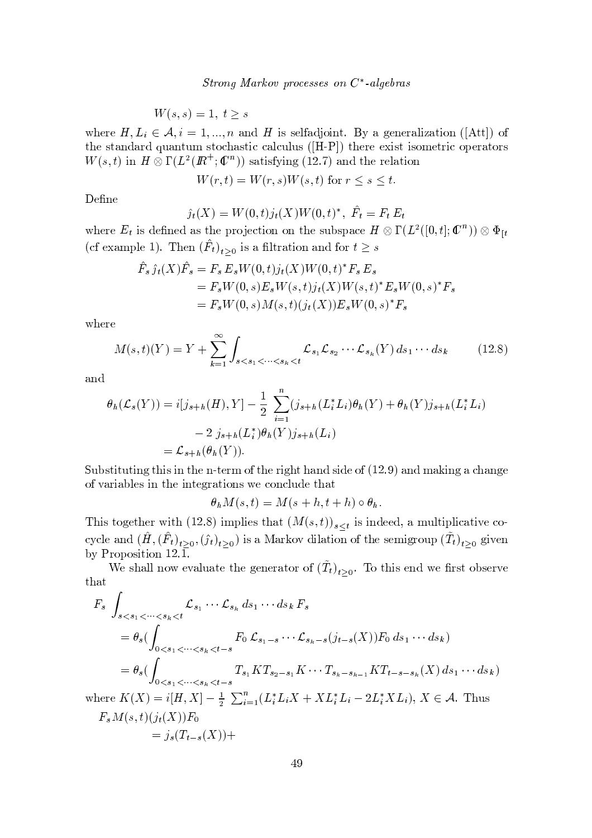$$
W(s,s) = 1, \ t \ge s
$$

where  $H, L_i \in \mathcal{A}, i = 1, ..., n$  and H is selfadjoint. By a generalization ([Att]) of the standard quantum stochastic calculus ([H-P]) there exist isometric operators  $W(s,t)$  in  $H \otimes \Gamma(L^2(\mathbb{R}^+;\mathbb{C}^n))$  satisfying (12.7) and the relation

$$
W(r,t) = W(r,s)W(s,t)
$$
 for  $r \le s \le t$ 

Define

$$
\hat{j}_t(X) = W(0, t)j_t(X)W(0, t)^*, \ \hat{F}_t = F_t E_t
$$

where  $E_t$  is defined as the projection on the subspace  $H \otimes \Gamma(L^2([0,t];\mathbb{C}^n)) \otimes \Phi_{[t]}$ (cf example 1). Then  $(\hat{F}_t)_{t>0}$  is a filtration and for  $t \geq s$ 

$$
\hat{F}_s \hat{j}_t(X)\hat{F}_s = F_s E_s W(0,t)j_t(X)W(0,t)^* F_s E_s \n= F_s W(0,s)E_s W(s,t)j_t(X)W(s,t)^* E_s W(0,s)^* F_s \n= F_s W(0,s)M(s,t)(j_t(X))E_s W(0,s)^* F_s
$$

where

$$
M(s,t)(Y) = Y + \sum_{k=1}^{\infty} \int_{s < s_1 < \dots < s_k < t} \mathcal{L}_{s_1} \mathcal{L}_{s_2} \dots \mathcal{L}_{s_k}(Y) \, ds_1 \dots ds_k \tag{12.8}
$$

and

$$
\theta_h(\mathcal{L}_s(Y)) = i[j_{s+h}(H), Y] - \frac{1}{2} \sum_{i=1}^n (j_{s+h}(L_i^* L_i) \theta_h(Y) + \theta_h(Y) j_{s+h}(L_i^* L_i) \n- 2 j_{s+h}(L_i^*) \theta_h(Y) j_{s+h}(L_i) \n= \mathcal{L}_{s+h}(\theta_h(Y)).
$$

Substituting this in the n-term of the right hand side of (12.9) and making a change of variables in the integrations we conclude that

$$
\theta_h M(s,t) = M(s+h,t+h) \circ \theta_h.
$$

This together with (12.8) implies that  $(M(s,t))_{s\leq t}$  is indeed, a multiplicative cocycle and  $(\hat{H}, (\hat{F}_t)_{t \geq 0}, (\hat{j}_t)_{t \geq 0})$  is a Markov dilation of the semigroup  $(\tilde{T}_t)_{t \geq 0}$  given by Proposition  $12.\overline{1}$ .

We shall now evaluate the generator of  $(\tilde{T}_t)_{t>0}$ . To this end we first observe that

$$
F_s \int_{s < s_1 < \dots < s_k < t} \mathcal{L}_{s_1} \dots \mathcal{L}_{s_k} \, ds_1 \dots ds_k \, F_s
$$
\n
$$
= \theta_s \big( \int_{0 < s_1 < \dots < s_k < t - s} F_0 \, \mathcal{L}_{s_1 - s} \dots \mathcal{L}_{s_k - s} (j_{t - s}(X)) F_0 \, ds_1 \dots ds_k \big)
$$
\n
$$
= \theta_s \big( \int_{0 < s_1 < \dots < s_k < t - s} T_{s_1} K T_{s_2 - s_1} K \dots T_{s_k - s_{k-1}} K T_{t - s - s_k} (X) \, ds_1 \dots ds_k \big)
$$
\nwhere  $K(X) = i[H, X] - \frac{1}{2} \sum_{i=1}^n (L_i^* L_i X + X L_i^* L_i - 2 L_i^* X L_i), X \in \mathcal{A}$ . Thus\n
$$
F_s M(s, t) (j_t(X)) F_0
$$

$$
= j_s(T_{t-s}(X)) +
$$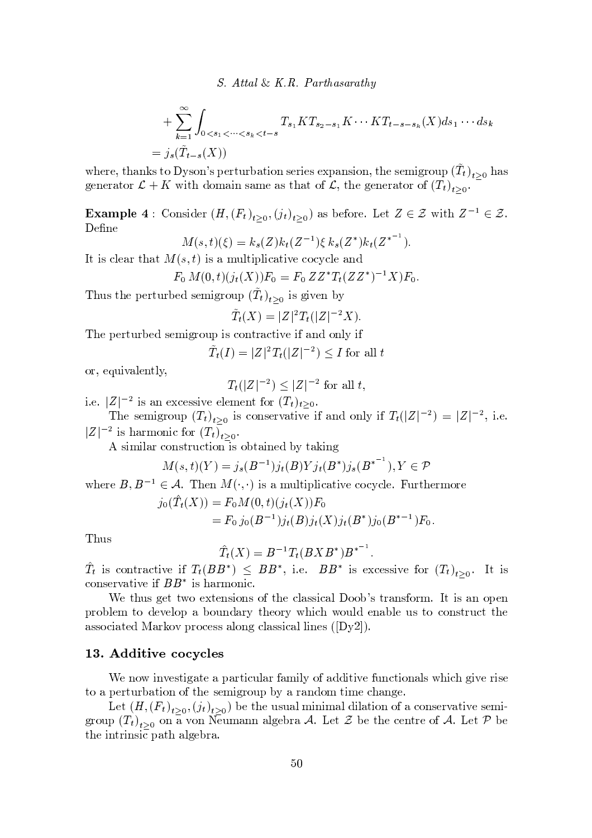- 

+ 
$$
\sum_{k=1}^{\infty} \int_{0 < s_1 < \cdots < s_k < t - s} T_{s_1} KT_{s_2 - s_1} K \cdots KT_{t - s - s_k} (X) ds_1 \cdots ds_k
$$
  
=  $j_s(\tilde{T}_{t-s}(X))$ 

where thanks to Dyson's perturbation series expansion the semigroup  $(T_{\epsilon})$ , , has senerator  $\mathcal{L} + K$  with domain same as that of  $\mathcal{L}$  the senerator of  $(T_{\epsilon})$ .

Example 4  $\cdot$  Consider  $(H(F_1), \ldots, (i_k), \ldots)$  as before Let  $Z \in \mathcal{Z}$  with  $Z^{-1} \in \mathcal{Z}$  $\sim$   $\sim$   $\sim$  $\label{eq:2.1} \begin{split} \mathcal{L}_{\text{max}}(\mathbf{r},\mathbf{r}) = \mathcal{L}_{\text{max}}(\mathbf{r},\mathbf{r}) = \mathcal{L}_{\text{max}}(\mathbf{r},\mathbf{r}) \end{split}$ 

$$
M(s,t)(\xi) = k_s(Z)k_t(Z^{-1})\xi k_s(Z^*)k_t(Z^{*^{-1}}).
$$

<sup>t</sup> <sup>~</sup> <sup>v</sup> <sup>x</sup> <sup>z</sup> <sup>s</sup> <sup>y</sup> <sup>w</sup> <sup>t</sup> <sup>y</sup> <sup>t</sup> # <sup>~</sup> <sup>v</sup> <sup>y</sup> <sup>|</sup> <sup>u</sup> <sup>z</sup> <sup>t</sup> <sup>~</sup> <sup>z</sup> <sup>~</sup> <sup>x</sup> <sup>y</sup> t~ <sup>s</sup> <sup>x</sup> { <sup>x</sup> <sup>x</sup> <sup>z</sup> <sup>s</sup> <sup>y</sup>

$$
F_0 M(0,t)(j_t(X))F_0 = F_0 Z Z^* T_t (Z Z^*)^{-1} X)F_0.
$$

Thus the perturbed semigroup  $(T_t)$ , , is given by

$$
\tilde{T}_t(X) = |Z|^2 T_t(|Z|^{-2}X).
$$

<sup>s</sup> <sup>s</sup> <sup>w</sup> <sup>t</sup> <sup>u</sup> <sup>w</sup> } s <sup>v</sup> <sup>s</sup> <sup>|</sup> <sup>~</sup> <sup>w</sup> { <sup>u</sup> <sup>~</sup> <sup>v</sup> <sup>x</sup> { <sup>t</sup> <sup>w</sup> <sup>y</sup> <sup>x</sup> <sup>t</sup> <sup>~</sup> <sup>s</sup> <sup>~</sup> <sup>y</sup> { <sup>z</sup> <sup>~</sup>

$$
\tilde{T}_t(I) = |Z|^2 T_t(|Z|^{-2}) \leq I
$$
 for all  $t$ 

 ${\bf w}$  and  ${\bf w}$  and  ${\bf w}$  and  ${\bf w}$  and  ${\bf w}$  and  ${\bf w}$ 

$$
T_t(|Z|^{-2}) \leq |Z|^{-2}
$$
 for all  $t$ ,

 $s \in \mathbb{Z}^{\mathbb{Z}^2}$  is an excessive element for  $(T)$ .

The semigroup  $(T_t)$ , is conservative if and only if  $T_t(|Z|^{-2}) = |Z|^{-2}$  i.e.  $|Z|^{-2}$  is harmonic for  $(T_1)$ .  $\sim$   $\sim$ 

A similar construction is obtained by taking  $\begin{bmatrix} 1 & 1 \\ 2 & 3 \end{bmatrix}$ 

$$
M(s,t)(Y) = j_s(B^{-1})j_t(B)Yj_t(B^*)j_s(B^{*^{-1}}), Y \in \mathcal{P}
$$

 $\mathbf{v}$  is the state  $\mathbf{v}$  of  $\mathbf{v}$  is the state  $\mathbf{v}$  is the state  $\mathbf{v}$  is well with  $\mathbf{v}$  is the state  $\mathbf{v}$ 

$$
j_0(\hat{T}_t(X)) = F_0 M(0,t)(j_t(X))F_0
$$
  
=  $F_0 j_0(B^{-1})j_t(B)j_t(X)j_t(B^*)j_0(B^{*-1})F_0.$ 

<u>u vydanosti s vydanosti s vydanosti s vydanosti s vydanosti s vydanosti s vydanosti s vydanosti s vydanosti s v</u>

$$
\hat{T}_t(X) = B^{-1} T_t(BXB^*)B^{*^{-1}}.
$$

 $T_t$  is contractive if  $T_t(BB^*) \leq BB^*$  i.e.  $BB^*$  is excessive for  $(T_t)$ . It is  $x \sim x$   $\sim x$   $\sim x$   $\sim x$   $\sim x$   $\sim x$   $\sim x$   $\sim x$   $\sim x$   $\sim x$   $\sim x$   $\sim x$   $\sim x$   $\sim x$   $\sim x$   $\sim x$   $\sim x$   $\sim x$   $\sim x$   $\sim x$   $\sim x$   $\sim x$   $\sim x$   $\sim x$   $\sim x$   $\sim x$   $\sim x$   $\sim x$   $\sim x$   $\sim x$   $\sim x$   $\sim x$   $\sim x$   $\sim x$   $\sim x$   $\sim x$   $\sim x$ 

We thus get two extensions of the classical Doob's transform. It is an open where  $z$  is the set  $z$  s  $z$  and  $z$  is the set  $z$  of which we use  $z$  the set  $z$  which we use  $z$  the set  $z$  which we use  $z$  the set  $z$  of  $z$  which we use  $z$  the set  $z$  of  $z$  which we use  $z$  the set  $z$  of  $z$  $\mathbf{y} = \mathbf{y} + \mathbf{y} + \mathbf{y} + \mathbf{y} + \mathbf{y} + \mathbf{y} + \mathbf{y} + \mathbf{y} + \mathbf{y} + \mathbf{y} + \mathbf{y} + \mathbf{y} + \mathbf{y} + \mathbf{y} + \mathbf{y} + \mathbf{y} + \mathbf{y} + \mathbf{y} + \mathbf{y} + \mathbf{y} + \mathbf{y} + \mathbf{y} + \mathbf{y} + \mathbf{y} + \mathbf{y} + \mathbf{y} + \mathbf{y} + \mathbf{y} + \mathbf{y} + \mathbf{y} + \mathbf$ 

#### $\mathcal{L}$  and  $\mathcal{L}$  of  $\mathcal{L}$  and  $\mathcal{L}$  . The  $\mathcal{L}$

We now investigate a particular family of additive functionals which give rise t w t w t w t w t w t w  $\alpha$  t  $\alpha$  is t where  $\alpha$  is the state  $\alpha$  is the state  $\alpha$  state  $\alpha$  is the state  $\alpha$ 

Let  $(H (F_1), \ldots, (i_k), \ldots)$  be the usual minimal dilation of a conservative semigroup  $(T_i)$  on a von Neumann algebra 4. Let  $\mathcal{Z}$  be the centre of 4. Let  $\mathcal{D}$  be t <sup>s</sup> <sup>~</sup> <sup>t</sup> <sup>w</sup> <sup>~</sup> <sup>v</sup> <sup>~</sup> <sup>x</sup> <sup>y</sup> t <sup>y</sup> <sup>z</sup> <sup>s</sup> } <sup>w</sup> <sup>y</sup>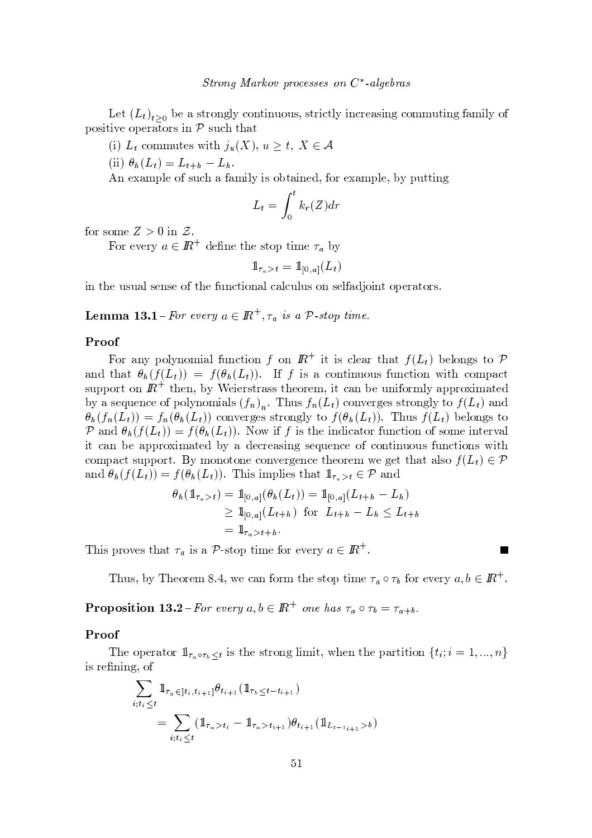Let  $(L)$  be a strongly continuous strictly increasing commuting family of  ${\bf v} = {\bf v} - {\bf v}$  , we write  ${\bf v} = {\bf v} - {\bf v}$  to the set of  ${\bf v} = {\bf v} - {\bf v}$  to the set of  ${\bf v} = {\bf v} - {\bf v}$ 

 $\mu$   $\mathbf{I}$  commutes with  $\mathbf{A}$   $(\mathbf{V})$   $\mathbf{A} \geq \mathbf{I}$   $\mathbf{V} \subset \mathbf{A}$ 

 $\langle 11 \rangle$  A,  $\langle T \rangle = T$  , T,

 $\mathbf x \mathbf y = \mathbf y \mathbf y = \mathbf y \mathbf y = \mathbf y \mathbf y$  , we write  $\mathbf x \mathbf y = \mathbf y \mathbf y$  . Then  $\mathbf y \mathbf y = \mathbf y \mathbf y$ 

$$
L_t = \int_0^t k_r(Z) dr
$$

for some  $Z > 0$  in  $Z$ 

 $\mathbf{r}$   $\mathbf{r}$   $\mathbf{r}$   $\mathbf{r}$   $\mathbf{r}$   $\mathbf{r}$   $\mathbf{r}$   $\mathbf{r}$   $\mathbf{r}$   $\mathbf{r}$   $\mathbf{r}$   $\mathbf{r}$   $\mathbf{r}$ 

$$
1\hspace{-0.2em}{1}_{\tau_a > t} = 1\hspace{-0.2em}{1}_{[0,a]}(L_t)
$$

 $\blacksquare$  t t  $\blacksquare$  and the set of the set of the set of the set of the set of the set of the set of the set of the set of the set of the set of the set of the set of the set of the set of the set of the set of the set of t

Lomma 13.1 For every  $a \in \mathbb{R}^+$   $\tau$  is a  $\mathcal{D}$  stop time

#### Proof

<sup>E</sup> { wy { <sup>z</sup> { <sup>|</sup> <sup>~</sup> <sup>y</sup> <sup>z</sup> <sup>u</sup> <sup>x</sup> <sup>t</sup> ~{ { ~ <sup>t</sup> <sup>~</sup> <sup>v</sup> <sup>x</sup> <sup>z</sup> <sup>s</sup> <sup>y</sup> <sup>w</sup> <sup>t</sup> <sup>y</sup> t : } <sup>s</sup> <sup>z</sup> { <sup>v</sup> <sup>t</sup> { and that  $\theta_k(f(L_i)) = f(\theta_k(L_i))$ . If f is a continuous function with compact where the state is a state of the state  $\sim$  to the state is a state of the state is used to the state of the state is a state of the state of the state is a state of the state of the state is a state of the state of the  $\mathbf{y} = \begin{pmatrix} y & y & z & z \end{pmatrix}$  $\theta_{\alpha}(f(T)) = f(\theta_{\alpha}(T))$  converges strongly to  $f(\theta_{\alpha}(T))$ . Thus  $f(T)$  belongs to  $\mathcal{D}$  and  $\mathcal{A}$ ,  $(f(I)) = f(\mathcal{A}, (I))$  Now if f is the indicator function of some interval  $\alpha$  , the state state  $\alpha$  is the state  $\alpha$  state  $\alpha$  and  $\alpha$  is the state of  $\alpha$  and  $\alpha$  $x \equiv x \pmod{1}$  is the set of the set of the set of the set of the set of the set of the set of the set of the set of the set of the set of the set of the set of the set of the set of the set of the set of the set of the set and  $\theta_i(f(I)) = f(\theta_i(I))$  This implies that  $1 \in \mathcal{D}$  and

$$
\theta_h(\mathbb{1}_{\tau_a > t}) = \mathbb{1}_{[0,a]}(\theta_h(L_t)) = \mathbb{1}_{[0,a]}(L_{t+h} - L_h)
$$
  
\n
$$
\geq \mathbb{1}_{[0,a]}(L_{t+h}) \text{ for } L_{t+h} - L_h \leq L_{t+h}
$$
  
\n
$$
= \mathbb{1}_{\tau_a > t+h}.
$$

 $-$  v  $\alpha$  v  $\alpha$   $\alpha$   $\alpha$   $\alpha$   $\alpha$   $\alpha$ 

Thus by Theorem 8.4, we can form the step time  $\tau$ , e.g. for every  $\alpha, b \in \mathbb{R}^+$ 

**Droposition 13.9** For every a  $h \in \mathbb{R}^+$  one has  $\tau \circ \tau_i = \tau$ .

## Proof

The operator  $1\!\!1_{\tau_a \circ \tau_b \leq t}$  is the strong limit, when the partition  $\{t_i; i = 1, ..., n\}$ ~ <sup>v</sup> <sup>w</sup> <sup>s</sup> <sup>~</sup> {

$$
\sum_{i;t_i \leq t} \mathbb{1}_{\tau_a \in ]t_i, t_{i+1}]} \theta_{t_{i+1}} (\mathbb{1}_{\tau_b \leq t - t_{i+1}})
$$
\n
$$
= \sum_{i;t_i \leq t} (\mathbb{1}_{\tau_a > t_i} - \mathbb{1}_{\tau_a > t_{i+1}}) \theta_{t_{i+1}} (\mathbb{1}_{L_{t-t_{i+1}} > b})
$$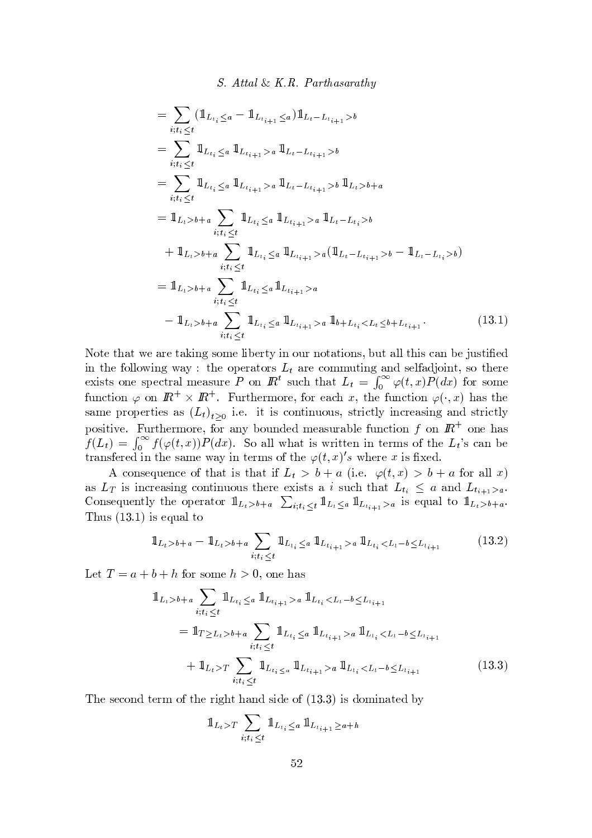$$
= \sum_{i;t_i \leq t} (\mathbb{1}_{L_{t_i} \leq a} - \mathbb{1}_{L_{t_{i+1}} \leq a}) \mathbb{1}_{L_t - L_{t_{i+1}} > b}
$$
  
\n
$$
= \sum_{i;t_i \leq t} \mathbb{1}_{L_{t_i} \leq a} \mathbb{1}_{L_{t_{i+1}} > a} \mathbb{1}_{L_t - L_{t_{i+1}} > b}
$$
  
\n
$$
= \sum_{i;t_i \leq t} \mathbb{1}_{L_{t_i} \leq a} \mathbb{1}_{L_{t_{i+1}} > a} \mathbb{1}_{L_t - L_{t_{i+1}} > b} \mathbb{1}_{L_t > b + a}
$$
  
\n
$$
= \mathbb{1}_{L_t > b + a} \sum_{i;t_i \leq t} \mathbb{1}_{L_{t_i} \leq a} \mathbb{1}_{L_{t_{i+1}} > a} \mathbb{1}_{L_t - L_{t_i} > b}
$$
  
\n
$$
+ \mathbb{1}_{L_t > b + a} \sum_{i;t_i \leq t} \mathbb{1}_{L_{t_i} \leq a} \mathbb{1}_{L_{t_{i+1}} > a} (\mathbb{1}_{L_t - L_{t_{i+1}} > b} - \mathbb{1}_{L_t - L_{t_i} > b})
$$
  
\n
$$
= \mathbb{1}_{L_t > b + a} \sum_{i;t_i \leq t} \mathbb{1}_{L_{t_i} \leq a} \mathbb{1}_{L_{t_{i+1}} > a}
$$
  
\n
$$
- \mathbb{1}_{L_t > b + a} \sum_{i;t_i \leq t} \mathbb{1}_{L_{t_i} \leq a} \mathbb{1}_{L_{t_{i+1}} > a} \mathbb{1}_{b + L_{t_i} < L_t \leq b + L_{t_{i+1}}}.
$$
  
\n(13.1)

¥ { ts <sup>t</sup> <sup>y</sup> t <sup>s</sup> <sup>y</sup> <sup>w</sup> <sup>s</sup> <sup>t</sup> <sup>y</sup> <sup>~</sup> <sup>v</sup> { <sup>|</sup> <sup>s</sup> <sup>z</sup> <sup>~</sup> } <sup>s</sup> <sup>w</sup> <sup>t</sup> <sup>~</sup> { <sup>u</sup> <sup>w</sup> { ty t~ { <sup>v</sup> } <sup>u</sup> <sup>t</sup> <sup>y</sup> <sup>z</sup> <sup>z</sup> <sup>t</sup> <sup>~</sup> <sup>v</sup> <sup>x</sup> <sup>y</sup> } sC <sup>u</sup> <sup>v</sup> <sup>t</sup> <sup>~</sup> <sup>s</sup>  $\dot{z}$  , the set of the set of the set of the set of the set of the set of the set of the set of the set of the set of the set of the set of the set of the set of the set of the set of the set of the set of the set of th solution with the commuting and senargion, so there exists one spectral measure P on  $\mathbb{R}^t$  such that  $L_t = \int_{-\infty}^{\infty} \varphi(t, x) P(dx)$  for some function  $\varphi$  on  $\mathbb{R}^+ \times \mathbb{R}^+$  Eurthermore for each x the function  $\varphi(x)$  has the same properties as  $(L_i)$ , i.e. it is continuous strictly increasing and strictly { <sup>v</sup> ~t ~ <sup>s</sup> E <sup>u</sup> <sup>w</sup> <sup>t</sup> <sup>s</sup> <sup>w</sup> <sup>|</sup> { <sup>w</sup> <sup>s</sup> { <sup>w</sup> <sup>y</sup> } { <sup>u</sup> s <sup>|</sup> <sup>s</sup> <sup>y</sup> vu <sup>w</sup> <sup>y</sup> } <sup>z</sup> <sup>s</sup> <sup>u</sup> <sup>x</sup> <sup>t</sup> ~{ { { s <sup>y</sup> <sup>v</sup> : # <sup>6</sup>  $=$   $\int_{-\infty}^{\infty} f(\varphi(t,x))P(dx)$  So all what is written in terms of the  $L_t$ 's can be trengtored in the same way in terms of the  $(a(t, x)$  where  $x$  is fixed

A consequence of that is that if  $L_4 > b + a$  (i.e.  $a(t, r) > b + a$  for all r)  $\bm{x} = \bm{y} + \bm{y}$  , where  $\bm{y} = \bm{y} + \bm{y}$  is a swap  $\bm{y} = \bm{y} + \bm{y}$  , where  $\bm{y} = \bm{y} + \bm{y}$ Consequently the operator  $1_{x \to y}$   $\sum_{u \neq 1} 1_{x}$   $\sum_{v \neq v} 1_{x}$  is equal to  $1_{x \to y}$ <sup>u</sup> <sup>v</sup> ¨ ¨ <sup>~</sup> <sup>v</sup> <sup>s</sup> <sup>u</sup> <sup>y</sup> <sup>z</sup> <sup>t</sup> {

$$
\mathbb{1}_{L_t > b+a} - \mathbb{1}_{L_t > b+a} \sum_{i; t_i \le t} \mathbb{1}_{L_{t_i} \le a} \mathbb{1}_{L_{t_{i+1}} > a} \mathbb{1}_{L_{t_i} < L_t - b \le L_{t_{i+1}}} \tag{13.2}
$$

Let  $T - a + b + b$  for some  $b > 0$  and has

$$
\begin{split} \mathbb{1}_{L_t > b+a} \sum_{i;t_i \leq t} \mathbb{1}_{L_{t_i} \leq a} \mathbb{1}_{L_{t_{i+1}} > a} \mathbb{1}_{L_{t_i} < L_t - b \leq L_{t_{i+1}}} \\ &= \mathbb{1}_{T \geq L_t > b+a} \sum_{i;t_i \leq t} \mathbb{1}_{L_{t_i} \leq a} \mathbb{1}_{L_{t_{i+1}} > a} \mathbb{1}_{L_{t_i} < L_t - b \leq L_{t_{i+1}}} \\ &+ \mathbb{1}_{L_t > T} \sum_{i;t_i \leq t} \mathbb{1}_{L_{t_i} \leq a} \mathbb{1}_{L_{t_{i+1}} > a} \mathbb{1}_{L_{t_i} < L_t - b \leq L_{t_{i+1}}} \end{split} \tag{13.3}
$$

set s w  $\alpha$  in the  $\alpha$   $\alpha$  such  $\alpha$ 

$$
1\!\!1_{L_t>T} \sum_{i;t_i \le t} 1\!\!1_{L_{t_i} \le a} 1\!\!1_{L_{t_{i+1}} \ge a+h}
$$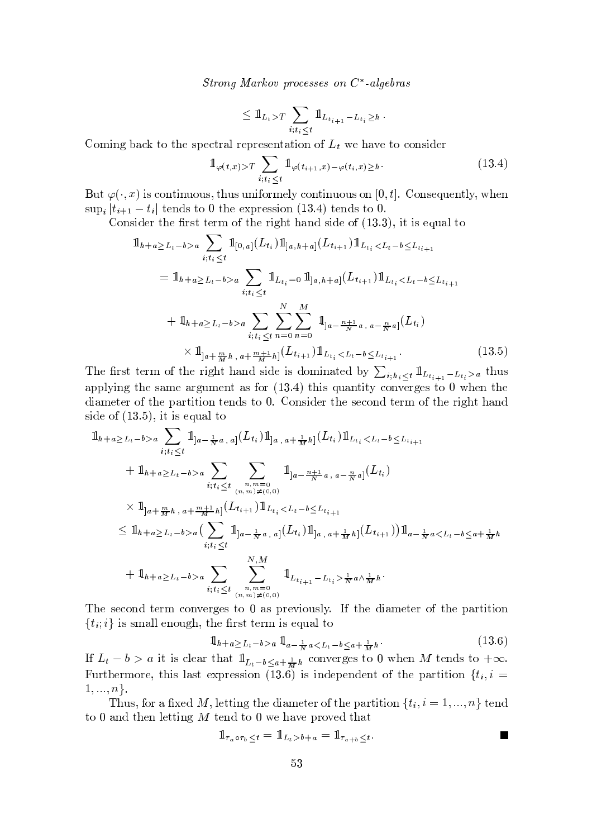Strong Markov processes on  $C^*$ -algebras

$$
\leq 1\mathbb{1}_{L_t>T} \sum_{i;t_i\leq t} 1\mathbb{1}_{L_{t_{i+1}}-L_{t_i}\geq h}
$$

Coming back to the spectral representation of  $L_t$  we have to consider

$$
\mathbb{1}_{\varphi(t,x)>T} \sum_{i:t_i \leq t} \mathbb{1}_{\varphi(t_{i+1},x)-\varphi(t_i,x)\geq h}.
$$
\n(13.4)

But  $\varphi(\cdot, x)$  is continuous, thus uniformely continuous on [0, t]. Consequently, when  $\sup_i |t_{i+1} - t_i|$  tends to 0 the expression (13.4) tends to 0.

Consider the first term of the right hand side of  $(13.3)$ , it is equal to

$$
\begin{split} \mathbb{1}_{h+a \geq L_t-b>a} &\sum_{i;t_i \leq t} \mathbb{1}_{[0,a]}(L_{t_i}) \mathbb{1}_{]a,h+a]}(L_{t_{i+1}}) \mathbb{1}_{L_{t_i} < L_t-b \leq L_{t_{i+1}}} \\ &= \mathbb{1}_{h+a \geq L_t-b>a} \sum_{i;t_i \leq t} \mathbb{1}_{L_{t_i}=0} \mathbb{1}_{]a,h+a]}(L_{t_{i+1}}) \mathbb{1}_{L_{t_i} < L_t-b \leq L_{t_{i+1}}} \\ &+ \mathbb{1}_{h+a \geq L_t-b>a} \sum_{i;t_i \leq t} \sum_{n=0}^{N} \sum_{n=0}^{M} \mathbb{1}_{]a-\frac{n+1}{N}a, a-\frac{n}{N}a]}(L_{t_i}) \\ &\times \mathbb{1}_{]a+\frac{m}{M}h, a+\frac{m+1}{M}h]}(L_{t_{i+1}}) \mathbb{1}_{L_{t_i} < L_t-b \leq L_{t_{i+1}}} . \end{split} \tag{13.5}
$$

The first term of the right hand side is dominated by  $\sum_{i;h_i\leq t} \mathbb{1}_{L_{t_{i+1}}-L_{t_i}>a}$  thus applying the same argument as for  $(13.4)$  this quantity converges to 0 when the diameter of the partition tends to 0. Consider the second term of the right hand side of  $(13.5)$ , it is equal to

$$
\begin{split}\n\mathbb{1}_{h+a \geq L_t-b>a} &\sum_{i;t_i \leq t} \mathbb{1}_{]a-\frac{1}{N}a, a]}(L_{t_i})\mathbb{1}_{]a, a+\frac{1}{M}h]}(L_{t_i})\mathbb{1}_{L_{t_i} < L_t-b \leq L_{t_{i+1}} \\
&\quad + \mathbb{1}_{h+a \geq L_t-b>a} &\sum_{i;t_i \leq t} \sum_{\substack{n,m=0 \\ (n,m) \neq (0,0)}} \mathbb{1}_{]a-\frac{n+1}{N}a, a-\frac{n}{N}a]}(L_{t_i}) \\
&\times \mathbb{1}_{]a+\frac{m}{M}h, a+\frac{m+1}{M}h]}(L_{t_{i+1}})\mathbb{1}_{L_{t_i} < L_t-b \leq L_{t_{i+1}}} \\
&\leq \mathbb{1}_{h+a \geq L_t-b>a} &\sum_{i;t_i \leq t} \mathbb{1}_{]a-\frac{1}{N}a, a]}(L_{t_i})\mathbb{1}_{]a, a+\frac{1}{M}h]}(L_{t_{i+1}})\mathbb{1}_{a-\frac{1}{N}a < L_t-b \leq a+\frac{1}{M}h} \\
&\quad + \mathbb{1}_{h+a \geq L_t-b>a} &\sum_{i;t_i \leq t} \sum_{\substack{n,m=0 \\ (n,m) \neq (0,0)}}^N \mathbb{1}_{L_{t_{i+1}}-L_{t_i} > \frac{1}{N}a \wedge \frac{1}{M}h}.\n\end{split}
$$

The second term converges to 0 as previously. If the diameter of the partition  $\{t_i, i\}$  is small enough, the first term is equal to

$$
1\!\!1_{h+a} \ge L_t - b > a \cdot 1\!\!1_{a} - \frac{1}{N} a < L_t - b \le a + \frac{1}{M} h \tag{13.6}
$$

If  $L_t - b > a$  it is clear that  $1\!\!1_{L_t - b \leq a + \frac{1}{M}h}$  converges to 0 when M tends to  $+\infty$ . Furthermore, this last expression (13.6) is independent of the partition  $\{t_i, i =$  $1, ..., n$ .

Thus, for a fixed M, letting the diameter of the partition  $\{t_i, i = 1, ..., n\}$  tend to 0 and then letting  $M$  tend to 0 we have proved that

 $\mathbf{1}$ 

$$
_{\tau_a \circ \tau_b \leq t} = 1\!\!1_{L_t > b+a} = 1\!\!1_{\tau_a + b \leq t}.
$$

 $\blacksquare$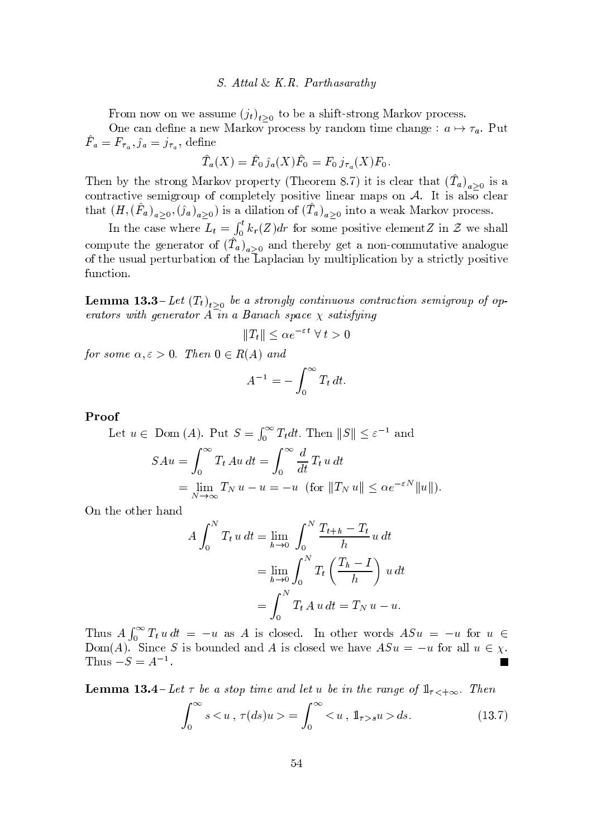#### S. Attal & K.R. Parthasarathy

From now on we assume  $(j_t)_{t>0}$  to be a shift-strong Markov process.

One can define a new Markov process by random time change :  $a \mapsto \tau_a$ . Put  $\hat{F}_a = F_{\tau_a}, \hat{j}_a = j_{\tau_a},$  define

$$
\hat{T}_a(X) = \hat{F}_0 \hat{j}_a(X)\hat{F}_0 = F_0 j_{\tau_a}(X)F_0.
$$

Then by the strong Markov property (Theorem 8.7) it is clear that  $(\hat{T}_a)_{a>0}$  is a contractive semigroup of completely positive linear maps on  $A$ . It is also clear that  $(H, (F_a)_{a>0}, (\hat{\jmath}_a)_{a>0})$  is a dilation of  $(T_a)_{a>0}$  into a weak Markov process.

In the case where  $L_t = \int_0^t k_r(Z) dr$  for some positive element Z in Z we shall compute the generator of  $(\hat{T}_a)_{a>0}$  and thereby get a non-commutative analogue of the usual perturbation of the Laplacian by multiplication by a strictly positive function.

**Lemma 13.3**-Let  $(T_t)_{t>0}$  be a strongly continuous contraction semigroup of operators with generator  $A$  in a Banach space  $\chi$  satisfying

$$
||T_t|| \leq \alpha e^{-\varepsilon t} \ \forall \ t > 0
$$

for some  $\alpha, \varepsilon > 0$ . Then  $0 \in R(A)$  and

$$
A^{-1} = -\int_0^\infty T_t \, dt
$$

Proof

Let 
$$
u \in \text{Dom}(A)
$$
. Put  $S = \int_0^\infty T_t dt$ . Then  $||S|| \le \varepsilon^{-1}$  and  
\n
$$
SAu = \int_0^\infty T_t Au dt = \int_0^\infty \frac{d}{dt} T_t u dt
$$
\n
$$
= \lim_{N \to \infty} T_N u - u = -u \text{ (for } ||T_N u|| \le \alpha e^{-\varepsilon N} ||u||).
$$

On the other hand

$$
A \int_0^N T_t u \, dt = \lim_{h \to 0} \int_0^N \frac{T_{t+h} - T_t}{h} u \, dt
$$
  
= 
$$
\lim_{h \to 0} \int_0^N T_t \left( \frac{T_h - I}{h} \right) u \, dt
$$
  
= 
$$
\int_0^N T_t A u \, dt = T_N u - u.
$$

Thus  $A\int_0^\infty T_t u dt = -u$  as A is closed. In other words  $ASu = -u$  for  $u \in$  $Dom(A)$ . Since S is bounded and A is closed we have  $ASu = -u$  for all  $u \in \chi$ . Thus  $-S = A^{-1}$ .

**Lemma 13.4**-Let  $\tau$  be a stop time and let u be in the range of  $1\!\!1_{\tau\leq +\infty}$ . Then

$$
\int_0^\infty s < u \; , \; \tau(ds)u > = \int_0^\infty \; < u \; , \; \mathbb{1}_{\tau > s}u > ds. \tag{13.7}
$$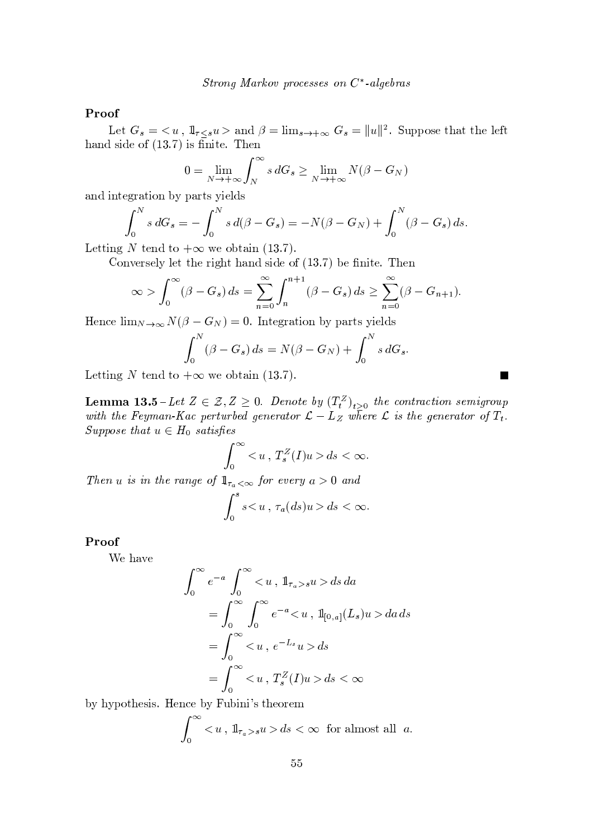## Proof

Let  $G_s = \langle u, 1 \, 1_{\tau \leq s} u \rangle$  and  $\beta = \lim_{s \to +\infty} G_s = ||u||^2$ . Suppose that the left hand side of  $(13.7)$  is finite. Then

$$
0 = \lim_{N \to +\infty} \int_{N}^{\infty} s \, dG_s \ge \lim_{N \to +\infty} N(\beta - G_N)
$$

and integration by parts yields

$$
\int_0^N s \, dG_s = -\int_0^N s \, d(\beta - G_s) = -N(\beta - G_N) + \int_0^N (\beta - G_s) \, ds.
$$

Letting N tend to  $+\infty$  we obtain (13.7).

Conversely let the right hand side of  $(13.7)$  be finite. Then

$$
\infty > \int_0^{\infty} (\beta - G_s) ds = \sum_{n=0}^{\infty} \int_n^{n+1} (\beta - G_s) ds \ge \sum_{n=0}^{\infty} (\beta - G_{n+1}).
$$

Hence  $\lim_{N\to\infty} N(\beta - G_N) = 0$ . Integration by parts yields

$$
\int_0^N (\beta - G_s) ds = N(\beta - G_N) + \int_0^N s dG_s
$$

 $\overline{\phantom{a}}$ 

Letting N tend to  $+\infty$  we obtain (13.7).

**Lemma 13.5** – Let  $Z \in \mathcal{Z}, Z \ge 0$ . Denote by  $(T_t^Z)_{t>0}$  the contraction semigroup with the Feyman-Kac perturbed generator  $\mathcal{L} - L_Z$  where  $\mathcal{L}$  is the generator of  $T_t$ . Suppose that  $u \in H_0$  satisfies

$$
\int_0^\infty ds < \infty.
$$

Then u is in the range of  $\mathbb{1}_{\tau_a < \infty}$  for every  $a > 0$  and

$$
\int_0^s sds<\infty
$$

#### Proof

We have

$$
\int_0^\infty e^{-a} \int_0^\infty , \quad 1 \vert_{\tau_a > s} u > ds \, da
$$
  
= 
$$
\int_0^\infty \int_0^\infty e^{-a} , \quad 1 \vert_{[0,a]}(L_s) u > da \, ds
$$
  
= 
$$
\int_0^\infty , \quad e^{-L_s} u > ds
$$
  
= 
$$
\int_0^\infty , \quad T_s^Z(I) u > ds < \infty
$$

by hypothesis. Hence by Fubini's theorem

$$
\int_0^\infty , 1\!{\rm l}_{\tau_a > s} u > ds < \infty \text{ for almost all } a.
$$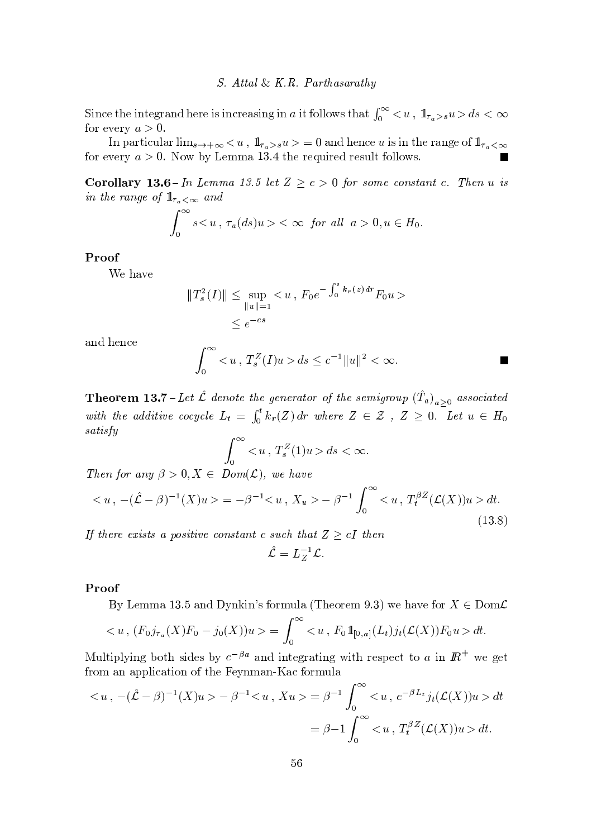#### S. Attal & K.R. Parthasarathy

Since the integrand here is increasing in a it follows that  $\int_0^\infty$  < u,  $1\!\!1_{\tau_a > s}$   $u > ds < \infty$ for every  $a > 0$ .

In particular  $\lim_{s\to +\infty}$  <  $u$  ,  $\mathbb{1}_{\tau_a>s}u>$  = 0 and hence  $u$  is in the range of  $\mathbb{1}_{\tau_a<\infty}$ for every  $a > 0$ . Now by Lemma 13.4 the required result follows.

**Corollary 13.6**-In Lemma 13.5 let  $Z \ge c > 0$  for some constant c. Then u is in the range of  $1\!\!1_{\tau_a<\infty}$  and

$$
\int_0^\infty s\lt\infty\ \, \text{for all}\ \, a>0,u\in H_0.
$$

## Proof

We have

$$
||T_s^2(I)|| \le \sup_{||u||=1} < u , F_0 e^{-\int_0^s k_r(z) dr} F_0 u >
$$
  

$$
\le e^{-cs}
$$

and hence

$$
\int_0^{\infty} \langle u, T_s^Z(I)u \rangle ds \le c^{-1} ||u||^2 < \infty.
$$

**Theorem 13.7** - Let  $\hat{\mathcal{L}}$  denote the generator of the semigroup  $(\hat{T}_a)_{a\geq 0}$  associated with the additive cocycle  $L_t = \int_0^t k_r(Z) dr$  where  $Z \in \mathcal{Z}$ ,  $Z \geq 0$ . Let  $u \in H_0$ satisfy

$$
\int_0^\infty ds < \infty.
$$

Then for any  $\beta > 0, X \in Dom(L)$ , we have

$$
\langle u, -(\hat{\mathcal{L}} - \beta)^{-1}(X)u \rangle = -\beta^{-1} \langle u, X_u \rangle - \beta^{-1} \int_0^\infty \langle u, T_t^{\beta Z}(\mathcal{L}(X))u \rangle dt. \tag{13.8}
$$

If there exists a positive constant c such that  $Z \ge cI$  then

$$
\hat{\mathcal{L}}=L_Z^{-1}\mathcal{L}.
$$

#### Proof

By Lemma 13.5 and Dynkin's formula (Theorem 9.3) we have for  $X \in \text{Dom}\mathcal{L}$ 

$$
\langle u, (F_0 j_{\tau_a}(X) F_0 - j_0(X)) u \rangle = \int_0^\infty \langle u, F_0 1 \mathbb{1}_{[0,a]}(L_t) j_t(\mathcal{L}(X)) F_0 u \rangle dt.
$$

Multiplying both sides by  $c^{-\beta a}$  and integrating with respect to a in  $\mathbb{R}^+$  we get from an application of the Feynman-Kac formula

$$
\langle u, -(\hat{\mathcal{L}} - \beta)^{-1}(X)u \rangle - \beta^{-1} \langle u, Xu \rangle = \beta^{-1} \int_0^\infty \langle u, e^{-\beta L_t} j_t(\mathcal{L}(X))u \rangle dt
$$
  
=  $\beta - 1 \int_0^\infty \langle u, T_t^{\beta Z}(\mathcal{L}(X))u \rangle dt.$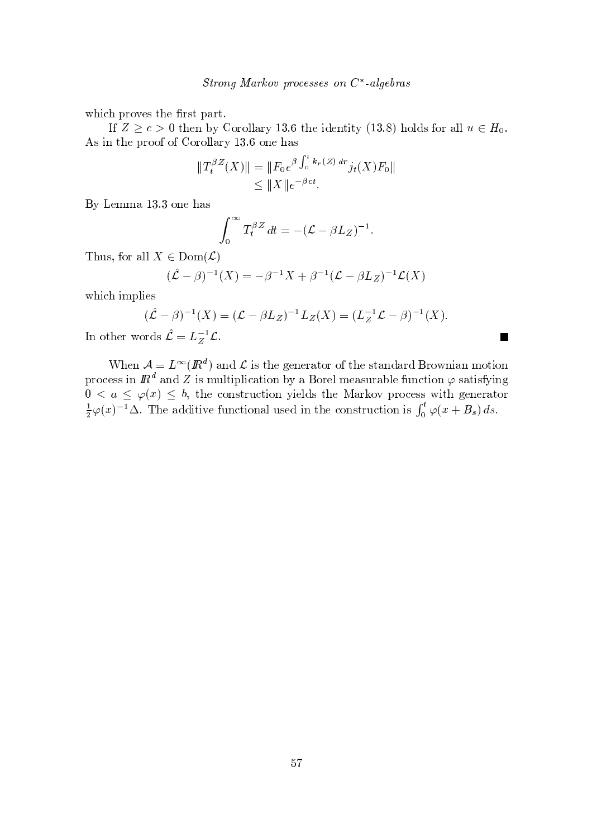which proves the first part.

If  $Z \ge c > 0$  then by Corollary 13.6 the identity (13.8) holds for all  $u \in H_0$ . As in the proof of Corollary 13.6 one has

$$
||T_t^{\beta Z}(X)|| = ||F_0 e^{\beta \int_0^t k_r(Z) dr} j_t(X) F_0||
$$
  
\n
$$
\le ||X|| e^{-\beta ct}.
$$

By Lemma 13.3 one has

$$
\int_0^\infty T_t^{\beta Z} dt = -(\mathcal{L} - \beta L_Z)^{-1}.
$$

Thus, for all  $X \in \text{Dom}(\mathcal{L})$ 

$$
(\hat{\mathcal{L}} - \beta)^{-1}(X) = -\beta^{-1}X + \beta^{-1}(\mathcal{L} - \beta L_Z)^{-1}\mathcal{L}(X)
$$

which implies

$$
(\hat{\mathcal{L}} - \beta)^{-1}(X) = (\mathcal{L} - \beta L_Z)^{-1} L_Z(X) = (L_Z^{-1} \mathcal{L} - \beta)^{-1}(X).
$$

 $\mathcal{L}_{\mathcal{A}}$ 

In other words  $\hat{\mathcal{L}} = L_Z^{-1} \mathcal{L}$ .

When  $A = L^{\infty}(\mathbb{R}^d)$  and  $\mathcal{L}$  is the generator of the standard Brownian motion<br>process in  $\mathbb{R}^d$  and  $Z$  is multiplication by a Borel measurable function  $\varphi$  satisfying<br> $0 < a \leq \varphi(x) \leq b$ , the construction yi